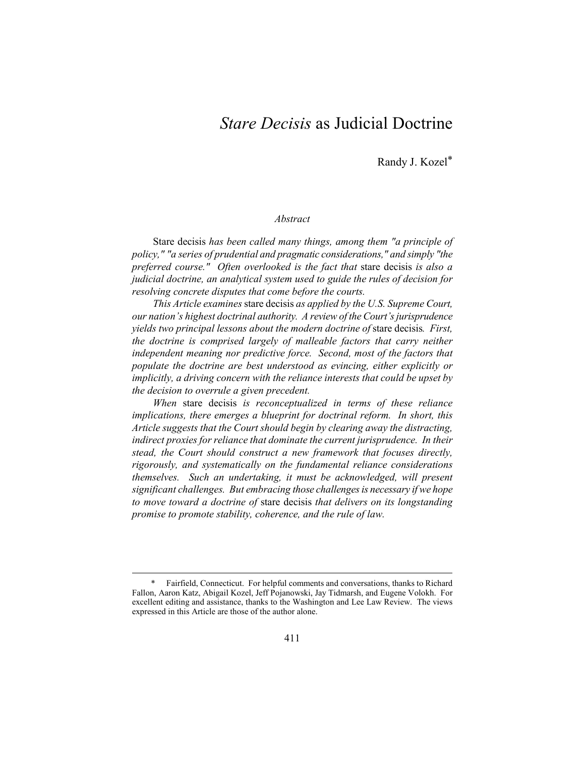# *Stare Decisis* as Judicial Doctrine

Randy J. Kozel\*

#### *Abstract*

Stare decisis *has been called many things, among them "a principle of policy," "a series of prudential and pragmatic considerations," and simply "the preferred course." Often overlooked is the fact that* stare decisis *is also a judicial doctrine, an analytical system used to guide the rules of decision for resolving concrete disputes that come before the courts.* 

*This Article examines* stare decisis *as applied by the U.S. Supreme Court, our nation's highest doctrinal authority. A review of the Court's jurisprudence yields two principal lessons about the modern doctrine of* stare decisis*. First, the doctrine is comprised largely of malleable factors that carry neither independent meaning nor predictive force. Second, most of the factors that populate the doctrine are best understood as evincing, either explicitly or implicitly, a driving concern with the reliance interests that could be upset by the decision to overrule a given precedent.* 

*When* stare decisis *is reconceptualized in terms of these reliance implications, there emerges a blueprint for doctrinal reform. In short, this Article suggests that the Court should begin by clearing away the distracting, indirect proxies for reliance that dominate the current jurisprudence. In their stead, the Court should construct a new framework that focuses directly, rigorously, and systematically on the fundamental reliance considerations themselves. Such an undertaking, it must be acknowledged, will present significant challenges. But embracing those challenges is necessary if we hope to move toward a doctrine of* stare decisis *that delivers on its longstanding promise to promote stability, coherence, and the rule of law.* 

 <sup>\*</sup> Fairfield, Connecticut. For helpful comments and conversations, thanks to Richard Fallon, Aaron Katz, Abigail Kozel, Jeff Pojanowski, Jay Tidmarsh, and Eugene Volokh. For excellent editing and assistance, thanks to the Washington and Lee Law Review. The views expressed in this Article are those of the author alone.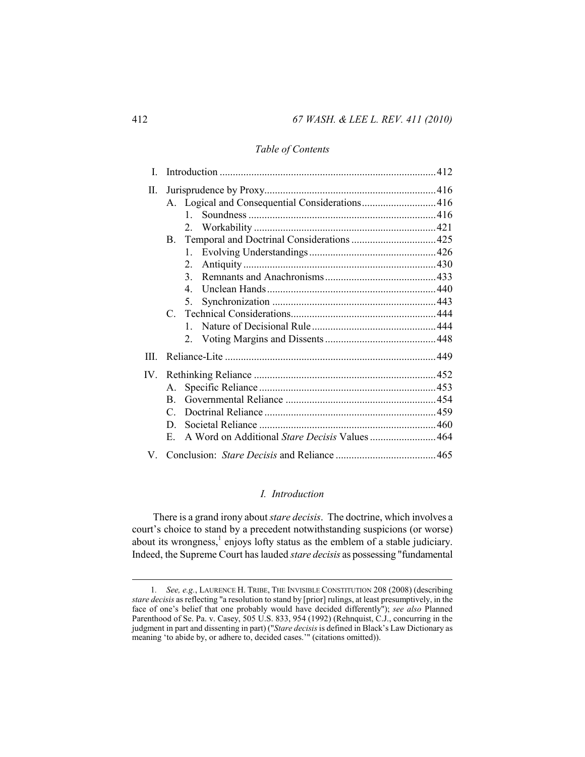## *Table of Contents*

| Τ        |                                                |  |
|----------|------------------------------------------------|--|
| П.       |                                                |  |
|          | A. Logical and Consequential Considerations416 |  |
|          | 1                                              |  |
|          | 2                                              |  |
|          |                                                |  |
|          | 1                                              |  |
|          | 2 <sub>1</sub>                                 |  |
|          | 3.                                             |  |
|          | $\overline{4}$                                 |  |
|          | 5.                                             |  |
|          | $\mathcal{C}$                                  |  |
|          | $\mathbf{1}$                                   |  |
|          | 2                                              |  |
| III      |                                                |  |
| $IV_{-}$ |                                                |  |
|          | $A_{-}$                                        |  |
|          | B.                                             |  |
|          | C                                              |  |
|          | D.                                             |  |
|          | E.                                             |  |
| V.       |                                                |  |

## *I. Introduction*

There is a grand irony about *stare decisis*. The doctrine, which involves a court's choice to stand by a precedent notwithstanding suspicions (or worse) about its wrongness, $<sup>1</sup>$  enjoys lofty status as the emblem of a stable judiciary.</sup> Indeed, the Supreme Court has lauded *stare decisis* as possessing "fundamental

 <sup>1</sup>*. See, e.g.*, LAURENCE H. TRIBE, THE INVISIBLE CONSTITUTION 208 (2008) (describing *stare decisis* as reflecting "a resolution to stand by [prior] rulings, at least presumptively, in the face of one's belief that one probably would have decided differently"); *see also* Planned Parenthood of Se. Pa. v. Casey, 505 U.S. 833, 954 (1992) (Rehnquist, C.J., concurring in the judgment in part and dissenting in part) ("*Stare decisis* is defined in Black's Law Dictionary as meaning 'to abide by, or adhere to, decided cases.'" (citations omitted)).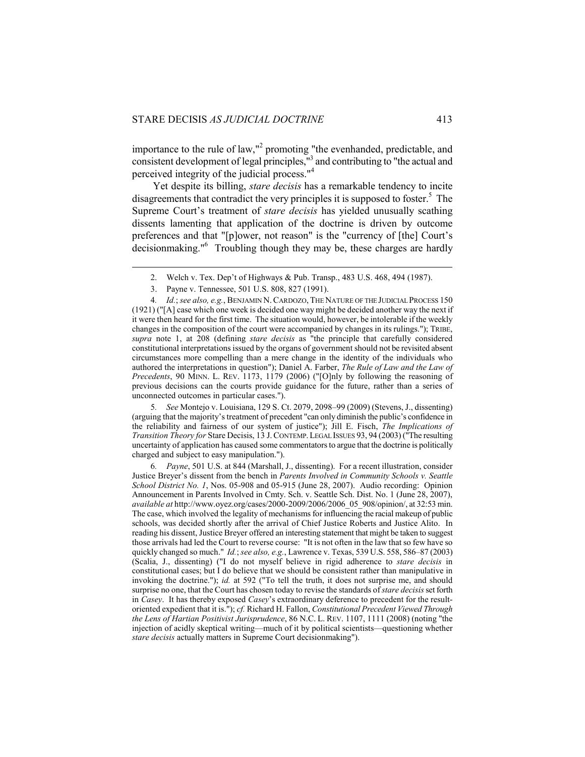importance to the rule of law,"<sup>2</sup> promoting "the evenhanded, predictable, and consistent development of legal principles,"3 and contributing to "the actual and perceived integrity of the judicial process."4

Yet despite its billing, *stare decisis* has a remarkable tendency to incite disagreements that contradict the very principles it is supposed to foster.<sup>5</sup> The Supreme Court's treatment of *stare decisis* has yielded unusually scathing dissents lamenting that application of the doctrine is driven by outcome preferences and that "[p]ower, not reason" is the "currency of [the] Court's decisionmaking."6 Troubling though they may be, these charges are hardly

 $\overline{a}$ 

5*. See* Montejo v. Louisiana, 129 S. Ct. 2079, 2098–99 (2009) (Stevens, J., dissenting) (arguing that the majority's treatment of precedent "can only diminish the public's confidence in the reliability and fairness of our system of justice"); Jill E. Fisch, *The Implications of Transition Theory for* Stare Decisis, 13 J.CONTEMP.LEGAL ISSUES 93, 94 (2003) ("The resulting uncertainty of application has caused some commentators to argue that the doctrine is politically charged and subject to easy manipulation.").

6*. Payne*, 501 U.S. at 844 (Marshall, J., dissenting). For a recent illustration, consider Justice Breyer's dissent from the bench in *Parents Involved in Community Schools v. Seattle School District No. 1*, Nos. 05-908 and 05-915 (June 28, 2007). Audio recording: Opinion Announcement in Parents Involved in Cmty. Sch. v. Seattle Sch. Dist. No. 1 (June 28, 2007), *available at* http://www.oyez.org/cases/2000-2009/2006/2006\_05\_908/opinion/, at 32:53 min. The case, which involved the legality of mechanisms for influencing the racial makeup of public schools, was decided shortly after the arrival of Chief Justice Roberts and Justice Alito. In reading his dissent, Justice Breyer offered an interesting statement that might be taken to suggest those arrivals had led the Court to reverse course: "It is not often in the law that so few have so quickly changed so much." *Id.*; *see also, e.g.*, Lawrence v. Texas, 539 U.S. 558, 586–87 (2003) (Scalia, J., dissenting) ("I do not myself believe in rigid adherence to *stare decisis* in constitutional cases; but I do believe that we should be consistent rather than manipulative in invoking the doctrine."); *id.* at 592 ("To tell the truth, it does not surprise me, and should surprise no one, that the Court has chosen today to revise the standards of *stare decisis* set forth in *Casey*. It has thereby exposed *Casey*'s extraordinary deference to precedent for the resultoriented expedient that it is."); *cf.* Richard H. Fallon, *Constitutional Precedent Viewed Through the Lens of Hartian Positivist Jurisprudence*, 86 N.C. L. REV. 1107, 1111 (2008) (noting "the injection of acidly skeptical writing—much of it by political scientists—questioning whether *stare decisis* actually matters in Supreme Court decisionmaking").

 <sup>2.</sup> Welch v. Tex. Dep't of Highways & Pub. Transp., 483 U.S. 468, 494 (1987).

 <sup>3.</sup> Payne v. Tennessee, 501 U.S. 808, 827 (1991).

<sup>4</sup>*. Id.*; *see also, e.g.*, BENJAMIN N.CARDOZO, THE NATURE OF THE JUDICIAL PROCESS 150 (1921) ("[A] case which one week is decided one way might be decided another way the next if it were then heard for the first time. The situation would, however, be intolerable if the weekly changes in the composition of the court were accompanied by changes in its rulings."); TRIBE, *supra* note 1, at 208 (defining *stare decisis* as "the principle that carefully considered constitutional interpretations issued by the organs of government should not be revisited absent circumstances more compelling than a mere change in the identity of the individuals who authored the interpretations in question"); Daniel A. Farber, *The Rule of Law and the Law of Precedents*, 90 MINN. L. REV. 1173, 1179 (2006) ("[O]nly by following the reasoning of previous decisions can the courts provide guidance for the future, rather than a series of unconnected outcomes in particular cases.").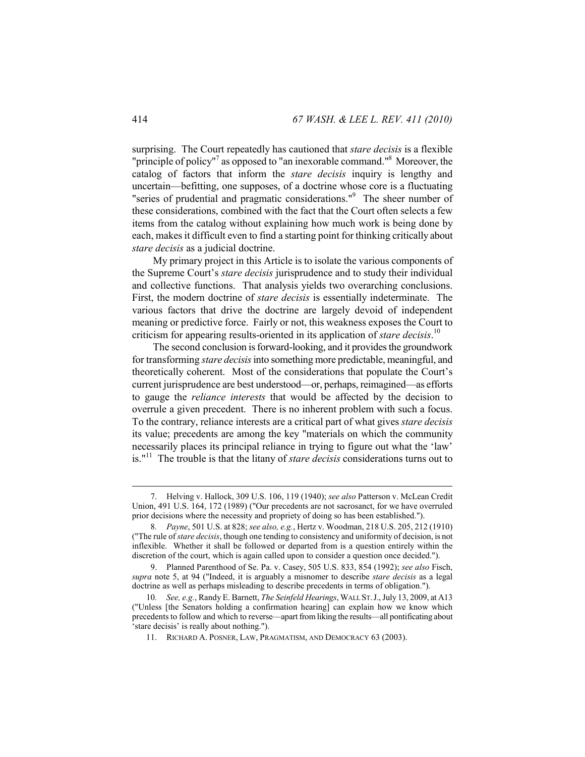surprising. The Court repeatedly has cautioned that *stare decisis* is a flexible "principle of policy"<sup>7</sup> as opposed to "an inexorable command."<sup>8</sup> Moreover, the catalog of factors that inform the *stare decisis* inquiry is lengthy and uncertain—befitting, one supposes, of a doctrine whose core is a fluctuating "series of prudential and pragmatic considerations."<sup>9</sup> The sheer number of these considerations, combined with the fact that the Court often selects a few items from the catalog without explaining how much work is being done by each, makes it difficult even to find a starting point for thinking critically about *stare decisis* as a judicial doctrine.

My primary project in this Article is to isolate the various components of the Supreme Court's *stare decisis* jurisprudence and to study their individual and collective functions. That analysis yields two overarching conclusions. First, the modern doctrine of *stare decisis* is essentially indeterminate. The various factors that drive the doctrine are largely devoid of independent meaning or predictive force. Fairly or not, this weakness exposes the Court to criticism for appearing results-oriented in its application of *stare decisis*. 10

The second conclusion is forward-looking, and it provides the groundwork for transforming *stare decisis* into something more predictable, meaningful, and theoretically coherent. Most of the considerations that populate the Court's current jurisprudence are best understood—or, perhaps, reimagined—as efforts to gauge the *reliance interests* that would be affected by the decision to overrule a given precedent. There is no inherent problem with such a focus. To the contrary, reliance interests are a critical part of what gives *stare decisis*  its value; precedents are among the key "materials on which the community necessarily places its principal reliance in trying to figure out what the 'law' is."11 The trouble is that the litany of *stare decisis* considerations turns out to

 <sup>7.</sup> Helving v. Hallock, 309 U.S. 106, 119 (1940); *see also* Patterson v. McLean Credit Union, 491 U.S. 164, 172 (1989) ("Our precedents are not sacrosanct, for we have overruled prior decisions where the necessity and propriety of doing so has been established.").

<sup>8</sup>*. Payne*, 501 U.S. at 828; *see also, e.g.*, Hertz v. Woodman, 218 U.S. 205, 212 (1910) ("The rule of *stare decisis*, though one tending to consistency and uniformity of decision, is not inflexible. Whether it shall be followed or departed from is a question entirely within the discretion of the court, which is again called upon to consider a question once decided.").

 <sup>9.</sup> Planned Parenthood of Se. Pa. v. Casey, 505 U.S. 833, 854 (1992); *see also* Fisch, *supra* note 5, at 94 ("Indeed, it is arguably a misnomer to describe *stare decisis* as a legal doctrine as well as perhaps misleading to describe precedents in terms of obligation.").

<sup>10</sup>*. See, e.g.*, Randy E. Barnett, *The Seinfeld Hearings*, WALL ST.J., July 13, 2009, at A13 ("Unless [the Senators holding a confirmation hearing] can explain how we know which precedents to follow and which to reverse—apart from liking the results—all pontificating about stare decisis' is really about nothing.").

 <sup>11.</sup> RICHARD A. POSNER, LAW, PRAGMATISM, AND DEMOCRACY 63 (2003).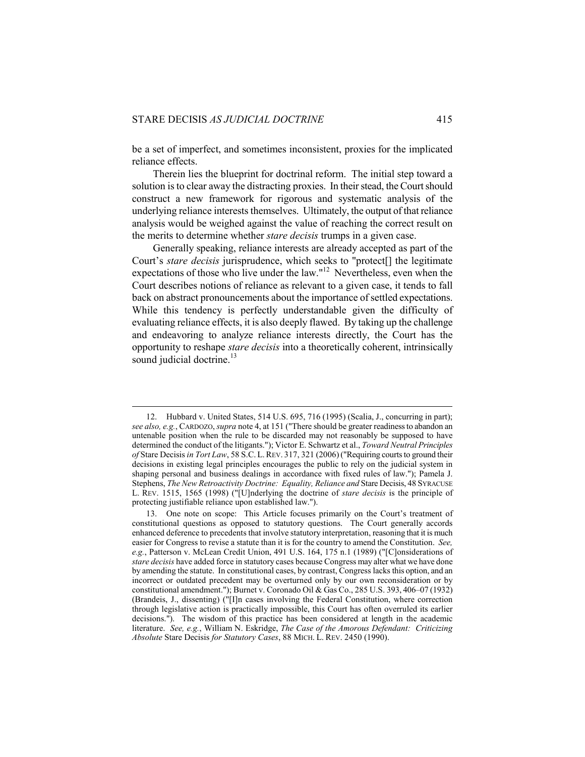$\overline{a}$ 

be a set of imperfect, and sometimes inconsistent, proxies for the implicated reliance effects.

Therein lies the blueprint for doctrinal reform. The initial step toward a solution is to clear away the distracting proxies. In their stead, the Court should construct a new framework for rigorous and systematic analysis of the underlying reliance interests themselves. Ultimately, the output of that reliance analysis would be weighed against the value of reaching the correct result on the merits to determine whether *stare decisis* trumps in a given case.

Generally speaking, reliance interests are already accepted as part of the Court's *stare decisis* jurisprudence, which seeks to "protect[] the legitimate expectations of those who live under the law."12 Nevertheless, even when the Court describes notions of reliance as relevant to a given case, it tends to fall back on abstract pronouncements about the importance of settled expectations. While this tendency is perfectly understandable given the difficulty of evaluating reliance effects, it is also deeply flawed. By taking up the challenge and endeavoring to analyze reliance interests directly, the Court has the opportunity to reshape *stare decisis* into a theoretically coherent, intrinsically sound judicial doctrine. $13$ 

 <sup>12.</sup> Hubbard v. United States, 514 U.S. 695, 716 (1995) (Scalia, J., concurring in part); *see also, e.g.*, CARDOZO, *supra* note 4, at 151 ("There should be greater readiness to abandon an untenable position when the rule to be discarded may not reasonably be supposed to have determined the conduct of the litigants."); Victor E. Schwartz et al., *Toward Neutral Principles of* Stare Decisis *in Tort Law*, 58 S.C. L.REV. 317, 321 (2006) ("Requiring courts to ground their decisions in existing legal principles encourages the public to rely on the judicial system in shaping personal and business dealings in accordance with fixed rules of law."); Pamela J. Stephens, *The New Retroactivity Doctrine: Equality, Reliance and* Stare Decisis, 48 SYRACUSE L. REV. 1515, 1565 (1998) ("[U]nderlying the doctrine of *stare decisis* is the principle of protecting justifiable reliance upon established law.").

 <sup>13.</sup> One note on scope: This Article focuses primarily on the Court's treatment of constitutional questions as opposed to statutory questions. The Court generally accords enhanced deference to precedents that involve statutory interpretation, reasoning that it is much easier for Congress to revise a statute than it is for the country to amend the Constitution. *See, e.g.*, Patterson v. McLean Credit Union, 491 U.S. 164, 175 n.1 (1989) ("[C]onsiderations of *stare decisis* have added force in statutory cases because Congress may alter what we have done by amending the statute. In constitutional cases, by contrast, Congress lacks this option, and an incorrect or outdated precedent may be overturned only by our own reconsideration or by constitutional amendment."); Burnet v. Coronado Oil & Gas Co., 285 U.S. 393, 406–07 (1932) (Brandeis, J., dissenting) ("[I]n cases involving the Federal Constitution, where correction through legislative action is practically impossible, this Court has often overruled its earlier decisions."). The wisdom of this practice has been considered at length in the academic literature. *See, e.g.*, William N. Eskridge, *The Case of the Amorous Defendant: Criticizing Absolute* Stare Decisis *for Statutory Cases*, 88 MICH. L. REV. 2450 (1990).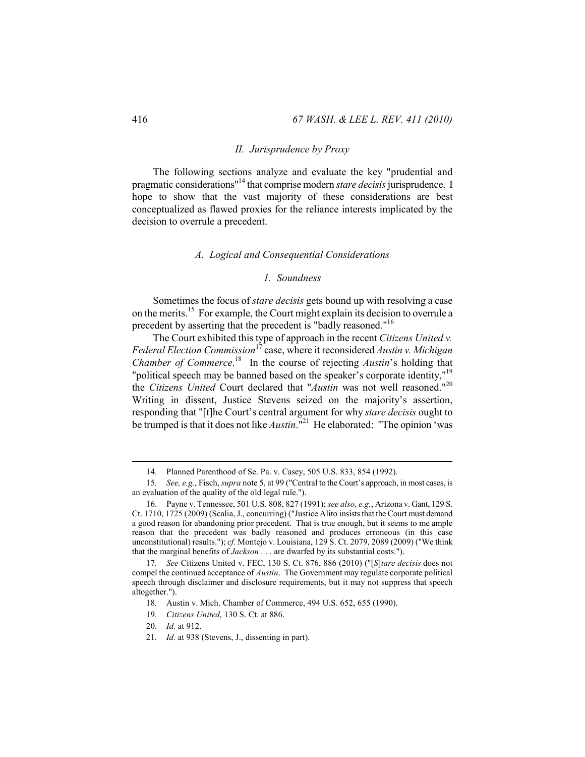#### *II. Jurisprudence by Proxy*

The following sections analyze and evaluate the key "prudential and pragmatic considerations"14 that comprise modern *stare decisis* jurisprudence. I hope to show that the vast majority of these considerations are best conceptualized as flawed proxies for the reliance interests implicated by the decision to overrule a precedent.

#### *A. Logical and Consequential Considerations*

#### *1. Soundness*

Sometimes the focus of *stare decisis* gets bound up with resolving a case on the merits.15 For example, the Court might explain its decision to overrule a precedent by asserting that the precedent is "badly reasoned."<sup>16</sup>

The Court exhibited this type of approach in the recent *Citizens United v. Federal Election Commission*17 case, where it reconsidered *Austin v. Michigan Chamber of Commerce*.<sup>18</sup> In the course of rejecting *Austin*'s holding that "political speech may be banned based on the speaker's corporate identity,"<sup>19</sup> the *Citizens United* Court declared that "*Austin* was not well reasoned."20 Writing in dissent, Justice Stevens seized on the majority's assertion, responding that "[t]he Court's central argument for why *stare decisis* ought to be trumped is that it does not like *Austin*."<sup>21</sup> He elaborated: "The opinion 'was

 <sup>14.</sup> Planned Parenthood of Se. Pa. v. Casey, 505 U.S. 833, 854 (1992).

<sup>15</sup>*. See, e.g.*, Fisch, *supra* note 5, at 99 ("Central to the Court's approach, in most cases, is an evaluation of the quality of the old legal rule.").

 <sup>16.</sup> Payne v. Tennessee, 501 U.S. 808, 827 (1991); *see also, e.g.*, Arizona v. Gant, 129 S. Ct. 1710, 1725 (2009) (Scalia, J., concurring) ("Justice Alito insists that the Court must demand a good reason for abandoning prior precedent. That is true enough, but it seems to me ample reason that the precedent was badly reasoned and produces erroneous (in this case unconstitutional) results."); *cf.* Montejo v. Louisiana, 129 S. Ct. 2079, 2089 (2009) ("We think that the marginal benefits of *Jackson* . . . are dwarfed by its substantial costs.").

<sup>17</sup>*. See* Citizens United v. FEC, 130 S. Ct. 876, 886 (2010) ("[*S*]*tare decisis* does not compel the continued acceptance of *Austin*. The Government may regulate corporate political speech through disclaimer and disclosure requirements, but it may not suppress that speech altogether.").

<sup>18</sup>*.* Austin v. Mich. Chamber of Commerce, 494 U.S. 652, 655 (1990).

<sup>19</sup>*. Citizens United*, 130 S. Ct. at 886.

<sup>20</sup>*. Id.* at 912.

<sup>21</sup>*. Id.* at 938 (Stevens, J., dissenting in part).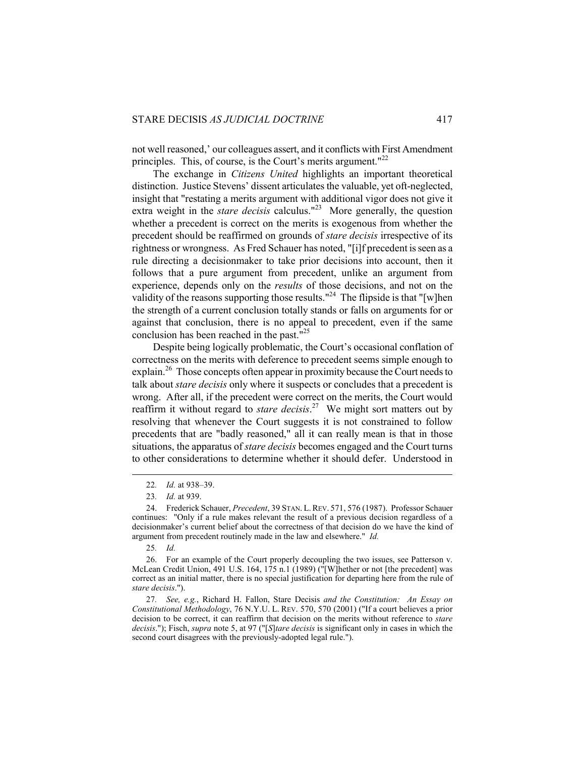not well reasoned,' our colleagues assert, and it conflicts with First Amendment principles. This, of course, is the Court's merits argument." $^{22}$ 

The exchange in *Citizens United* highlights an important theoretical distinction. Justice Stevens' dissent articulates the valuable, yet oft-neglected, insight that "restating a merits argument with additional vigor does not give it extra weight in the *stare decisis* calculus.<sup>"23</sup> More generally, the question whether a precedent is correct on the merits is exogenous from whether the precedent should be reaffirmed on grounds of *stare decisis* irrespective of its rightness or wrongness. As Fred Schauer has noted, "[i]f precedent is seen as a rule directing a decisionmaker to take prior decisions into account, then it follows that a pure argument from precedent, unlike an argument from experience, depends only on the *results* of those decisions, and not on the validity of the reasons supporting those results."<sup>24</sup> The flipside is that "[w]hen the strength of a current conclusion totally stands or falls on arguments for or against that conclusion, there is no appeal to precedent, even if the same conclusion has been reached in the past."<sup>25</sup>

Despite being logically problematic, the Court's occasional conflation of correctness on the merits with deference to precedent seems simple enough to explain.<sup>26</sup> Those concepts often appear in proximity because the Court needs to talk about *stare decisis* only where it suspects or concludes that a precedent is wrong. After all, if the precedent were correct on the merits, the Court would reaffirm it without regard to *stare decisis*. 27 We might sort matters out by resolving that whenever the Court suggests it is not constrained to follow precedents that are "badly reasoned," all it can really mean is that in those situations, the apparatus of *stare decisis* becomes engaged and the Court turns to other considerations to determine whether it should defer. Understood in

 <sup>22</sup>*. Id.* at 938–39.

<sup>23</sup>*. Id.* at 939.

 <sup>24.</sup> Frederick Schauer, *Precedent*, 39 STAN. L.REV. 571, 576 (1987). Professor Schauer continues: "Only if a rule makes relevant the result of a previous decision regardless of a decisionmaker's current belief about the correctness of that decision do we have the kind of argument from precedent routinely made in the law and elsewhere." *Id.*

<sup>25</sup>*. Id.* 

 <sup>26.</sup> For an example of the Court properly decoupling the two issues, see Patterson v. McLean Credit Union, 491 U.S. 164, 175 n.1 (1989) ("[W]hether or not [the precedent] was correct as an initial matter, there is no special justification for departing here from the rule of *stare decisis*.").

<sup>27</sup>*. See, e.g.*, Richard H. Fallon, Stare Decisis *and the Constitution: An Essay on Constitutional Methodology*, 76 N.Y.U. L. REV. 570, 570 (2001) ("If a court believes a prior decision to be correct, it can reaffirm that decision on the merits without reference to *stare decisis*."); Fisch, *supra* note 5, at 97 ("[*S*]*tare decisis* is significant only in cases in which the second court disagrees with the previously-adopted legal rule.").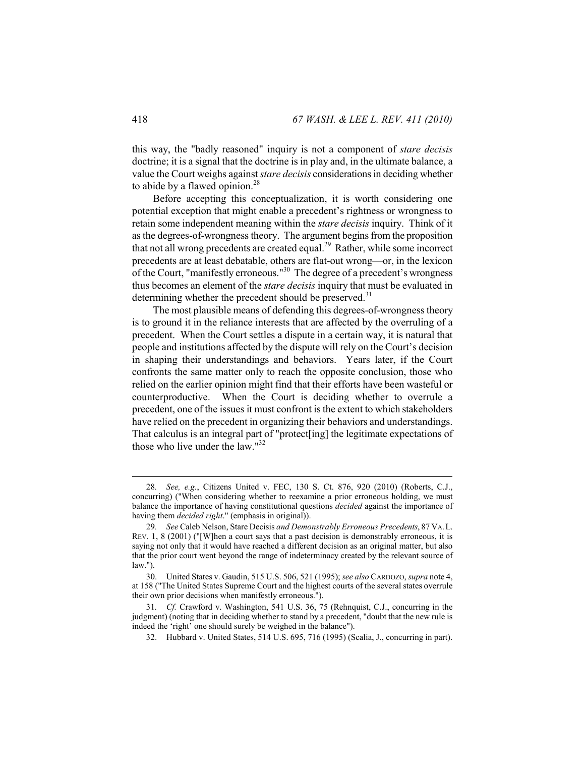this way, the "badly reasoned" inquiry is not a component of *stare decisis*  doctrine; it is a signal that the doctrine is in play and, in the ultimate balance, a value the Court weighs against *stare decisis* considerations in deciding whether to abide by a flawed opinion. $28$ 

Before accepting this conceptualization, it is worth considering one potential exception that might enable a precedent's rightness or wrongness to retain some independent meaning within the *stare decisis* inquiry. Think of it as the degrees-of-wrongness theory. The argument begins from the proposition that not all wrong precedents are created equal.29 Rather, while some incorrect precedents are at least debatable, others are flat-out wrong—or, in the lexicon of the Court, "manifestly erroneous."30 The degree of a precedent's wrongness thus becomes an element of the *stare decisis* inquiry that must be evaluated in determining whether the precedent should be preserved. $31$ 

The most plausible means of defending this degrees-of-wrongness theory is to ground it in the reliance interests that are affected by the overruling of a precedent. When the Court settles a dispute in a certain way, it is natural that people and institutions affected by the dispute will rely on the Court's decision in shaping their understandings and behaviors. Years later, if the Court confronts the same matter only to reach the opposite conclusion, those who relied on the earlier opinion might find that their efforts have been wasteful or counterproductive. When the Court is deciding whether to overrule a precedent, one of the issues it must confront is the extent to which stakeholders have relied on the precedent in organizing their behaviors and understandings. That calculus is an integral part of "protect[ing] the legitimate expectations of those who live under the law." $32$ 

 <sup>28</sup>*. See, e.g.*, Citizens United v. FEC, 130 S. Ct. 876, 920 (2010) (Roberts, C.J., concurring) ("When considering whether to reexamine a prior erroneous holding, we must balance the importance of having constitutional questions *decided* against the importance of having them *decided right*." (emphasis in original)).

<sup>29</sup>*. See* Caleb Nelson, Stare Decisis *and Demonstrably Erroneous Precedents*, 87 VA.L. REV. 1, 8 (2001) ("[W]hen a court says that a past decision is demonstrably erroneous, it is saying not only that it would have reached a different decision as an original matter, but also that the prior court went beyond the range of indeterminacy created by the relevant source of law.").

 <sup>30.</sup> United States v. Gaudin, 515 U.S. 506, 521 (1995); *see also* CARDOZO, *supra* note 4, at 158 ("The United States Supreme Court and the highest courts of the several states overrule their own prior decisions when manifestly erroneous.").

<sup>31</sup>*. Cf.* Crawford v. Washington, 541 U.S. 36, 75 (Rehnquist, C.J., concurring in the judgment) (noting that in deciding whether to stand by a precedent, "doubt that the new rule is indeed the 'right' one should surely be weighed in the balance").

 <sup>32.</sup> Hubbard v. United States, 514 U.S. 695, 716 (1995) (Scalia, J., concurring in part).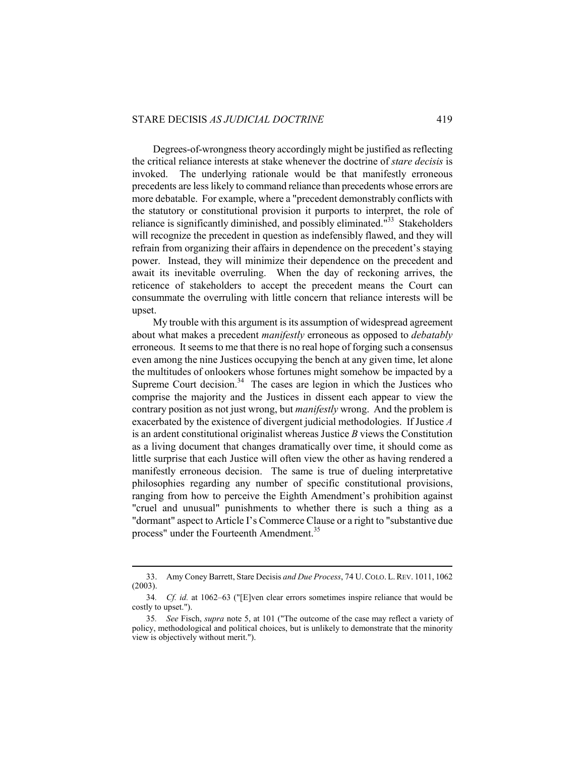Degrees-of-wrongness theory accordingly might be justified as reflecting the critical reliance interests at stake whenever the doctrine of *stare decisis* is invoked. The underlying rationale would be that manifestly erroneous precedents are less likely to command reliance than precedents whose errors are more debatable. For example, where a "precedent demonstrably conflicts with the statutory or constitutional provision it purports to interpret, the role of reliance is significantly diminished, and possibly eliminated. $133$  Stakeholders will recognize the precedent in question as indefensibly flawed, and they will refrain from organizing their affairs in dependence on the precedent's staying power. Instead, they will minimize their dependence on the precedent and await its inevitable overruling. When the day of reckoning arrives, the reticence of stakeholders to accept the precedent means the Court can consummate the overruling with little concern that reliance interests will be upset.

My trouble with this argument is its assumption of widespread agreement about what makes a precedent *manifestly* erroneous as opposed to *debatably* erroneous. It seems to me that there is no real hope of forging such a consensus even among the nine Justices occupying the bench at any given time, let alone the multitudes of onlookers whose fortunes might somehow be impacted by a Supreme Court decision. $34$  The cases are legion in which the Justices who comprise the majority and the Justices in dissent each appear to view the contrary position as not just wrong, but *manifestly* wrong. And the problem is exacerbated by the existence of divergent judicial methodologies. If Justice *A* is an ardent constitutional originalist whereas Justice *B* views the Constitution as a living document that changes dramatically over time, it should come as little surprise that each Justice will often view the other as having rendered a manifestly erroneous decision. The same is true of dueling interpretative philosophies regarding any number of specific constitutional provisions, ranging from how to perceive the Eighth Amendment's prohibition against "cruel and unusual" punishments to whether there is such a thing as a "dormant" aspect to Article I's Commerce Clause or a right to "substantive due process" under the Fourteenth Amendment.<sup>35</sup>

 <sup>33.</sup> Amy Coney Barrett, Stare Decisis *and Due Process*, 74 U.COLO. L.REV. 1011, 1062 (2003).

<sup>34</sup>*. Cf. id.* at 1062–63 ("[E]ven clear errors sometimes inspire reliance that would be costly to upset.").

<sup>35</sup>*. See* Fisch, *supra* note 5, at 101 ("The outcome of the case may reflect a variety of policy, methodological and political choices, but is unlikely to demonstrate that the minority view is objectively without merit.").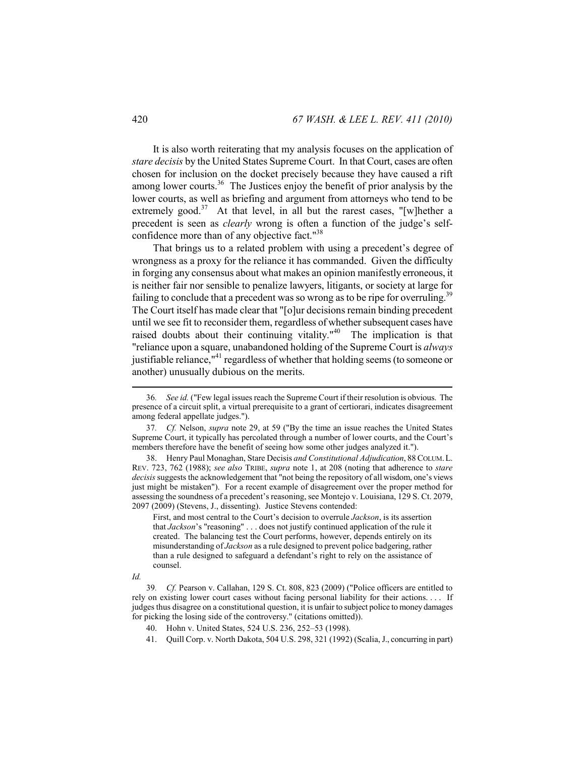It is also worth reiterating that my analysis focuses on the application of *stare decisis* by the United States Supreme Court. In that Court, cases are often chosen for inclusion on the docket precisely because they have caused a rift among lower courts.<sup>36</sup> The Justices enjoy the benefit of prior analysis by the lower courts, as well as briefing and argument from attorneys who tend to be extremely good.<sup>37</sup> At that level, in all but the rarest cases, "[w]hether a precedent is seen as *clearly* wrong is often a function of the judge's selfconfidence more than of any objective fact."38

That brings us to a related problem with using a precedent's degree of wrongness as a proxy for the reliance it has commanded. Given the difficulty in forging any consensus about what makes an opinion manifestly erroneous, it is neither fair nor sensible to penalize lawyers, litigants, or society at large for failing to conclude that a precedent was so wrong as to be ripe for overruling.<sup>39</sup> The Court itself has made clear that "[o]ur decisions remain binding precedent until we see fit to reconsider them, regardless of whether subsequent cases have raised doubts about their continuing vitality."<sup>40</sup> The implication is that "reliance upon a square, unabandoned holding of the Supreme Court is *always* justifiable reliance,  $^{\prime\prime}$ <sup>1</sup> regardless of whether that holding seems (to someone or another) unusually dubious on the merits.

First, and most central to the Court's decision to overrule *Jackson*, is its assertion that *Jackson*'s "reasoning" . . . does not justify continued application of the rule it created. The balancing test the Court performs, however, depends entirely on its misunderstanding of *Jackson* as a rule designed to prevent police badgering, rather than a rule designed to safeguard a defendant's right to rely on the assistance of counsel.

*Id.*

41. Quill Corp. v. North Dakota, 504 U.S. 298, 321 (1992) (Scalia, J., concurring in part)

 <sup>36</sup>*. See id.* ("Few legal issues reach the Supreme Court if their resolution is obvious. The presence of a circuit split, a virtual prerequisite to a grant of certiorari, indicates disagreement among federal appellate judges.").

<sup>37</sup>*. Cf.* Nelson, *supra* note 29, at 59 ("By the time an issue reaches the United States Supreme Court, it typically has percolated through a number of lower courts, and the Court's members therefore have the benefit of seeing how some other judges analyzed it.").

 <sup>38.</sup> Henry Paul Monaghan, Stare Decisis *and Constitutional Adjudication*, 88 COLUM.L. REV. 723, 762 (1988); *see also* TRIBE, *supra* note 1, at 208 (noting that adherence to *stare decisis* suggests the acknowledgement that "not being the repository of all wisdom, one's views just might be mistaken"). For a recent example of disagreement over the proper method for assessing the soundness of a precedent's reasoning, see Montejo v. Louisiana, 129 S. Ct. 2079, 2097 (2009) (Stevens, J., dissenting). Justice Stevens contended:

<sup>39</sup>*. Cf.* Pearson v. Callahan, 129 S. Ct. 808, 823 (2009) ("Police officers are entitled to rely on existing lower court cases without facing personal liability for their actions. . . . If judges thus disagree on a constitutional question, it is unfair to subject police to money damages for picking the losing side of the controversy." (citations omitted)).

 <sup>40.</sup> Hohn v. United States, 524 U.S. 236, 252–53 (1998).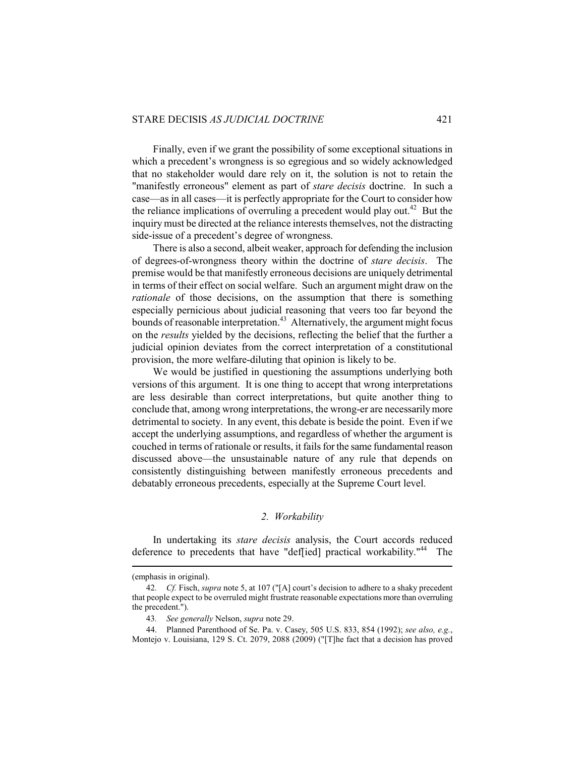Finally, even if we grant the possibility of some exceptional situations in which a precedent's wrongness is so egregious and so widely acknowledged that no stakeholder would dare rely on it, the solution is not to retain the "manifestly erroneous" element as part of *stare decisis* doctrine. In such a case—as in all cases—it is perfectly appropriate for the Court to consider how the reliance implications of overruling a precedent would play out.<sup>42</sup> But the inquiry must be directed at the reliance interests themselves, not the distracting side-issue of a precedent's degree of wrongness.

There is also a second, albeit weaker, approach for defending the inclusion of degrees-of-wrongness theory within the doctrine of *stare decisis*. The premise would be that manifestly erroneous decisions are uniquely detrimental in terms of their effect on social welfare. Such an argument might draw on the *rationale* of those decisions, on the assumption that there is something especially pernicious about judicial reasoning that veers too far beyond the bounds of reasonable interpretation.<sup>43</sup> Alternatively, the argument might focus on the *results* yielded by the decisions, reflecting the belief that the further a judicial opinion deviates from the correct interpretation of a constitutional provision, the more welfare-diluting that opinion is likely to be.

We would be justified in questioning the assumptions underlying both versions of this argument. It is one thing to accept that wrong interpretations are less desirable than correct interpretations, but quite another thing to conclude that, among wrong interpretations, the wrong-er are necessarily more detrimental to society. In any event, this debate is beside the point. Even if we accept the underlying assumptions, and regardless of whether the argument is couched in terms of rationale or results, it fails for the same fundamental reason discussed above—the unsustainable nature of any rule that depends on consistently distinguishing between manifestly erroneous precedents and debatably erroneous precedents, especially at the Supreme Court level.

#### *2. Workability*

In undertaking its *stare decisis* analysis, the Court accords reduced deference to precedents that have "deffied] practical workability."<sup>44</sup> The

<sup>(</sup>emphasis in original).

<sup>42</sup>*. Cf.* Fisch, *supra* note 5, at 107 ("[A] court's decision to adhere to a shaky precedent that people expect to be overruled might frustrate reasonable expectations more than overruling the precedent.").

<sup>43</sup>*. See generally* Nelson, *supra* note 29.

 <sup>44.</sup> Planned Parenthood of Se. Pa. v. Casey, 505 U.S. 833, 854 (1992); *see also, e.g.*, Montejo v. Louisiana, 129 S. Ct. 2079, 2088 (2009) ("[T]he fact that a decision has proved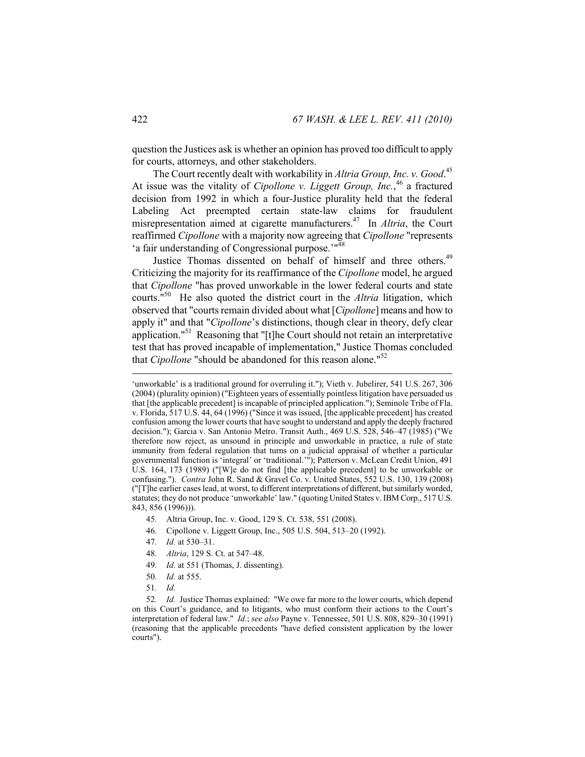question the Justices ask is whether an opinion has proved too difficult to apply for courts, attorneys, and other stakeholders.

The Court recently dealt with workability in *Altria Group, Inc. v. Good*. 45 At issue was the vitality of *Cipollone v. Liggett Group, Inc.*, 46 a fractured decision from 1992 in which a four-Justice plurality held that the federal Labeling Act preempted certain state-law claims for fraudulent misrepresentation aimed at cigarette manufacturers.47 In *Altria*, the Court reaffirmed *Cipollone* with a majority now agreeing that *Cipollone* "represents 'a fair understanding of Congressional purpose.'"<sup>48</sup>

Justice Thomas dissented on behalf of himself and three others.<sup>49</sup> Criticizing the majority for its reaffirmance of the *Cipollone* model, he argued that *Cipollone* "has proved unworkable in the lower federal courts and state courts."50 He also quoted the district court in the *Altria* litigation, which observed that "courts remain divided about what [*Cipollone*] means and how to apply it" and that "*Cipollone*'s distinctions, though clear in theory, defy clear application."51 Reasoning that "[t]he Court should not retain an interpretative test that has proved incapable of implementation," Justice Thomas concluded that *Cipollone* "should be abandoned for this reason alone."<sup>52</sup>

- 45*.* Altria Group, Inc. v. Good, 129 S. Ct. 538, 551 (2008).
- 46*.* Cipollone v. Liggett Group, Inc., 505 U.S. 504, 513–20 (1992).
- 47*. Id.* at 530–31.
- 48*. Altria*, 129 S. Ct. at 547–48.
- 49*. Id.* at 551 (Thomas, J. dissenting).
- 50*. Id.* at 555.
- 51*. Id.*

<sup>&#</sup>x27;unworkable' is a traditional ground for overruling it."); Vieth v. Jubelirer, 541 U.S. 267, 306 (2004) (plurality opinion) ("Eighteen years of essentially pointless litigation have persuaded us that [the applicable precedent] is incapable of principled application."); Seminole Tribe of Fla. v. Florida, 517 U.S. 44, 64 (1996) ("Since it was issued, [the applicable precedent] has created confusion among the lower courts that have sought to understand and apply the deeply fractured decision."); Garcia v. San Antonio Metro. Transit Auth., 469 U.S. 528, 546–47 (1985) ("We therefore now reject, as unsound in principle and unworkable in practice, a rule of state immunity from federal regulation that turns on a judicial appraisal of whether a particular governmental function is 'integral' or 'traditional.'"); Patterson v. McLean Credit Union, 491 U.S. 164, 173 (1989) ("[W]e do not find [the applicable precedent] to be unworkable or confusing."). *Contra* John R. Sand & Gravel Co. v. United States, 552 U.S. 130, 139 (2008) ("[T]he earlier cases lead, at worst, to different interpretations of different, but similarly worded, statutes; they do not produce 'unworkable' law." (quoting United States v. IBM Corp., 517 U.S. 843, 856 (1996))).

<sup>52</sup>*. Id.* Justice Thomas explained: "We owe far more to the lower courts, which depend on this Court's guidance, and to litigants, who must conform their actions to the Court's interpretation of federal law." *Id.*; *see also* Payne v. Tennessee, 501 U.S. 808, 829–30 (1991) (reasoning that the applicable precedents "have defied consistent application by the lower courts").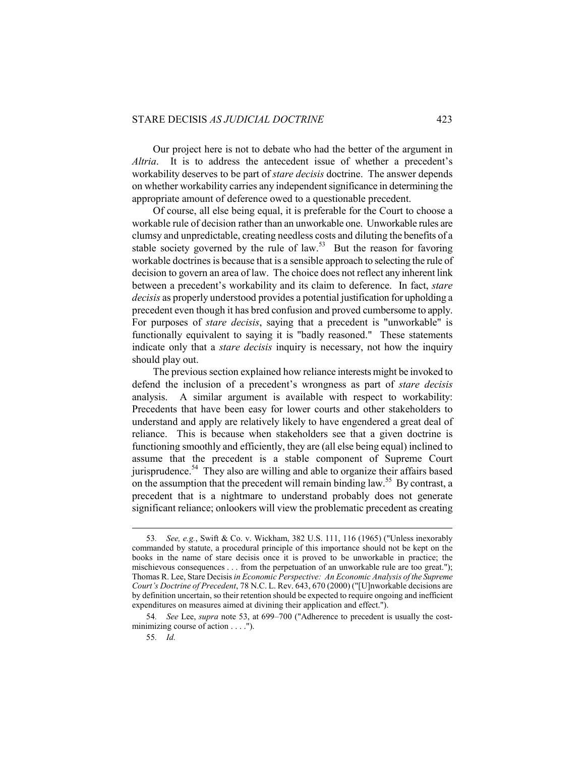Our project here is not to debate who had the better of the argument in *Altria*. It is to address the antecedent issue of whether a precedent's workability deserves to be part of *stare decisis* doctrine. The answer depends on whether workability carries any independent significance in determining the appropriate amount of deference owed to a questionable precedent.

Of course, all else being equal, it is preferable for the Court to choose a workable rule of decision rather than an unworkable one. Unworkable rules are clumsy and unpredictable, creating needless costs and diluting the benefits of a stable society governed by the rule of law.<sup>53</sup> But the reason for favoring workable doctrines is because that is a sensible approach to selecting the rule of decision to govern an area of law. The choice does not reflect any inherent link between a precedent's workability and its claim to deference. In fact, *stare decisis* as properly understood provides a potential justification for upholding a precedent even though it has bred confusion and proved cumbersome to apply. For purposes of *stare decisis*, saying that a precedent is "unworkable" is functionally equivalent to saying it is "badly reasoned." These statements indicate only that a *stare decisis* inquiry is necessary, not how the inquiry should play out.

The previous section explained how reliance interests might be invoked to defend the inclusion of a precedent's wrongness as part of *stare decisis*  analysis. A similar argument is available with respect to workability: Precedents that have been easy for lower courts and other stakeholders to understand and apply are relatively likely to have engendered a great deal of reliance. This is because when stakeholders see that a given doctrine is functioning smoothly and efficiently, they are (all else being equal) inclined to assume that the precedent is a stable component of Supreme Court jurisprudence.<sup>54</sup> They also are willing and able to organize their affairs based on the assumption that the precedent will remain binding law.<sup>55</sup> By contrast, a precedent that is a nightmare to understand probably does not generate significant reliance; onlookers will view the problematic precedent as creating

 <sup>53</sup>*. See, e.g.*, Swift & Co. v. Wickham, 382 U.S. 111, 116 (1965) ("Unless inexorably commanded by statute, a procedural principle of this importance should not be kept on the books in the name of stare decisis once it is proved to be unworkable in practice; the mischievous consequences . . . from the perpetuation of an unworkable rule are too great."); Thomas R. Lee, Stare Decisis *in Economic Perspective: An Economic Analysis of the Supreme Court's Doctrine of Precedent*, 78 N.C. L. Rev. 643, 670 (2000) ("[U]nworkable decisions are by definition uncertain, so their retention should be expected to require ongoing and inefficient expenditures on measures aimed at divining their application and effect.").

<sup>54</sup>*. See* Lee, *supra* note 53, at 699–700 ("Adherence to precedent is usually the costminimizing course of action . . . .").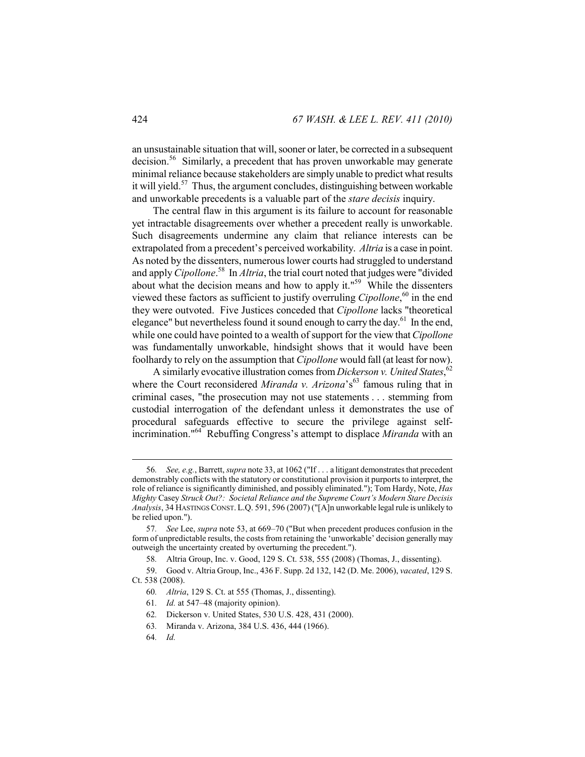an unsustainable situation that will, sooner or later, be corrected in a subsequent decision.56 Similarly, a precedent that has proven unworkable may generate minimal reliance because stakeholders are simply unable to predict what results it will yield.<sup>57</sup> Thus, the argument concludes, distinguishing between workable and unworkable precedents is a valuable part of the *stare decisis* inquiry.

The central flaw in this argument is its failure to account for reasonable yet intractable disagreements over whether a precedent really is unworkable. Such disagreements undermine any claim that reliance interests can be extrapolated from a precedent's perceived workability. *Altria* is a case in point. As noted by the dissenters, numerous lower courts had struggled to understand and apply *Cipollone*. 58 In *Altria*, the trial court noted that judges were "divided about what the decision means and how to apply it." $59$  While the dissenters viewed these factors as sufficient to justify overruling *Cipollone*, 60 in the end they were outvoted. Five Justices conceded that *Cipollone* lacks "theoretical elegance" but nevertheless found it sound enough to carry the day.<sup>61</sup> In the end, while one could have pointed to a wealth of support for the view that *Cipollone*  was fundamentally unworkable, hindsight shows that it would have been foolhardy to rely on the assumption that *Cipollone* would fall (at least for now).

A similarly evocative illustration comes from *Dickerson v. United States*, 62 where the Court reconsidered *Miranda v. Arizona*'s<sup>63</sup> famous ruling that in criminal cases, "the prosecution may not use statements . . . stemming from custodial interrogation of the defendant unless it demonstrates the use of procedural safeguards effective to secure the privilege against selfincrimination."64 Rebuffing Congress's attempt to displace *Miranda* with an

 <sup>56</sup>*. See, e.g.*, Barrett, *supra* note 33, at 1062 ("If . . . a litigant demonstrates that precedent demonstrably conflicts with the statutory or constitutional provision it purports to interpret, the role of reliance is significantly diminished, and possibly eliminated."); Tom Hardy, Note, *Has Mighty* Casey *Struck Out?: Societal Reliance and the Supreme Court's Modern Stare Decisis Analysis*, 34 HASTINGS CONST. L.Q. 591, 596 (2007) ("[A]n unworkable legal rule is unlikely to be relied upon.").

<sup>57</sup>*. See* Lee, *supra* note 53, at 669–70 ("But when precedent produces confusion in the form of unpredictable results, the costs from retaining the 'unworkable' decision generally may outweigh the uncertainty created by overturning the precedent.").

<sup>58</sup>*.* Altria Group, Inc. v. Good, 129 S. Ct. 538, 555 (2008) (Thomas, J., dissenting).

 <sup>59.</sup> Good v. Altria Group, Inc., 436 F. Supp. 2d 132, 142 (D. Me. 2006), *vacated*, 129 S. Ct. 538 (2008).

<sup>60</sup>*. Altria*, 129 S. Ct. at 555 (Thomas, J., dissenting).

<sup>61</sup>*. Id.* at 547–48 (majority opinion).

<sup>62</sup>*.* Dickerson v. United States, 530 U.S. 428, 431 (2000).

<sup>63</sup>*.* Miranda v. Arizona, 384 U.S. 436, 444 (1966).

<sup>64</sup>*. Id.*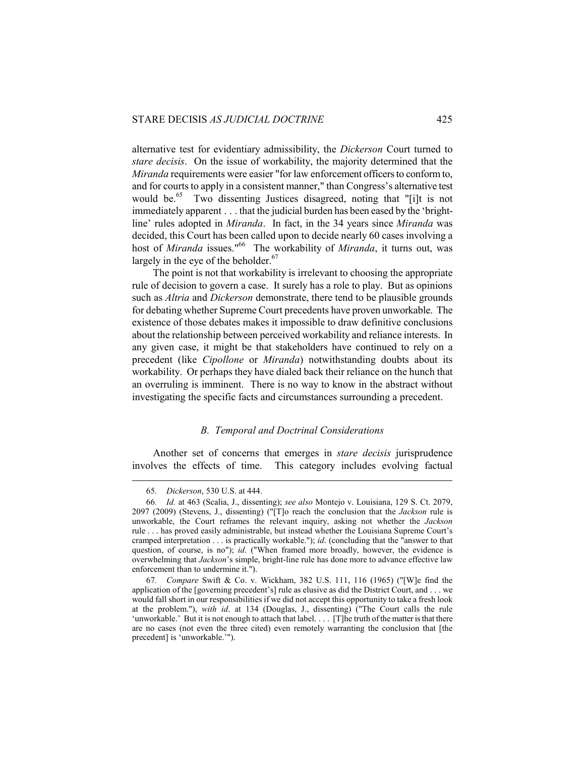alternative test for evidentiary admissibility, the *Dickerson* Court turned to *stare decisis*. On the issue of workability, the majority determined that the *Miranda* requirements were easier "for law enforcement officers to conform to, and for courts to apply in a consistent manner," than Congress's alternative test would be.<sup>65</sup> Two dissenting Justices disagreed, noting that "[i]t is not immediately apparent . . . that the judicial burden has been eased by the 'brightline' rules adopted in *Miranda*. In fact, in the 34 years since *Miranda* was decided, this Court has been called upon to decide nearly 60 cases involving a host of *Miranda* issues."<sup>66</sup> The workability of *Miranda*, it turns out, was largely in the eye of the beholder.<sup>67</sup>

The point is not that workability is irrelevant to choosing the appropriate rule of decision to govern a case. It surely has a role to play. But as opinions such as *Altria* and *Dickerson* demonstrate, there tend to be plausible grounds for debating whether Supreme Court precedents have proven unworkable. The existence of those debates makes it impossible to draw definitive conclusions about the relationship between perceived workability and reliance interests. In any given case, it might be that stakeholders have continued to rely on a precedent (like *Cipollone* or *Miranda*) notwithstanding doubts about its workability. Or perhaps they have dialed back their reliance on the hunch that an overruling is imminent. There is no way to know in the abstract without investigating the specific facts and circumstances surrounding a precedent.

## *B. Temporal and Doctrinal Considerations*

Another set of concerns that emerges in *stare decisis* jurisprudence involves the effects of time. This category includes evolving factual

 <sup>65</sup>*. Dickerson*, 530 U.S. at 444.

<sup>66</sup>*. Id.* at 463 (Scalia, J., dissenting); *see also* Montejo v. Louisiana, 129 S. Ct. 2079, 2097 (2009) (Stevens, J., dissenting) ("[T]o reach the conclusion that the *Jackson* rule is unworkable, the Court reframes the relevant inquiry, asking not whether the *Jackson* rule . . . has proved easily administrable, but instead whether the Louisiana Supreme Court's cramped interpretation . . . is practically workable."); *id*. (concluding that the "answer to that question, of course, is no"); *id*. ("When framed more broadly, however, the evidence is overwhelming that *Jackson*'s simple, bright-line rule has done more to advance effective law enforcement than to undermine it.").

<sup>67</sup>*. Compare* Swift & Co. v. Wickham, 382 U.S. 111, 116 (1965) ("[W]e find the application of the [governing precedent's] rule as elusive as did the District Court, and . . . we would fall short in our responsibilities if we did not accept this opportunity to take a fresh look at the problem."), *with id*. at 134 (Douglas, J., dissenting) ("The Court calls the rule 'unworkable.' But it is not enough to attach that label. . . . [T]he truth of the matter is that there are no cases (not even the three cited) even remotely warranting the conclusion that [the precedent] is 'unworkable.'").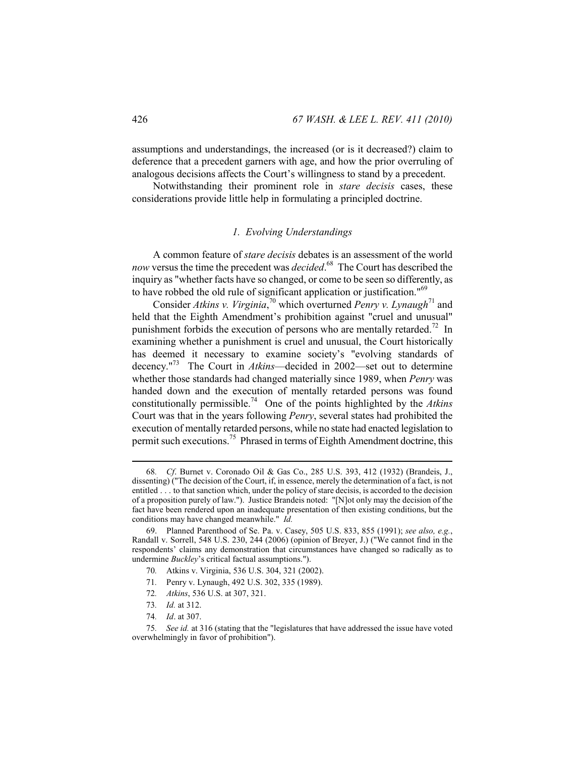assumptions and understandings, the increased (or is it decreased?) claim to deference that a precedent garners with age, and how the prior overruling of analogous decisions affects the Court's willingness to stand by a precedent.

Notwithstanding their prominent role in *stare decisis* cases, these considerations provide little help in formulating a principled doctrine.

## *1. Evolving Understandings*

A common feature of *stare decisis* debates is an assessment of the world *now* versus the time the precedent was *decided*. 68 The Court has described the inquiry as "whether facts have so changed, or come to be seen so differently, as to have robbed the old rule of significant application or justification."<sup>69</sup>

Consider Atkins v. Virginia,<sup>70</sup> which overturned Penry v. Lynaugh<sup>71</sup> and held that the Eighth Amendment's prohibition against "cruel and unusual" punishment forbids the execution of persons who are mentally retarded.<sup>72</sup> In examining whether a punishment is cruel and unusual, the Court historically has deemed it necessary to examine society's "evolving standards of decency."73 The Court in *Atkins*—decided in 2002—set out to determine whether those standards had changed materially since 1989, when *Penry* was handed down and the execution of mentally retarded persons was found constitutionally permissible.74 One of the points highlighted by the *Atkins*  Court was that in the years following *Penry*, several states had prohibited the execution of mentally retarded persons, while no state had enacted legislation to permit such executions.<sup>75</sup> Phrased in terms of Eighth Amendment doctrine, this

- 71*.* Penry v. Lynaugh, 492 U.S. 302, 335 (1989).
- 72*. Atkins*, 536 U.S. at 307, 321.

 <sup>68</sup>*. Cf*. Burnet v. Coronado Oil & Gas Co., 285 U.S. 393, 412 (1932) (Brandeis, J., dissenting) ("The decision of the Court, if, in essence, merely the determination of a fact, is not entitled . . . to that sanction which, under the policy of stare decisis, is accorded to the decision of a proposition purely of law."). Justice Brandeis noted: "[N]ot only may the decision of the fact have been rendered upon an inadequate presentation of then existing conditions, but the conditions may have changed meanwhile." *Id.*

 <sup>69.</sup> Planned Parenthood of Se. Pa. v. Casey, 505 U.S. 833, 855 (1991); *see also, e.g.*, Randall v. Sorrell, 548 U.S. 230, 244 (2006) (opinion of Breyer, J.) ("We cannot find in the respondents' claims any demonstration that circumstances have changed so radically as to undermine *Buckley*'s critical factual assumptions.").

<sup>70</sup>*.* Atkins v. Virginia, 536 U.S. 304, 321 (2002).

<sup>73</sup>*. Id.* at 312.

<sup>74</sup>*. Id*. at 307.

See id. at 316 (stating that the "legislatures that have addressed the issue have voted overwhelmingly in favor of prohibition").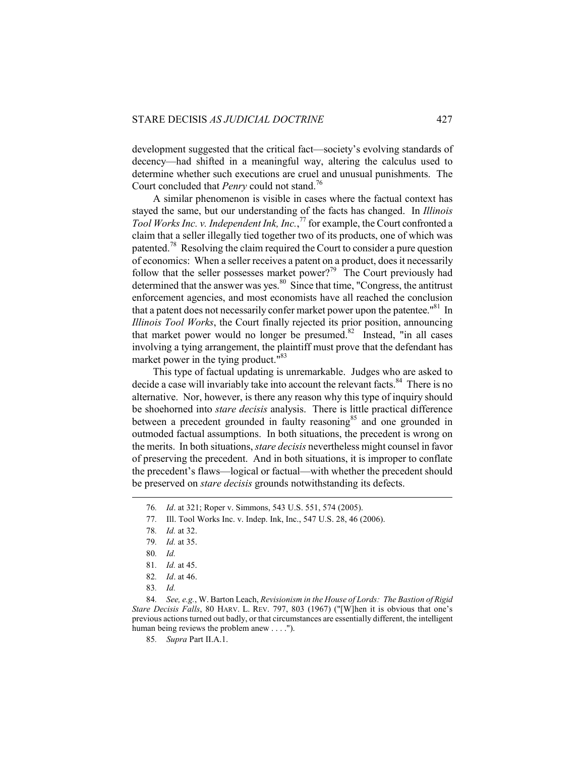development suggested that the critical fact—society's evolving standards of decency—had shifted in a meaningful way, altering the calculus used to determine whether such executions are cruel and unusual punishments. The Court concluded that *Penry* could not stand.<sup>76</sup>

A similar phenomenon is visible in cases where the factual context has stayed the same, but our understanding of the facts has changed. In *Illinois Tool Works Inc. v. Independent Ink, Inc.*, <sup>77</sup> for example, the Court confronted a claim that a seller illegally tied together two of its products, one of which was patented.<sup>78</sup> Resolving the claim required the Court to consider a pure question of economics: When a seller receives a patent on a product, does it necessarily follow that the seller possesses market power?<sup>79</sup> The Court previously had determined that the answer was yes. $80\,$  Since that time, "Congress, the antitrust enforcement agencies, and most economists have all reached the conclusion that a patent does not necessarily confer market power upon the patentee.<sup> $^{81}$ </sup> In *Illinois Tool Works*, the Court finally rejected its prior position, announcing that market power would no longer be presumed. $82$  Instead, "in all cases" involving a tying arrangement, the plaintiff must prove that the defendant has market power in the tying product."<sup>83</sup>

This type of factual updating is unremarkable. Judges who are asked to decide a case will invariably take into account the relevant facts.<sup>84</sup> There is no alternative. Nor, however, is there any reason why this type of inquiry should be shoehorned into *stare decisis* analysis. There is little practical difference between a precedent grounded in faulty reasoning<sup>85</sup> and one grounded in outmoded factual assumptions. In both situations, the precedent is wrong on the merits. In both situations, *stare decisis* nevertheless might counsel in favor of preserving the precedent. And in both situations, it is improper to conflate the precedent's flaws—logical or factual—with whether the precedent should be preserved on *stare decisis* grounds notwithstanding its defects.

 <sup>76</sup>*. Id*. at 321; Roper v. Simmons, 543 U.S. 551, 574 (2005).

<sup>77</sup>*.* Ill. Tool Works Inc. v. Indep. Ink, Inc., 547 U.S. 28, 46 (2006).

<sup>78</sup>*. Id.* at 32.

<sup>79</sup>*. Id.* at 35.

<sup>80</sup>*. Id.* 

<sup>81</sup>*. Id.* at 45.

<sup>82</sup>*. Id*. at 46.

<sup>83</sup>*. Id.*

<sup>84</sup>*. See, e.g.*, W. Barton Leach, *Revisionism in the House of Lords: The Bastion of Rigid Stare Decisis Falls*, 80 HARV. L. REV. 797, 803 (1967) ("[W]hen it is obvious that one's previous actions turned out badly, or that circumstances are essentially different, the intelligent human being reviews the problem anew . . . .").

<sup>85</sup>*. Supra* Part II.A.1.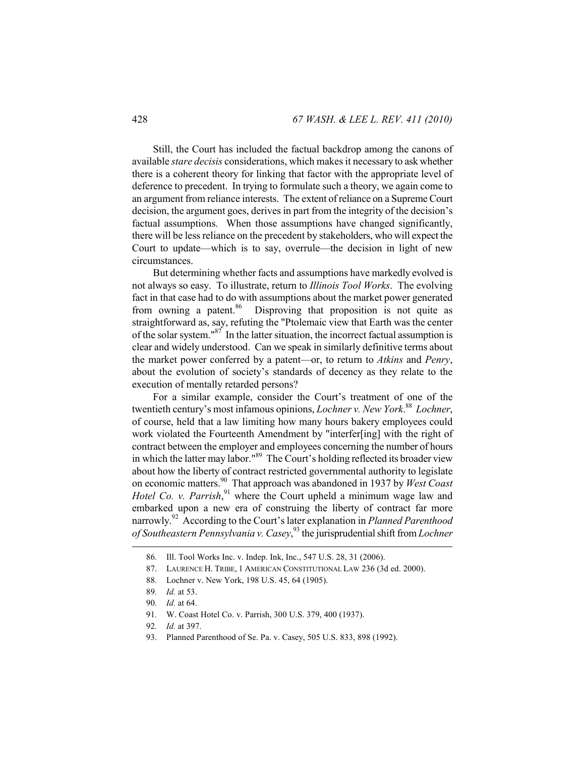Still, the Court has included the factual backdrop among the canons of available *stare decisis* considerations, which makes it necessary to ask whether there is a coherent theory for linking that factor with the appropriate level of deference to precedent. In trying to formulate such a theory, we again come to an argument from reliance interests. The extent of reliance on a Supreme Court decision, the argument goes, derives in part from the integrity of the decision's factual assumptions. When those assumptions have changed significantly, there will be less reliance on the precedent by stakeholders, who will expect the Court to update—which is to say, overrule—the decision in light of new circumstances.

But determining whether facts and assumptions have markedly evolved is not always so easy. To illustrate, return to *Illinois Tool Works*. The evolving fact in that case had to do with assumptions about the market power generated from owning a patent.<sup>86</sup> Disproving that proposition is not quite as straightforward as, say, refuting the "Ptolemaic view that Earth was the center of the solar system."87 In the latter situation, the incorrect factual assumption is clear and widely understood. Can we speak in similarly definitive terms about the market power conferred by a patent—or, to return to *Atkins* and *Penry*, about the evolution of society's standards of decency as they relate to the execution of mentally retarded persons?

For a similar example, consider the Court's treatment of one of the twentieth century's most infamous opinions, *Lochner v. New York*. 88 *Lochner*, of course, held that a law limiting how many hours bakery employees could work violated the Fourteenth Amendment by "interfer[ing] with the right of contract between the employer and employees concerning the number of hours in which the latter may labor."89 The Court's holding reflected its broader view about how the liberty of contract restricted governmental authority to legislate on economic matters.90 That approach was abandoned in 1937 by *West Coast*  Hotel Co. v. Parrish,<sup>91</sup> where the Court upheld a minimum wage law and embarked upon a new era of construing the liberty of contract far more narrowly.92 According to the Court's later explanation in *Planned Parenthood of Southeastern Pennsylvania v. Casey*, 93 the jurisprudential shift from *Lochner* 

93. Planned Parenthood of Se. Pa. v. Casey, 505 U.S. 833, 898 (1992).

 <sup>86</sup>*.* Ill. Tool Works Inc. v. Indep. Ink, Inc., 547 U.S. 28, 31 (2006).

 <sup>87.</sup> LAURENCE H. TRIBE, 1 AMERICAN CONSTITUTIONAL LAW 236 (3d ed. 2000).

<sup>88</sup>*.* Lochner v. New York, 198 U.S. 45, 64 (1905).

<sup>89</sup>*. Id.* at 53.

<sup>90</sup>*. Id.* at 64.

<sup>91</sup>*.* W. Coast Hotel Co. v. Parrish, 300 U.S. 379, 400 (1937).

<sup>92</sup>*. Id.* at 397.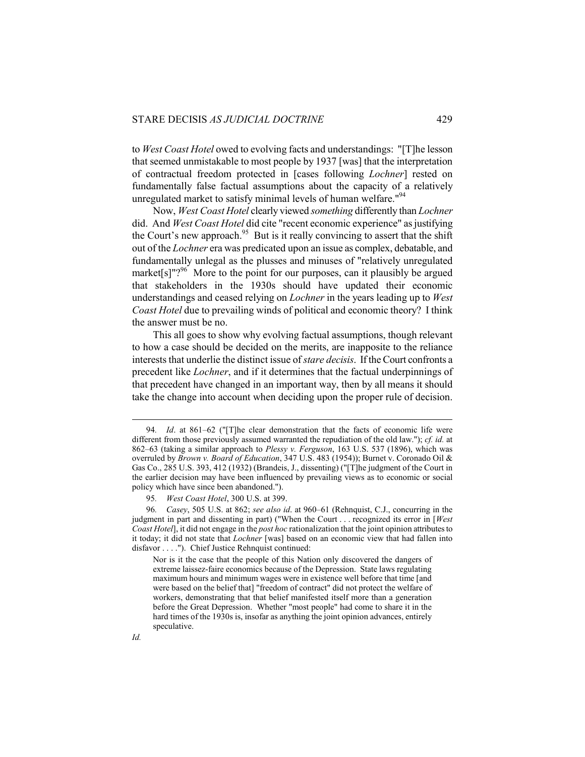to *West Coast Hotel* owed to evolving facts and understandings: "[T]he lesson that seemed unmistakable to most people by 1937 [was] that the interpretation of contractual freedom protected in [cases following *Lochner*] rested on fundamentally false factual assumptions about the capacity of a relatively unregulated market to satisfy minimal levels of human welfare.<sup>"94</sup>

Now, *West Coast Hotel* clearly viewed *something* differently than *Lochner* did. And *West Coast Hotel* did cite "recent economic experience" as justifying the Court's new approach.<sup>95</sup> But is it really convincing to assert that the shift out of the *Lochner* era was predicated upon an issue as complex, debatable, and fundamentally unlegal as the plusses and minuses of "relatively unregulated market[s] $"$ ?<sup>96</sup> More to the point for our purposes, can it plausibly be argued that stakeholders in the 1930s should have updated their economic understandings and ceased relying on *Lochner* in the years leading up to *West Coast Hotel* due to prevailing winds of political and economic theory? I think the answer must be no.

This all goes to show why evolving factual assumptions, though relevant to how a case should be decided on the merits, are inapposite to the reliance interests that underlie the distinct issue of *stare decisis*. If the Court confronts a precedent like *Lochner*, and if it determines that the factual underpinnings of that precedent have changed in an important way, then by all means it should take the change into account when deciding upon the proper rule of decision.

 <sup>94</sup>*. Id*. at 861–62 ("[T]he clear demonstration that the facts of economic life were different from those previously assumed warranted the repudiation of the old law."); *cf. id.* at 862–63 (taking a similar approach to *Plessy v. Ferguson*, 163 U.S. 537 (1896), which was overruled by *Brown v. Board of Education*, 347 U.S. 483 (1954)); Burnet v. Coronado Oil & Gas Co., 285 U.S. 393, 412 (1932) (Brandeis, J., dissenting) ("[T]he judgment of the Court in the earlier decision may have been influenced by prevailing views as to economic or social policy which have since been abandoned.").

<sup>95</sup>*. West Coast Hotel*, 300 U.S. at 399.

<sup>96</sup>*. Casey*, 505 U.S. at 862; *see also id*. at 960–61 (Rehnquist, C.J., concurring in the judgment in part and dissenting in part) ("When the Court . . . recognized its error in [*West Coast Hotel*], it did not engage in the *post hoc* rationalization that the joint opinion attributes to it today; it did not state that *Lochner* [was] based on an economic view that had fallen into disfavor . . . ."). Chief Justice Rehnquist continued:

Nor is it the case that the people of this Nation only discovered the dangers of extreme laissez-faire economics because of the Depression. State laws regulating maximum hours and minimum wages were in existence well before that time [and were based on the belief that] "freedom of contract" did not protect the welfare of workers, demonstrating that that belief manifested itself more than a generation before the Great Depression. Whether "most people" had come to share it in the hard times of the 1930s is, insofar as anything the joint opinion advances, entirely speculative.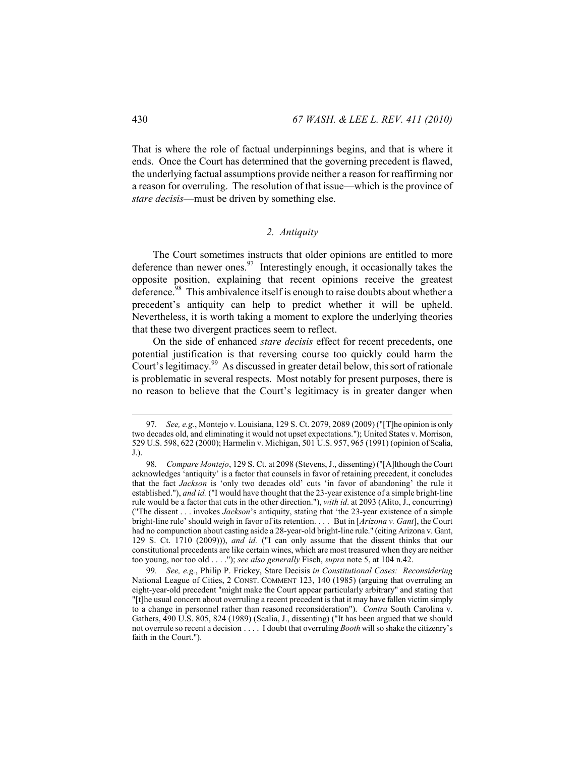That is where the role of factual underpinnings begins, and that is where it ends. Once the Court has determined that the governing precedent is flawed, the underlying factual assumptions provide neither a reason for reaffirming nor a reason for overruling. The resolution of that issue—which is the province of *stare decisis*—must be driven by something else.

## *2. Antiquity*

The Court sometimes instructs that older opinions are entitled to more deference than newer ones. $97$  Interestingly enough, it occasionally takes the opposite position, explaining that recent opinions receive the greatest deference.<sup>98</sup> This ambivalence itself is enough to raise doubts about whether a precedent's antiquity can help to predict whether it will be upheld. Nevertheless, it is worth taking a moment to explore the underlying theories that these two divergent practices seem to reflect.

On the side of enhanced *stare decisis* effect for recent precedents, one potential justification is that reversing course too quickly could harm the Court's legitimacy.<sup>99</sup> As discussed in greater detail below, this sort of rationale is problematic in several respects. Most notably for present purposes, there is no reason to believe that the Court's legitimacy is in greater danger when

 <sup>97</sup>*. See, e.g.*, Montejo v. Louisiana, 129 S. Ct. 2079, 2089 (2009) ("[T]he opinion is only two decades old, and eliminating it would not upset expectations."); United States v. Morrison, 529 U.S. 598, 622 (2000); Harmelin v. Michigan, 501 U.S. 957, 965 (1991) (opinion of Scalia, J.).

<sup>98</sup>*. Compare Montejo*, 129 S. Ct. at 2098 (Stevens, J., dissenting) ("[A]lthough the Court acknowledges 'antiquity' is a factor that counsels in favor of retaining precedent, it concludes that the fact *Jackson* is 'only two decades old' cuts 'in favor of abandoning' the rule it established."), *and id.* ("I would have thought that the 23-year existence of a simple bright-line rule would be a factor that cuts in the other direction."), *with id*. at 2093 (Alito, J., concurring) ("The dissent . . . invokes *Jackson*'s antiquity, stating that 'the 23-year existence of a simple bright-line rule' should weigh in favor of its retention. . . . But in [*Arizona v. Gant*], the Court had no compunction about casting aside a 28-year-old bright-line rule." (citing Arizona v. Gant, 129 S. Ct. 1710 (2009))), *and id.* ("I can only assume that the dissent thinks that our constitutional precedents are like certain wines, which are most treasured when they are neither too young, nor too old . . . ."); *see also generally* Fisch, *supra* note 5, at 104 n.42.

<sup>99</sup>*. See, e.g.*, Philip P. Frickey, Stare Decisis *in Constitutional Cases: Reconsidering*  National League of Cities, 2 CONST. COMMENT 123, 140 (1985) (arguing that overruling an eight-year-old precedent "might make the Court appear particularly arbitrary" and stating that "[t]he usual concern about overruling a recent precedent is that it may have fallen victim simply to a change in personnel rather than reasoned reconsideration"). *Contra* South Carolina v. Gathers, 490 U.S. 805, 824 (1989) (Scalia, J., dissenting) ("It has been argued that we should not overrule so recent a decision . . . . I doubt that overruling *Booth* will so shake the citizenry's faith in the Court.").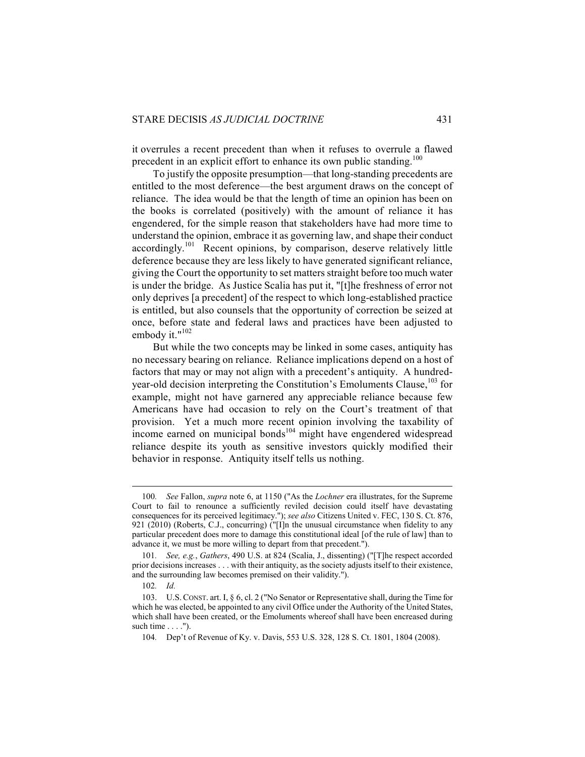it overrules a recent precedent than when it refuses to overrule a flawed precedent in an explicit effort to enhance its own public standing.<sup>100</sup>

To justify the opposite presumption—that long-standing precedents are entitled to the most deference—the best argument draws on the concept of reliance. The idea would be that the length of time an opinion has been on the books is correlated (positively) with the amount of reliance it has engendered, for the simple reason that stakeholders have had more time to understand the opinion, embrace it as governing law, and shape their conduct accordingly.101 Recent opinions, by comparison, deserve relatively little deference because they are less likely to have generated significant reliance, giving the Court the opportunity to set matters straight before too much water is under the bridge. As Justice Scalia has put it, "[t]he freshness of error not only deprives [a precedent] of the respect to which long-established practice is entitled, but also counsels that the opportunity of correction be seized at once, before state and federal laws and practices have been adjusted to embody it." $102$ 

But while the two concepts may be linked in some cases, antiquity has no necessary bearing on reliance. Reliance implications depend on a host of factors that may or may not align with a precedent's antiquity. A hundredyear-old decision interpreting the Constitution's Emoluments Clause,  $^{103}$  for example, might not have garnered any appreciable reliance because few Americans have had occasion to rely on the Court's treatment of that provision. Yet a much more recent opinion involving the taxability of income earned on municipal bonds<sup> $104$ </sup> might have engendered widespread reliance despite its youth as sensitive investors quickly modified their behavior in response. Antiquity itself tells us nothing.

<sup>100</sup>*. See* Fallon, *supra* note 6, at 1150 ("As the *Lochner* era illustrates, for the Supreme Court to fail to renounce a sufficiently reviled decision could itself have devastating consequences for its perceived legitimacy."); *see also* Citizens United v. FEC, 130 S. Ct. 876, 921 (2010) (Roberts, C.J., concurring) ("[I]n the unusual circumstance when fidelity to any particular precedent does more to damage this constitutional ideal [of the rule of law] than to advance it, we must be more willing to depart from that precedent.").

<sup>101</sup>*. See, e.g.*, *Gathers*, 490 U.S. at 824 (Scalia, J., dissenting) ("[T]he respect accorded prior decisions increases . . . with their antiquity, as the society adjusts itself to their existence, and the surrounding law becomes premised on their validity.").

<sup>102</sup>*. Id.*

 <sup>103.</sup> U.S.CONST. art. I, § 6, cl. 2 ("No Senator or Representative shall, during the Time for which he was elected, be appointed to any civil Office under the Authority of the United States, which shall have been created, or the Emoluments whereof shall have been encreased during such time  $\dots$ .").

<sup>104</sup>*.* Dep't of Revenue of Ky. v. Davis, 553 U.S. 328, 128 S. Ct. 1801, 1804 (2008).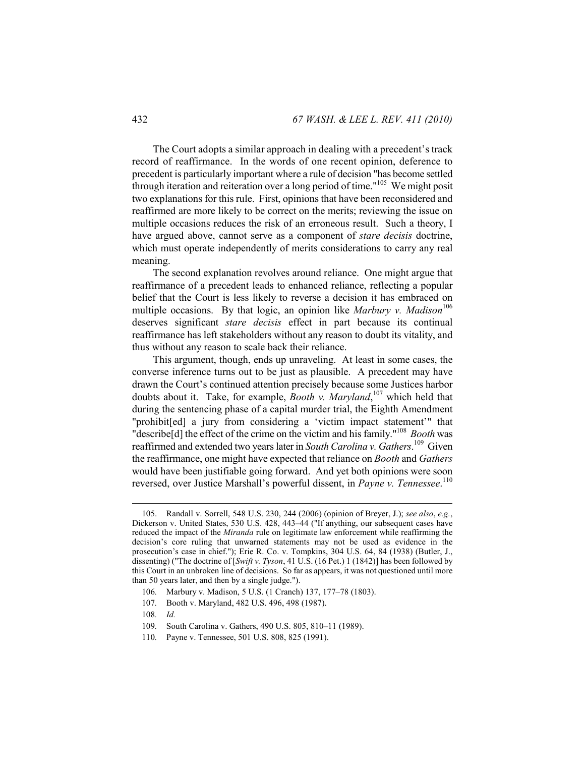The Court adopts a similar approach in dealing with a precedent's track record of reaffirmance. In the words of one recent opinion, deference to precedent is particularly important where a rule of decision "has become settled through iteration and reiteration over a long period of time."<sup>105</sup> We might posit two explanations for this rule. First, opinions that have been reconsidered and reaffirmed are more likely to be correct on the merits; reviewing the issue on multiple occasions reduces the risk of an erroneous result. Such a theory, I have argued above, cannot serve as a component of *stare decisis* doctrine, which must operate independently of merits considerations to carry any real meaning.

The second explanation revolves around reliance. One might argue that reaffirmance of a precedent leads to enhanced reliance, reflecting a popular belief that the Court is less likely to reverse a decision it has embraced on multiple occasions. By that logic, an opinion like *Marbury v. Madison*<sup>106</sup> deserves significant *stare decisis* effect in part because its continual reaffirmance has left stakeholders without any reason to doubt its vitality, and thus without any reason to scale back their reliance.

This argument, though, ends up unraveling. At least in some cases, the converse inference turns out to be just as plausible. A precedent may have drawn the Court's continued attention precisely because some Justices harbor doubts about it. Take, for example, *Booth v. Maryland*, 107 which held that during the sentencing phase of a capital murder trial, the Eighth Amendment "prohibit[ed] a jury from considering a 'victim impact statement'" that "describe[d] the effect of the crime on the victim and his family."108 *Booth* was reaffirmed and extended two years later in *South Carolina v. Gathers*. 109 Given the reaffirmance, one might have expected that reliance on *Booth* and *Gathers*  would have been justifiable going forward. And yet both opinions were soon reversed, over Justice Marshall's powerful dissent, in *Payne v. Tennessee*. 110

107*.* Booth v. Maryland, 482 U.S. 496, 498 (1987).

 $\overline{a}$ 

110*.* Payne v. Tennessee, 501 U.S. 808, 825 (1991).

 <sup>105.</sup> Randall v. Sorrell, 548 U.S. 230, 244 (2006) (opinion of Breyer, J.); *see also*, *e.g.*, Dickerson v. United States, 530 U.S. 428, 443–44 ("If anything, our subsequent cases have reduced the impact of the *Miranda* rule on legitimate law enforcement while reaffirming the decision's core ruling that unwarned statements may not be used as evidence in the prosecution's case in chief."); Erie R. Co. v. Tompkins, 304 U.S. 64, 84 (1938) (Butler, J., dissenting) ("The doctrine of [*Swift v. Tyson*, 41 U.S. (16 Pet.) 1 (1842)] has been followed by this Court in an unbroken line of decisions. So far as appears, it was not questioned until more than 50 years later, and then by a single judge.").

<sup>106</sup>*.* Marbury v. Madison, 5 U.S. (1 Cranch) 137, 177–78 (1803).

<sup>108</sup>*. Id.*

<sup>109</sup>*.* South Carolina v. Gathers, 490 U.S. 805, 810–11 (1989).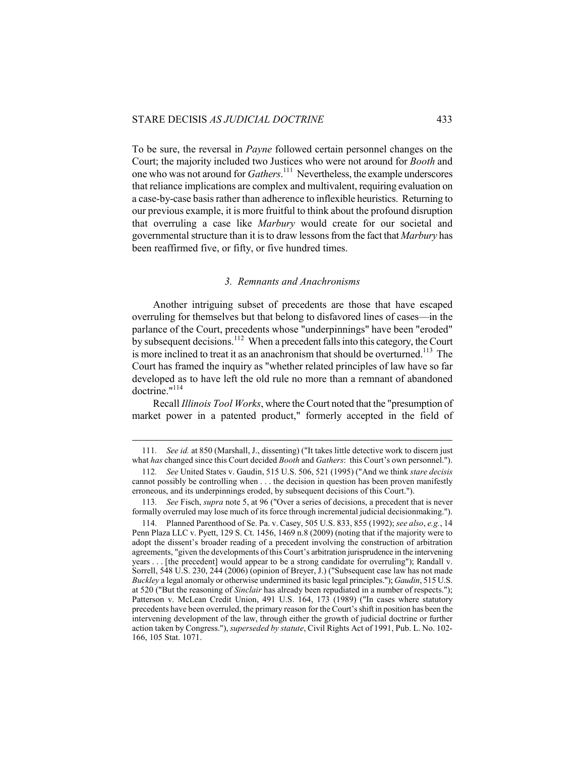$\overline{a}$ 

To be sure, the reversal in *Payne* followed certain personnel changes on the Court; the majority included two Justices who were not around for *Booth* and one who was not around for *Gathers*. 111 Nevertheless, the example underscores that reliance implications are complex and multivalent, requiring evaluation on a case-by-case basis rather than adherence to inflexible heuristics. Returning to our previous example, it is more fruitful to think about the profound disruption that overruling a case like *Marbury* would create for our societal and governmental structure than it is to draw lessons from the fact that *Marbury* has been reaffirmed five, or fifty, or five hundred times.

#### *3. Remnants and Anachronisms*

Another intriguing subset of precedents are those that have escaped overruling for themselves but that belong to disfavored lines of cases—in the parlance of the Court, precedents whose "underpinnings" have been "eroded" by subsequent decisions.<sup>112</sup> When a precedent falls into this category, the Court is more inclined to treat it as an anachronism that should be overturned.<sup>113</sup> The Court has framed the inquiry as "whether related principles of law have so far developed as to have left the old rule no more than a remnant of abandoned doctrine."114

Recall *Illinois Tool Works*, where the Court noted that the "presumption of market power in a patented product," formerly accepted in the field of

<sup>111</sup>*. See id.* at 850 (Marshall, J., dissenting) ("It takes little detective work to discern just what *has* changed since this Court decided *Booth* and *Gathers*: this Court's own personnel.").

<sup>112</sup>*. See* United States v. Gaudin, 515 U.S. 506, 521 (1995) ("And we think *stare decisis*  cannot possibly be controlling when . . . the decision in question has been proven manifestly erroneous, and its underpinnings eroded, by subsequent decisions of this Court.").

<sup>113</sup>*. See* Fisch, *supra* note 5, at 96 ("Over a series of decisions, a precedent that is never formally overruled may lose much of its force through incremental judicial decisionmaking.").

 <sup>114.</sup> Planned Parenthood of Se. Pa. v. Casey, 505 U.S. 833, 855 (1992); *see also*, *e.g.*, 14 Penn Plaza LLC v. Pyett, 129 S. Ct. 1456, 1469 n.8 (2009) (noting that if the majority were to adopt the dissent's broader reading of a precedent involving the construction of arbitration agreements, "given the developments of this Court's arbitration jurisprudence in the intervening years . . . [the precedent] would appear to be a strong candidate for overruling"); Randall v. Sorrell, 548 U.S. 230, 244 (2006) (opinion of Breyer, J.) ("Subsequent case law has not made *Buckley* a legal anomaly or otherwise undermined its basic legal principles."); *Gaudin*, 515 U.S. at 520 ("But the reasoning of *Sinclair* has already been repudiated in a number of respects."); Patterson v. McLean Credit Union, 491 U.S. 164, 173 (1989) ("In cases where statutory precedents have been overruled, the primary reason for the Court's shift in position has been the intervening development of the law, through either the growth of judicial doctrine or further action taken by Congress."), *superseded by statute*, Civil Rights Act of 1991, Pub. L. No. 102- 166, 105 Stat. 1071.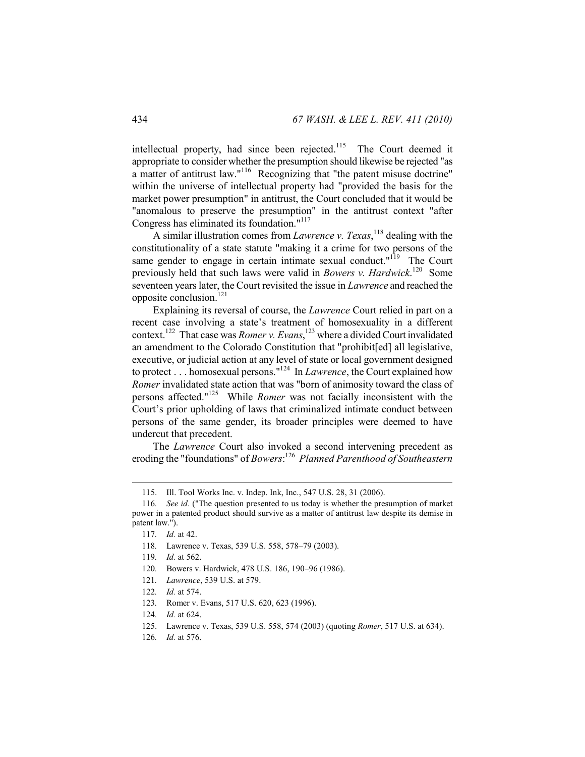intellectual property, had since been rejected.<sup>115</sup> The Court deemed it appropriate to consider whether the presumption should likewise be rejected "as a matter of antitrust law."<sup>116</sup> Recognizing that "the patent misuse doctrine" within the universe of intellectual property had "provided the basis for the market power presumption" in antitrust, the Court concluded that it would be "anomalous to preserve the presumption" in the antitrust context "after Congress has eliminated its foundation."<sup>117</sup>

A similar illustration comes from *Lawrence v. Texas*, 118 dealing with the constitutionality of a state statute "making it a crime for two persons of the same gender to engage in certain intimate sexual conduct."<sup>119</sup> The Court previously held that such laws were valid in *Bowers v. Hardwick*. 120 Some seventeen years later, the Court revisited the issue in *Lawrence* and reached the opposite conclusion.<sup>121</sup>

Explaining its reversal of course, the *Lawrence* Court relied in part on a recent case involving a state's treatment of homosexuality in a different context.122 That case was *Romer v. Evans*, 123 where a divided Court invalidated an amendment to the Colorado Constitution that "prohibit[ed] all legislative, executive, or judicial action at any level of state or local government designed to protect . . . homosexual persons."124 In *Lawrence*, the Court explained how *Romer* invalidated state action that was "born of animosity toward the class of persons affected."125 While *Romer* was not facially inconsistent with the Court's prior upholding of laws that criminalized intimate conduct between persons of the same gender, its broader principles were deemed to have undercut that precedent.

The *Lawrence* Court also invoked a second intervening precedent as eroding the "foundations" of *Bowers*: 126 *Planned Parenthood of Southeastern* 

 <sup>115.</sup> Ill. Tool Works Inc. v. Indep. Ink, Inc., 547 U.S. 28, 31 (2006).

<sup>116</sup>*. See id.* ("The question presented to us today is whether the presumption of market power in a patented product should survive as a matter of antitrust law despite its demise in patent law.").

<sup>117</sup>*. Id.* at 42.

<sup>118</sup>*.* Lawrence v. Texas, 539 U.S. 558, 578–79 (2003).

<sup>119</sup>*. Id.* at 562.

<sup>120</sup>*.* Bowers v. Hardwick, 478 U.S. 186, 190–96 (1986).

<sup>121</sup>*. Lawrence*, 539 U.S. at 579.

<sup>122</sup>*. Id.* at 574.

<sup>123</sup>*.* Romer v. Evans, 517 U.S. 620, 623 (1996).

<sup>124</sup>*. Id.* at 624.

 <sup>125.</sup> Lawrence v. Texas, 539 U.S. 558, 574 (2003) (quoting *Romer*, 517 U.S. at 634).

<sup>126</sup>*. Id.* at 576.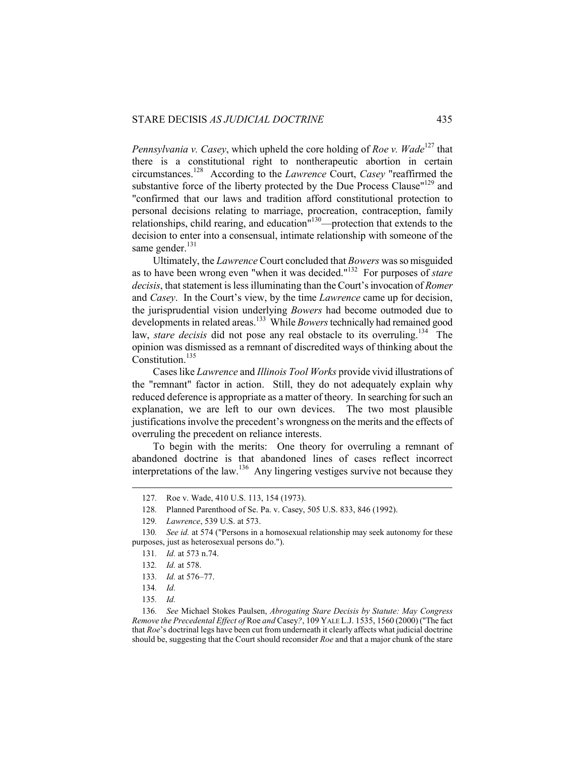*Pennsylvania v. Casey, which upheld the core holding of Roe v. Wade<sup>127</sup> that* there is a constitutional right to nontherapeutic abortion in certain circumstances.128 According to the *Lawrence* Court, *Casey* "reaffirmed the substantive force of the liberty protected by the Due Process Clause"<sup>129</sup> and "confirmed that our laws and tradition afford constitutional protection to personal decisions relating to marriage, procreation, contraception, family relationships, child rearing, and education<sup> $130$ </sup>—protection that extends to the decision to enter into a consensual, intimate relationship with someone of the same gender.<sup>131</sup>

Ultimately, the *Lawrence* Court concluded that *Bowers* was so misguided as to have been wrong even "when it was decided."132 For purposes of *stare decisis*, that statement is less illuminating than the Court's invocation of *Romer*  and *Casey*. In the Court's view, by the time *Lawrence* came up for decision, the jurisprudential vision underlying *Bowers* had become outmoded due to developments in related areas.133 While *Bowers* technically had remained good law, *stare decisis* did not pose any real obstacle to its overruling.<sup>134</sup> The opinion was dismissed as a remnant of discredited ways of thinking about the Constitution.<sup>135</sup>

Cases like *Lawrence* and *Illinois Tool Works* provide vivid illustrations of the "remnant" factor in action. Still, they do not adequately explain why reduced deference is appropriate as a matter of theory. In searching for such an explanation, we are left to our own devices. The two most plausible justifications involve the precedent's wrongness on the merits and the effects of overruling the precedent on reliance interests.

To begin with the merits: One theory for overruling a remnant of abandoned doctrine is that abandoned lines of cases reflect incorrect interpretations of the law.<sup>136</sup> Any lingering vestiges survive not because they

<sup>127</sup>*.* Roe v. Wade, 410 U.S. 113, 154 (1973).

<sup>128</sup>*.* Planned Parenthood of Se. Pa. v. Casey, 505 U.S. 833, 846 (1992).

<sup>129</sup>*. Lawrence*, 539 U.S. at 573.

<sup>130</sup>*. See id.* at 574 ("Persons in a homosexual relationship may seek autonomy for these purposes, just as heterosexual persons do.").

<sup>131</sup>*. Id.* at 573 n.74.

<sup>132</sup>*. Id.* at 578.

<sup>133</sup>*. Id.* at 576–77.

<sup>134</sup>*. Id.*

<sup>135</sup>*. Id.*

<sup>136</sup>*. See* Michael Stokes Paulsen, *Abrogating Stare Decisis by Statute: May Congress Remove the Precedental Effect of* Roe *and* Casey*?*, 109 YALE L.J. 1535, 1560 (2000) ("The fact that *Roe*'s doctrinal legs have been cut from underneath it clearly affects what judicial doctrine should be, suggesting that the Court should reconsider *Roe* and that a major chunk of the stare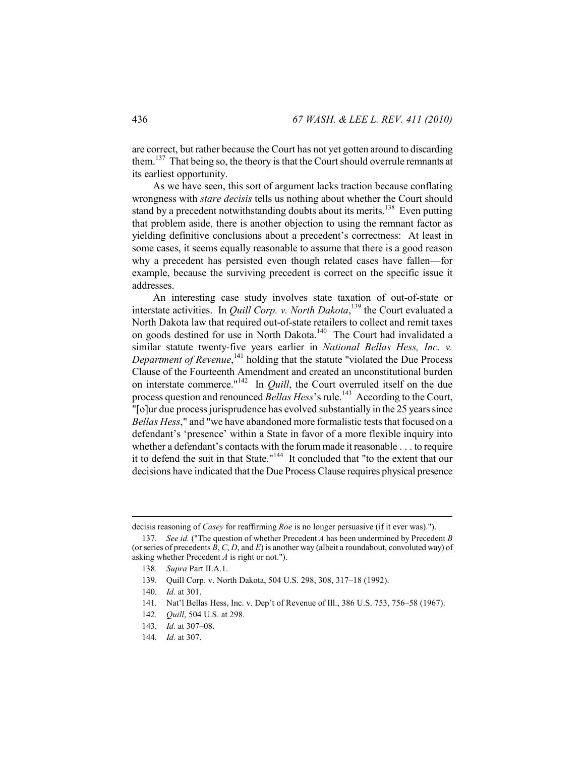are correct, but rather because the Court has not yet gotten around to discarding them.<sup>137</sup> That being so, the theory is that the Court should overrule remnants at its earliest opportunity.

As we have seen, this sort of argument lacks traction because conflating wrongness with *stare decisis* tells us nothing about whether the Court should stand by a precedent notwithstanding doubts about its merits.<sup>138</sup> Even putting that problem aside, there is another objection to using the remnant factor as yielding definitive conclusions about a precedent's correctness: At least in some cases, it seems equally reasonable to assume that there is a good reason why a precedent has persisted even though related cases have fallen—for example, because the surviving precedent is correct on the specific issue it addresses.

An interesting case study involves state taxation of out-of-state or interstate activities. In *Quill Corp. v. North Dakota*, 139 the Court evaluated a North Dakota law that required out-of-state retailers to collect and remit taxes on goods destined for use in North Dakota.<sup>140</sup> The Court had invalidated a similar statute twenty-five years earlier in *National Bellas Hess, Inc. v.*  Department of Revenue,<sup>141</sup> holding that the statute "violated the Due Process" Clause of the Fourteenth Amendment and created an unconstitutional burden on interstate commerce."142 In *Quill*, the Court overruled itself on the due process question and renounced *Bellas Hess*'s rule.<sup>143</sup> According to the Court, "[o]ur due process jurisprudence has evolved substantially in the 25 years since *Bellas Hess*," and "we have abandoned more formalistic tests that focused on a defendant's 'presence' within a State in favor of a more flexible inquiry into whether a defendant's contacts with the forum made it reasonable . . . to require it to defend the suit in that State."144 It concluded that "to the extent that our decisions have indicated that the Due Process Clause requires physical presence

decisis reasoning of *Casey* for reaffirming *Roe* is no longer persuasive (if it ever was).").

<sup>137</sup>*. See id.* ("The question of whether Precedent *A* has been undermined by Precedent *B* (or series of precedents *B*, *C*, *D*, and *E*) is another way (albeit a roundabout, convoluted way) of asking whether Precedent *A* is right or not.").

<sup>138</sup>*. Supra* Part II.A.1.

<sup>139</sup>*.* Quill Corp. v. North Dakota, 504 U.S. 298, 308, 317–18 (1992).

<sup>140</sup>*. Id.* at 301.

<sup>141</sup>*.* Nat'l Bellas Hess, Inc. v. Dep't of Revenue of Ill., 386 U.S. 753, 756–58 (1967).

<sup>142</sup>*. Quill*, 504 U.S. at 298.

<sup>143</sup>*. Id.* at 307–08.

<sup>144</sup>*. Id.* at 307.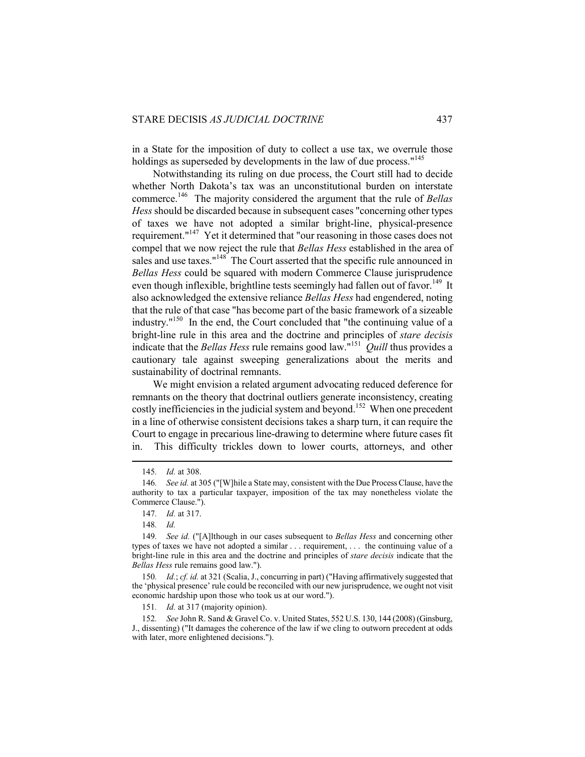in a State for the imposition of duty to collect a use tax, we overrule those holdings as superseded by developments in the law of due process."<sup>145</sup>

Notwithstanding its ruling on due process, the Court still had to decide whether North Dakota's tax was an unconstitutional burden on interstate commerce.146 The majority considered the argument that the rule of *Bellas Hess* should be discarded because in subsequent cases "concerning other types of taxes we have not adopted a similar bright-line, physical-presence requirement."147 Yet it determined that "our reasoning in those cases does not compel that we now reject the rule that *Bellas Hess* established in the area of sales and use taxes."<sup>148</sup> The Court asserted that the specific rule announced in *Bellas Hess* could be squared with modern Commerce Clause jurisprudence even though inflexible, brightline tests seemingly had fallen out of favor.<sup>149</sup> It also acknowledged the extensive reliance *Bellas Hess* had engendered, noting that the rule of that case "has become part of the basic framework of a sizeable industry."150 In the end, the Court concluded that "the continuing value of a bright-line rule in this area and the doctrine and principles of *stare decisis* indicate that the *Bellas Hess* rule remains good law."151 *Quill* thus provides a cautionary tale against sweeping generalizations about the merits and sustainability of doctrinal remnants.

We might envision a related argument advocating reduced deference for remnants on the theory that doctrinal outliers generate inconsistency, creating costly inefficiencies in the judicial system and beyond.<sup>152</sup> When one precedent in a line of otherwise consistent decisions takes a sharp turn, it can require the Court to engage in precarious line-drawing to determine where future cases fit in. This difficulty trickles down to lower courts, attorneys, and other

 $\overline{a}$ 

150*. Id.*; *cf. id.* at 321 (Scalia, J., concurring in part) ("Having affirmatively suggested that the 'physical presence' rule could be reconciled with our new jurisprudence, we ought not visit economic hardship upon those who took us at our word.").

151*. Id.* at 317 (majority opinion).

152*. See* John R. Sand & Gravel Co. v. United States, 552 U.S. 130, 144 (2008) (Ginsburg, J., dissenting) ("It damages the coherence of the law if we cling to outworn precedent at odds with later, more enlightened decisions.").

<sup>145</sup>*. Id.* at 308.

<sup>146</sup>*. See id.* at 305 ("[W]hile a State may, consistent with the Due Process Clause, have the authority to tax a particular taxpayer, imposition of the tax may nonetheless violate the Commerce Clause.").

<sup>147</sup>*. Id.* at 317.

<sup>148</sup>*. Id.*

<sup>149</sup>*. See id.* ("[A]lthough in our cases subsequent to *Bellas Hess* and concerning other types of taxes we have not adopted a similar . . . requirement, . . . the continuing value of a bright-line rule in this area and the doctrine and principles of *stare decisis* indicate that the *Bellas Hess* rule remains good law.").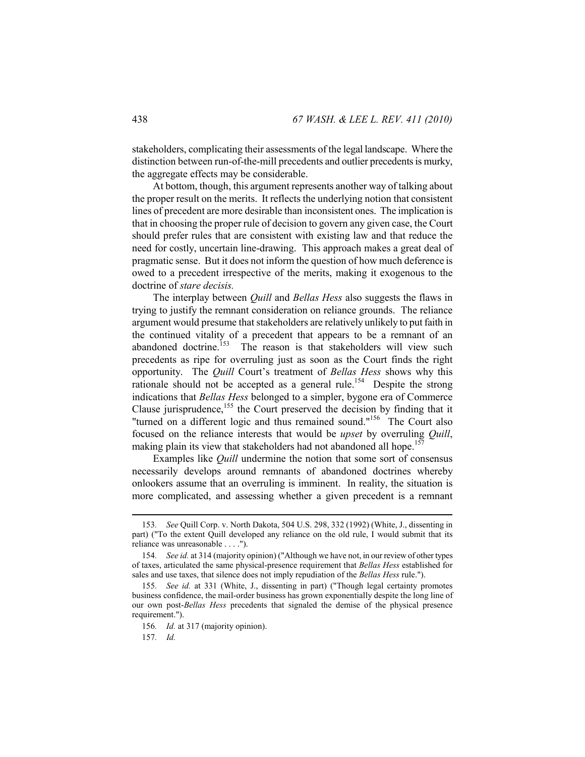stakeholders, complicating their assessments of the legal landscape. Where the distinction between run-of-the-mill precedents and outlier precedents is murky, the aggregate effects may be considerable.

At bottom, though, this argument represents another way of talking about the proper result on the merits. It reflects the underlying notion that consistent lines of precedent are more desirable than inconsistent ones. The implication is that in choosing the proper rule of decision to govern any given case, the Court should prefer rules that are consistent with existing law and that reduce the need for costly, uncertain line-drawing. This approach makes a great deal of pragmatic sense. But it does not inform the question of how much deference is owed to a precedent irrespective of the merits, making it exogenous to the doctrine of *stare decisis.*

The interplay between *Quill* and *Bellas Hess* also suggests the flaws in trying to justify the remnant consideration on reliance grounds. The reliance argument would presume that stakeholders are relatively unlikely to put faith in the continued vitality of a precedent that appears to be a remnant of an abandoned doctrine.<sup>153</sup> The reason is that stakeholders will view such precedents as ripe for overruling just as soon as the Court finds the right opportunity. The *Quill* Court's treatment of *Bellas Hess* shows why this rationale should not be accepted as a general rule.<sup>154</sup> Despite the strong indications that *Bellas Hess* belonged to a simpler, bygone era of Commerce Clause jurisprudence,<sup>155</sup> the Court preserved the decision by finding that it "turned on a different logic and thus remained sound."<sup>156</sup> The Court also focused on the reliance interests that would be *upset* by overruling *Quill*, making plain its view that stakeholders had not abandoned all hope.<sup>157</sup>

Examples like *Quill* undermine the notion that some sort of consensus necessarily develops around remnants of abandoned doctrines whereby onlookers assume that an overruling is imminent. In reality, the situation is more complicated, and assessing whether a given precedent is a remnant

<sup>153</sup>*. See* Quill Corp. v. North Dakota, 504 U.S. 298, 332 (1992) (White, J., dissenting in part) ("To the extent Quill developed any reliance on the old rule, I would submit that its reliance was unreasonable . . . .").

<sup>154</sup>*. See id.* at 314 (majority opinion) ("Although we have not, in our review of other types of taxes, articulated the same physical-presence requirement that *Bellas Hess* established for sales and use taxes, that silence does not imply repudiation of the *Bellas Hess* rule.").

<sup>155</sup>*. See id.* at 331 (White, J., dissenting in part) ("Though legal certainty promotes business confidence, the mail-order business has grown exponentially despite the long line of our own post-*Bellas Hess* precedents that signaled the demise of the physical presence requirement.").

<sup>156</sup>*. Id.* at 317 (majority opinion).

<sup>157</sup>*. Id.*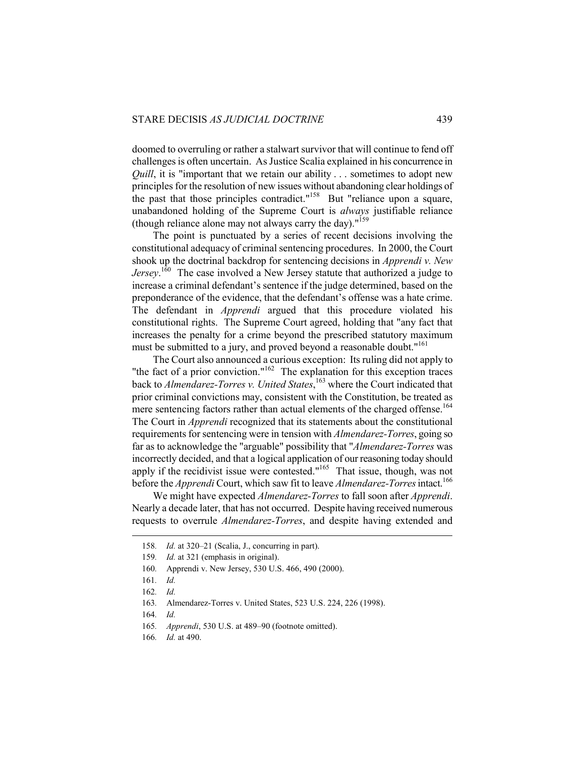doomed to overruling or rather a stalwart survivor that will continue to fend off challenges is often uncertain. As Justice Scalia explained in his concurrence in *Quill*, it is "important that we retain our ability . . . sometimes to adopt new principles for the resolution of new issues without abandoning clear holdings of the past that those principles contradict."<sup>158</sup> But "reliance upon a square, unabandoned holding of the Supreme Court is *always* justifiable reliance (though reliance alone may not always carry the day).  $159$ 

The point is punctuated by a series of recent decisions involving the constitutional adequacy of criminal sentencing procedures. In 2000, the Court shook up the doctrinal backdrop for sentencing decisions in *Apprendi v. New Jersey*. 160 The case involved a New Jersey statute that authorized a judge to increase a criminal defendant's sentence if the judge determined, based on the preponderance of the evidence, that the defendant's offense was a hate crime. The defendant in *Apprendi* argued that this procedure violated his constitutional rights. The Supreme Court agreed, holding that "any fact that increases the penalty for a crime beyond the prescribed statutory maximum must be submitted to a jury, and proved beyond a reasonable doubt."<sup>161</sup>

The Court also announced a curious exception: Its ruling did not apply to "the fact of a prior conviction."<sup>162</sup> The explanation for this exception traces back to *Almendarez-Torres v. United States*, 163 where the Court indicated that prior criminal convictions may, consistent with the Constitution, be treated as mere sentencing factors rather than actual elements of the charged offense.<sup>164</sup> The Court in *Apprendi* recognized that its statements about the constitutional requirements for sentencing were in tension with *Almendarez-Torres*, going so far as to acknowledge the "arguable" possibility that "*Almendarez-Torres* was incorrectly decided, and that a logical application of our reasoning today should apply if the recidivist issue were contested."165 That issue, though, was not before the *Apprendi* Court, which saw fit to leave *Almendarez-Torres* intact.<sup>166</sup>

We might have expected *Almendarez-Torres* to fall soon after *Apprendi*. Nearly a decade later, that has not occurred. Despite having received numerous requests to overrule *Almendarez-Torres*, and despite having extended and

<sup>158</sup>*. Id.* at 320–21 (Scalia, J., concurring in part).

<sup>159</sup>*. Id.* at 321 (emphasis in original).

<sup>160</sup>*.* Apprendi v. New Jersey, 530 U.S. 466, 490 (2000).

<sup>161</sup>*. Id.*

<sup>162</sup>*. Id.*

<sup>163</sup>*.* Almendarez-Torres v. United States, 523 U.S. 224, 226 (1998).

<sup>164</sup>*. Id.*

<sup>165</sup>*. Apprendi*, 530 U.S. at 489–90 (footnote omitted).

<sup>166</sup>*. Id.* at 490.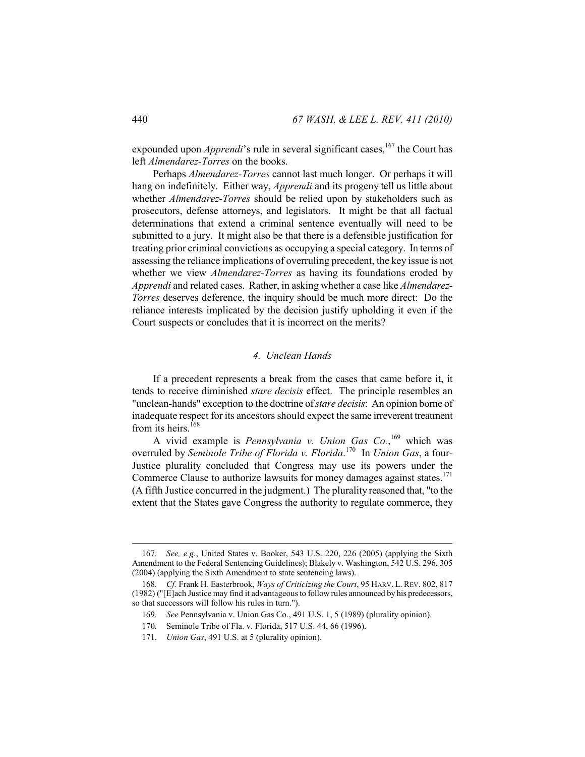expounded upon *Apprendi*'s rule in several significant cases,<sup>167</sup> the Court has left *Almendarez-Torres* on the books.

Perhaps *Almendarez-Torres* cannot last much longer. Or perhaps it will hang on indefinitely. Either way, *Apprendi* and its progeny tell us little about whether *Almendarez-Torres* should be relied upon by stakeholders such as prosecutors, defense attorneys, and legislators. It might be that all factual determinations that extend a criminal sentence eventually will need to be submitted to a jury. It might also be that there is a defensible justification for treating prior criminal convictions as occupying a special category. In terms of assessing the reliance implications of overruling precedent, the key issue is not whether we view *Almendarez-Torres* as having its foundations eroded by *Apprendi* and related cases. Rather, in asking whether a case like *Almendarez-Torres* deserves deference, the inquiry should be much more direct: Do the reliance interests implicated by the decision justify upholding it even if the Court suspects or concludes that it is incorrect on the merits?

#### *4. Unclean Hands*

If a precedent represents a break from the cases that came before it, it tends to receive diminished *stare decisis* effect. The principle resembles an "unclean-hands" exception to the doctrine of *stare decisis*: An opinion borne of inadequate respect for its ancestors should expect the same irreverent treatment from its heirs.<sup>168</sup>

A vivid example is *Pennsylvania v. Union Gas Co.*,<sup>169</sup> which was overruled by *Seminole Tribe of Florida v. Florida*. 170 In *Union Gas*, a four-Justice plurality concluded that Congress may use its powers under the Commerce Clause to authorize lawsuits for money damages against states.<sup>171</sup> (A fifth Justice concurred in the judgment.) The plurality reasoned that, "to the extent that the States gave Congress the authority to regulate commerce, they

<sup>167</sup>*. See, e.g.*, United States v. Booker, 543 U.S. 220, 226 (2005) (applying the Sixth Amendment to the Federal Sentencing Guidelines); Blakely v. Washington, 542 U.S. 296, 305 (2004) (applying the Sixth Amendment to state sentencing laws).

<sup>168</sup>*. Cf.* Frank H. Easterbrook, *Ways of Criticizing the Court*, 95 HARV. L. REV. 802, 817 (1982) ("[E]ach Justice may find it advantageous to follow rules announced by his predecessors, so that successors will follow his rules in turn.").

<sup>169</sup>*. See* Pennsylvania v. Union Gas Co., 491 U.S. 1, 5 (1989) (plurality opinion).

<sup>170</sup>*.* Seminole Tribe of Fla. v. Florida, 517 U.S. 44, 66 (1996).

<sup>171</sup>*. Union Gas*, 491 U.S. at 5 (plurality opinion).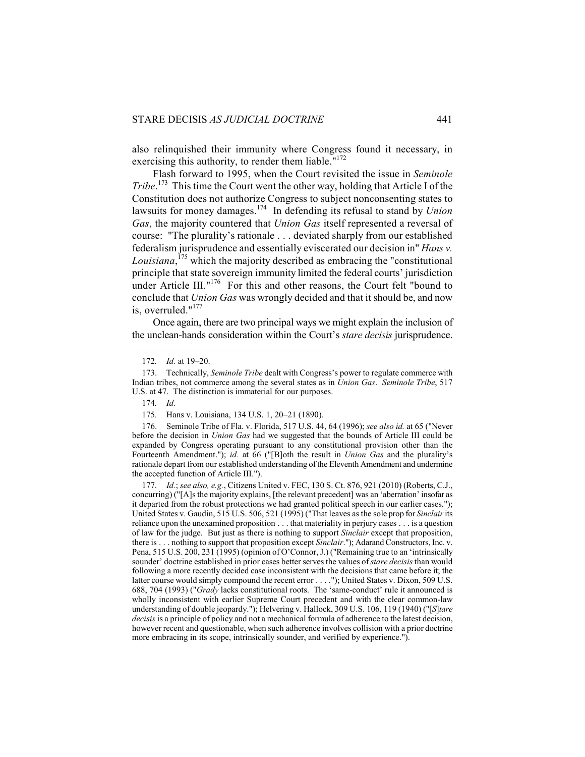also relinquished their immunity where Congress found it necessary, in exercising this authority, to render them liable."<sup>172</sup>

Flash forward to 1995, when the Court revisited the issue in *Seminole Tribe*. 173 This time the Court went the other way, holding that Article I of the Constitution does not authorize Congress to subject nonconsenting states to lawsuits for money damages.174 In defending its refusal to stand by *Union Gas*, the majority countered that *Union Gas* itself represented a reversal of course: "The plurality's rationale . . . deviated sharply from our established federalism jurisprudence and essentially eviscerated our decision in" *Hans v. Louisiana*, 175 which the majority described as embracing the "constitutional principle that state sovereign immunity limited the federal courts' jurisdiction under Article III." $176$  For this and other reasons, the Court felt "bound to conclude that *Union Gas* was wrongly decided and that it should be, and now is, overruled."<sup>177</sup>

Once again, there are two principal ways we might explain the inclusion of the unclean-hands consideration within the Court's *stare decisis* jurisprudence.

 $\overline{a}$ 

 176. Seminole Tribe of Fla. v. Florida, 517 U.S. 44, 64 (1996); *see also id.* at 65 ("Never before the decision in *Union Gas* had we suggested that the bounds of Article III could be expanded by Congress operating pursuant to any constitutional provision other than the Fourteenth Amendment."); *id.* at 66 ("[B]oth the result in *Union Gas* and the plurality's rationale depart from our established understanding of the Eleventh Amendment and undermine the accepted function of Article III.").

177*. Id.*; *see also, e.g.*, Citizens United v. FEC, 130 S. Ct. 876, 921 (2010) (Roberts, C.J., concurring) ("[A]s the majority explains, [the relevant precedent] was an 'aberration' insofar as it departed from the robust protections we had granted political speech in our earlier cases."); United States v. Gaudin, 515 U.S. 506, 521 (1995) ("That leaves as the sole prop for *Sinclair* its reliance upon the unexamined proposition . . . that materiality in perjury cases . . . is a question of law for the judge. But just as there is nothing to support *Sinclair* except that proposition, there is . . . nothing to support that proposition except *Sinclair*."); Adarand Constructors, Inc. v. Pena, 515 U.S. 200, 231 (1995) (opinion of O'Connor, J.) ("Remaining true to an 'intrinsically sounder' doctrine established in prior cases better serves the values of *stare decisis* than would following a more recently decided case inconsistent with the decisions that came before it; the latter course would simply compound the recent error . . . ."); United States v. Dixon, 509 U.S. 688, 704 (1993) ("*Grady* lacks constitutional roots. The 'same-conduct' rule it announced is wholly inconsistent with earlier Supreme Court precedent and with the clear common-law understanding of double jeopardy."); Helvering v. Hallock, 309 U.S. 106, 119 (1940) ("[*S*]*tare decisis* is a principle of policy and not a mechanical formula of adherence to the latest decision, however recent and questionable, when such adherence involves collision with a prior doctrine more embracing in its scope, intrinsically sounder, and verified by experience.").

<sup>172</sup>*. Id.* at 19–20.

 <sup>173.</sup> Technically, *Seminole Tribe* dealt with Congress's power to regulate commerce with Indian tribes, not commerce among the several states as in *Union Gas*. *Seminole Tribe*, 517 U.S. at 47. The distinction is immaterial for our purposes.

<sup>174</sup>*. Id.*

<sup>175</sup>*.* Hans v. Louisiana, 134 U.S. 1, 20–21 (1890).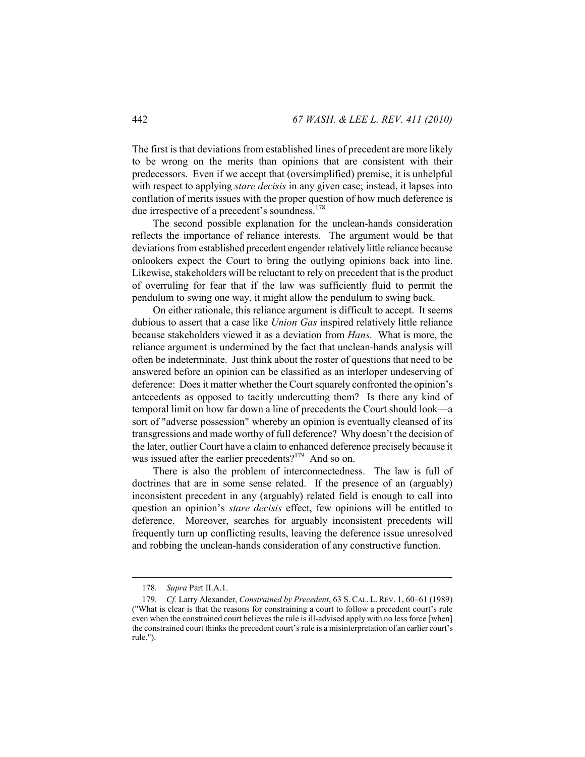The first is that deviations from established lines of precedent are more likely to be wrong on the merits than opinions that are consistent with their predecessors. Even if we accept that (oversimplified) premise, it is unhelpful with respect to applying *stare decisis* in any given case; instead, it lapses into conflation of merits issues with the proper question of how much deference is due irrespective of a precedent's soundness.<sup>178</sup>

The second possible explanation for the unclean-hands consideration reflects the importance of reliance interests. The argument would be that deviations from established precedent engender relatively little reliance because onlookers expect the Court to bring the outlying opinions back into line. Likewise, stakeholders will be reluctant to rely on precedent that is the product of overruling for fear that if the law was sufficiently fluid to permit the pendulum to swing one way, it might allow the pendulum to swing back.

On either rationale, this reliance argument is difficult to accept. It seems dubious to assert that a case like *Union Gas* inspired relatively little reliance because stakeholders viewed it as a deviation from *Hans*. What is more, the reliance argument is undermined by the fact that unclean-hands analysis will often be indeterminate. Just think about the roster of questions that need to be answered before an opinion can be classified as an interloper undeserving of deference: Does it matter whether the Court squarely confronted the opinion's antecedents as opposed to tacitly undercutting them? Is there any kind of temporal limit on how far down a line of precedents the Court should look—a sort of "adverse possession" whereby an opinion is eventually cleansed of its transgressions and made worthy of full deference? Why doesn't the decision of the later, outlier Court have a claim to enhanced deference precisely because it was issued after the earlier precedents?<sup>179</sup> And so on.

There is also the problem of interconnectedness. The law is full of doctrines that are in some sense related. If the presence of an (arguably) inconsistent precedent in any (arguably) related field is enough to call into question an opinion's *stare decisis* effect, few opinions will be entitled to deference. Moreover, searches for arguably inconsistent precedents will frequently turn up conflicting results, leaving the deference issue unresolved and robbing the unclean-hands consideration of any constructive function.

<sup>178</sup>*. Supra* Part II.A.1.

<sup>179</sup>*. Cf.* Larry Alexander, *Constrained by Precedent*, 63 S. CAL. L. REV. 1, 60–61 (1989) ("What is clear is that the reasons for constraining a court to follow a precedent court's rule even when the constrained court believes the rule is ill-advised apply with no less force [when] the constrained court thinks the precedent court's rule is a misinterpretation of an earlier court's rule.").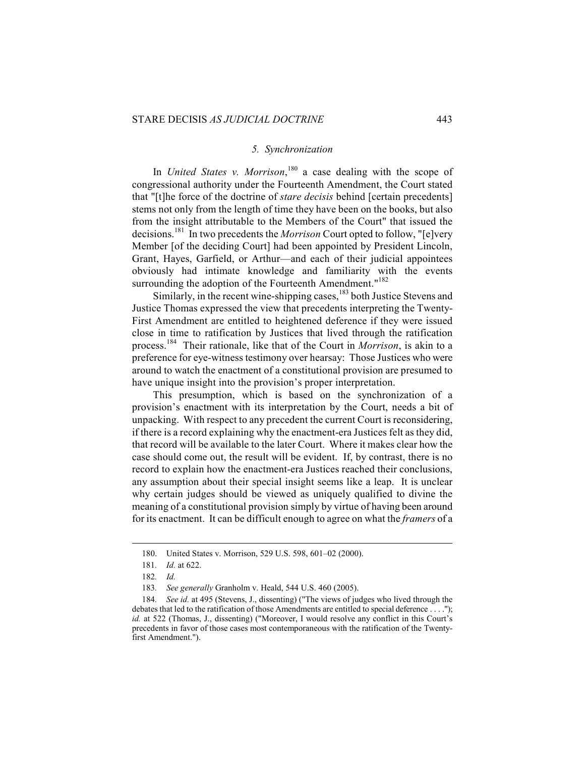#### *5. Synchronization*

In *United States v. Morrison*, 180 a case dealing with the scope of congressional authority under the Fourteenth Amendment, the Court stated that "[t]he force of the doctrine of *stare decisis* behind [certain precedents] stems not only from the length of time they have been on the books, but also from the insight attributable to the Members of the Court" that issued the decisions.181 In two precedents the *Morrison* Court opted to follow, "[e]very Member [of the deciding Court] had been appointed by President Lincoln, Grant, Hayes, Garfield, or Arthur—and each of their judicial appointees obviously had intimate knowledge and familiarity with the events surrounding the adoption of the Fourteenth Amendment."<sup>182</sup>

Similarly, in the recent wine-shipping cases,<sup>183</sup> both Justice Stevens and Justice Thomas expressed the view that precedents interpreting the Twenty-First Amendment are entitled to heightened deference if they were issued close in time to ratification by Justices that lived through the ratification process.184 Their rationale, like that of the Court in *Morrison*, is akin to a preference for eye-witness testimony over hearsay: Those Justices who were around to watch the enactment of a constitutional provision are presumed to have unique insight into the provision's proper interpretation.

This presumption, which is based on the synchronization of a provision's enactment with its interpretation by the Court, needs a bit of unpacking. With respect to any precedent the current Court is reconsidering, if there is a record explaining why the enactment-era Justices felt as they did, that record will be available to the later Court. Where it makes clear how the case should come out, the result will be evident. If, by contrast, there is no record to explain how the enactment-era Justices reached their conclusions, any assumption about their special insight seems like a leap. It is unclear why certain judges should be viewed as uniquely qualified to divine the meaning of a constitutional provision simply by virtue of having been around for its enactment. It can be difficult enough to agree on what the *framers* of a

 <sup>180.</sup> United States v. Morrison, 529 U.S. 598, 601–02 (2000).

<sup>181</sup>*. Id.* at 622.

<sup>182</sup>*. Id.* 

<sup>183</sup>*. See generally* Granholm v. Heald, 544 U.S. 460 (2005).

<sup>184</sup>*. See id.* at 495 (Stevens, J., dissenting) ("The views of judges who lived through the debates that led to the ratification of those Amendments are entitled to special deference . . . ."); *id.* at 522 (Thomas, J., dissenting) ("Moreover, I would resolve any conflict in this Court's precedents in favor of those cases most contemporaneous with the ratification of the Twentyfirst Amendment.").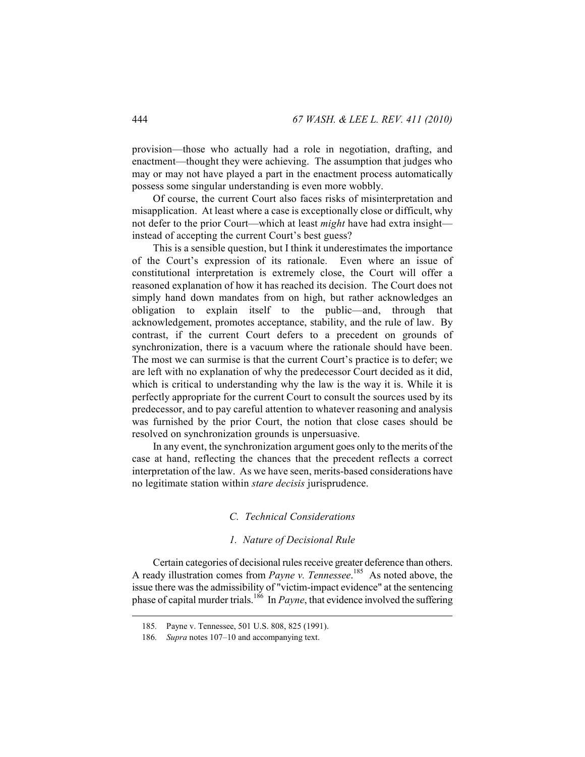provision—those who actually had a role in negotiation, drafting, and enactment—thought they were achieving. The assumption that judges who may or may not have played a part in the enactment process automatically possess some singular understanding is even more wobbly.

Of course, the current Court also faces risks of misinterpretation and misapplication. At least where a case is exceptionally close or difficult, why not defer to the prior Court—which at least *might* have had extra insight instead of accepting the current Court's best guess?

This is a sensible question, but I think it underestimates the importance of the Court's expression of its rationale. Even where an issue of constitutional interpretation is extremely close, the Court will offer a reasoned explanation of how it has reached its decision. The Court does not simply hand down mandates from on high, but rather acknowledges an obligation to explain itself to the public—and, through that acknowledgement, promotes acceptance, stability, and the rule of law. By contrast, if the current Court defers to a precedent on grounds of synchronization, there is a vacuum where the rationale should have been. The most we can surmise is that the current Court's practice is to defer; we are left with no explanation of why the predecessor Court decided as it did, which is critical to understanding why the law is the way it is. While it is perfectly appropriate for the current Court to consult the sources used by its predecessor, and to pay careful attention to whatever reasoning and analysis was furnished by the prior Court, the notion that close cases should be resolved on synchronization grounds is unpersuasive.

In any event, the synchronization argument goes only to the merits of the case at hand, reflecting the chances that the precedent reflects a correct interpretation of the law. As we have seen, merits-based considerations have no legitimate station within *stare decisis* jurisprudence.

#### *C. Technical Considerations*

#### *1. Nature of Decisional Rule*

Certain categories of decisional rules receive greater deference than others. A ready illustration comes from *Payne v. Tennessee*. 185 As noted above, the issue there was the admissibility of "victim-impact evidence" at the sentencing phase of capital murder trials.<sup>186</sup> In *Payne*, that evidence involved the suffering

<sup>185</sup>*.* Payne v. Tennessee, 501 U.S. 808, 825 (1991).

<sup>186</sup>*. Supra* notes 107–10 and accompanying text.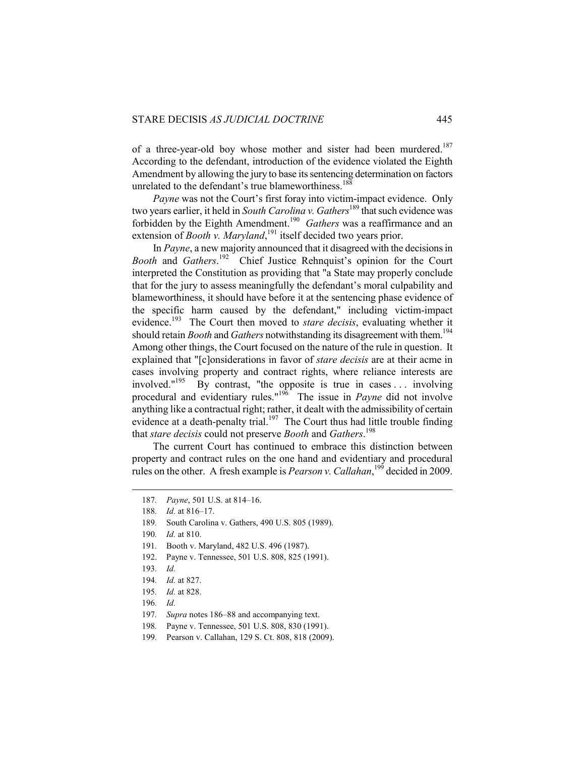of a three-year-old boy whose mother and sister had been murdered.<sup>187</sup> According to the defendant, introduction of the evidence violated the Eighth Amendment by allowing the jury to base its sentencing determination on factors unrelated to the defendant's true blameworthiness.<sup>188</sup>

*Payne* was not the Court's first foray into victim-impact evidence. Only two years earlier, it held in *South Carolina v. Gathers*<sup>189</sup> that such evidence was forbidden by the Eighth Amendment.190 *Gathers* was a reaffirmance and an extension of *Booth v. Maryland*,<sup>191</sup> itself decided two years prior.

In *Payne*, a new majority announced that it disagreed with the decisions in *Booth* and *Gathers*. 192 Chief Justice Rehnquist's opinion for the Court interpreted the Constitution as providing that "a State may properly conclude that for the jury to assess meaningfully the defendant's moral culpability and blameworthiness, it should have before it at the sentencing phase evidence of the specific harm caused by the defendant," including victim-impact evidence.<sup>193</sup> The Court then moved to *stare decisis*, evaluating whether it should retain *Booth* and *Gathers* notwithstanding its disagreement with them.<sup>194</sup> Among other things, the Court focused on the nature of the rule in question. It explained that "[c]onsiderations in favor of *stare decisis* are at their acme in cases involving property and contract rights, where reliance interests are involved."195 By contrast, "the opposite is true in cases . . . involving procedural and evidentiary rules."<sup>196</sup> The issue in *Payne* did not involve anything like a contractual right; rather, it dealt with the admissibility of certain evidence at a death-penalty trial.<sup>197</sup> The Court thus had little trouble finding that *stare decisis* could not preserve *Booth* and *Gathers*. 198

The current Court has continued to embrace this distinction between property and contract rules on the one hand and evidentiary and procedural rules on the other. A fresh example is *Pearson v. Callahan*, <sup>199</sup> decided in 2009.

189*.* South Carolina v. Gathers, 490 U.S. 805 (1989).

- 191*.* Booth v. Maryland, 482 U.S. 496 (1987).
- 192. Payne v. Tennessee, 501 U.S. 808, 825 (1991).
- 193*. Id.*

- 194*. Id.* at 827.
- 195*. Id.* at 828.
- 196*. Id.*
- 197*. Supra* notes 186–88 and accompanying text.
- 198*.* Payne v. Tennessee, 501 U.S. 808, 830 (1991).
- 199*.* Pearson v. Callahan, 129 S. Ct. 808, 818 (2009).

<sup>187</sup>*. Payne*, 501 U.S. at 814–16.

<sup>188</sup>*. Id.* at 816–17.

<sup>190</sup>*. Id.* at 810.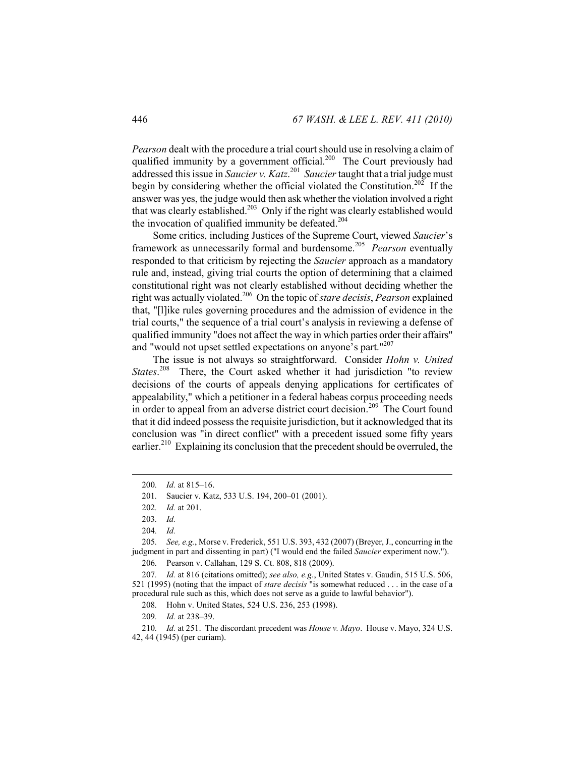*Pearson* dealt with the procedure a trial court should use in resolving a claim of qualified immunity by a government official.<sup>200</sup> The Court previously had addressed this issue in *Saucier v. Katz*. 201 *Saucier* taught that a trial judge must begin by considering whether the official violated the Constitution.<sup>202</sup> If the answer was yes, the judge would then ask whether the violation involved a right that was clearly established.<sup>203</sup> Only if the right was clearly established would the invocation of qualified immunity be defeated.<sup>204</sup>

Some critics, including Justices of the Supreme Court, viewed *Saucier*'s framework as unnecessarily formal and burdensome.205 *Pearson* eventually responded to that criticism by rejecting the *Saucier* approach as a mandatory rule and, instead, giving trial courts the option of determining that a claimed constitutional right was not clearly established without deciding whether the right was actually violated.206 On the topic of *stare decisis*, *Pearson* explained that, "[l]ike rules governing procedures and the admission of evidence in the trial courts," the sequence of a trial court's analysis in reviewing a defense of qualified immunity "does not affect the way in which parties order their affairs" and "would not upset settled expectations on anyone's part."<sup>207</sup>

The issue is not always so straightforward. Consider *Hohn v. United States*. 208 There, the Court asked whether it had jurisdiction "to review decisions of the courts of appeals denying applications for certificates of appealability," which a petitioner in a federal habeas corpus proceeding needs in order to appeal from an adverse district court decision.<sup>209</sup> The Court found that it did indeed possess the requisite jurisdiction, but it acknowledged that its conclusion was "in direct conflict" with a precedent issued some fifty years earlier.<sup>210</sup> Explaining its conclusion that the precedent should be overruled, the

<sup>200</sup>*. Id.* at 815–16.

<sup>201</sup>*.* Saucier v. Katz, 533 U.S. 194, 200–01 (2001).

<sup>202</sup>*. Id.* at 201.

<sup>203</sup>*. Id.*

<sup>204</sup>*. Id.*

<sup>205</sup>*. See, e.g.*, Morse v. Frederick, 551 U.S. 393, 432 (2007) (Breyer, J., concurring in the judgment in part and dissenting in part) ("I would end the failed *Saucier* experiment now.").

<sup>206</sup>*.* Pearson v. Callahan, 129 S. Ct. 808, 818 (2009).

<sup>207</sup>*. Id.* at 816 (citations omitted); *see also, e.g.*, United States v. Gaudin, 515 U.S. 506, 521 (1995) (noting that the impact of *stare decisis* "is somewhat reduced . . . in the case of a procedural rule such as this, which does not serve as a guide to lawful behavior").

<sup>208</sup>*.* Hohn v. United States, 524 U.S. 236, 253 (1998).

<sup>209</sup>*. Id.* at 238–39.

<sup>210</sup>*. Id.* at 251. The discordant precedent was *House v. Mayo*. House v. Mayo, 324 U.S. 42, 44 (1945) (per curiam).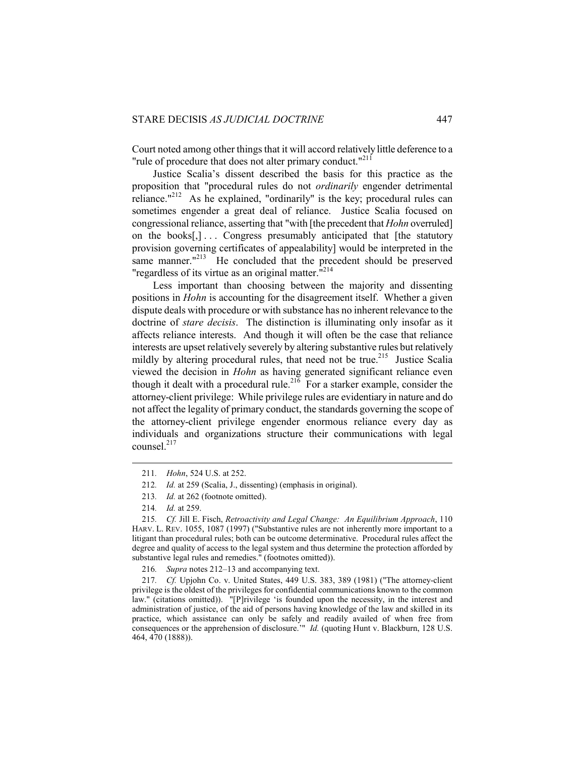Court noted among other things that it will accord relatively little deference to a "rule of procedure that does not alter primary conduct."<sup>211</sup>

Justice Scalia's dissent described the basis for this practice as the proposition that "procedural rules do not *ordinarily* engender detrimental reliance." $^{122}$  As he explained, "ordinarily" is the key; procedural rules can sometimes engender a great deal of reliance. Justice Scalia focused on congressional reliance, asserting that "with [the precedent that *Hohn* overruled] on the books[,]... Congress presumably anticipated that [the statutory provision governing certificates of appealability] would be interpreted in the same manner. $"^{213}$  He concluded that the precedent should be preserved "regardless of its virtue as an original matter."<sup>214</sup>

Less important than choosing between the majority and dissenting positions in *Hohn* is accounting for the disagreement itself. Whether a given dispute deals with procedure or with substance has no inherent relevance to the doctrine of *stare decisis*. The distinction is illuminating only insofar as it affects reliance interests. And though it will often be the case that reliance interests are upset relatively severely by altering substantive rules but relatively mildly by altering procedural rules, that need not be true.<sup>215</sup> Justice Scalia viewed the decision in *Hohn* as having generated significant reliance even though it dealt with a procedural rule.<sup>216</sup> For a starker example, consider the attorney-client privilege: While privilege rules are evidentiary in nature and do not affect the legality of primary conduct, the standards governing the scope of the attorney-client privilege engender enormous reliance every day as individuals and organizations structure their communications with legal counsel.<sup>217</sup>

<sup>211</sup>*. Hohn*, 524 U.S. at 252.

<sup>212</sup>*. Id.* at 259 (Scalia, J., dissenting) (emphasis in original).

<sup>213</sup>*. Id.* at 262 (footnote omitted).

<sup>214</sup>*. Id.* at 259.

<sup>215</sup>*. Cf.* Jill E. Fisch, *Retroactivity and Legal Change: An Equilibrium Approach*, 110 HARV. L. REV. 1055, 1087 (1997) ("Substantive rules are not inherently more important to a litigant than procedural rules; both can be outcome determinative. Procedural rules affect the degree and quality of access to the legal system and thus determine the protection afforded by substantive legal rules and remedies." (footnotes omitted)).

<sup>216</sup>*. Supra* notes 212–13 and accompanying text.

<sup>217</sup>*. Cf.* Upjohn Co. v. United States, 449 U.S. 383, 389 (1981) ("The attorney-client privilege is the oldest of the privileges for confidential communications known to the common law." (citations omitted)). "[P]rivilege 'is founded upon the necessity, in the interest and administration of justice, of the aid of persons having knowledge of the law and skilled in its practice, which assistance can only be safely and readily availed of when free from consequences or the apprehension of disclosure.'" *Id.* (quoting Hunt v. Blackburn, 128 U.S. 464, 470 (1888)).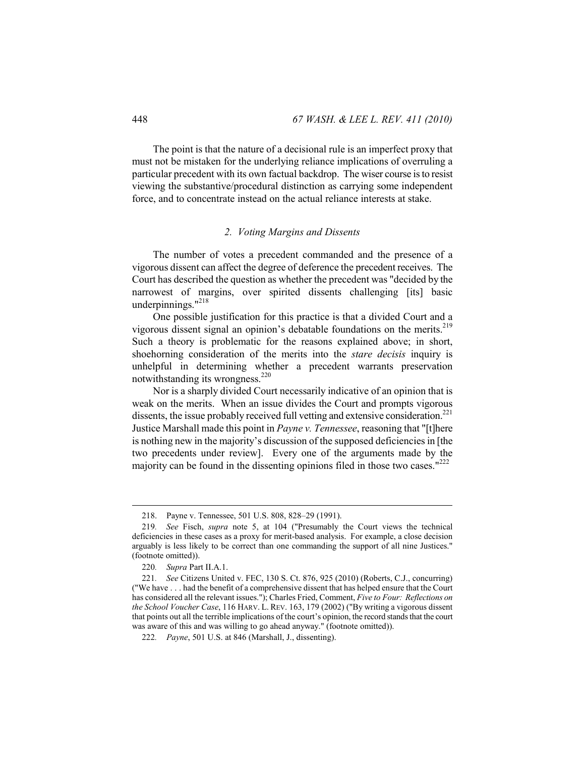The point is that the nature of a decisional rule is an imperfect proxy that must not be mistaken for the underlying reliance implications of overruling a particular precedent with its own factual backdrop. The wiser course is to resist viewing the substantive/procedural distinction as carrying some independent force, and to concentrate instead on the actual reliance interests at stake.

## *2. Voting Margins and Dissents*

The number of votes a precedent commanded and the presence of a vigorous dissent can affect the degree of deference the precedent receives. The Court has described the question as whether the precedent was "decided by the narrowest of margins, over spirited dissents challenging [its] basic underpinnings."<sup>218</sup>

One possible justification for this practice is that a divided Court and a vigorous dissent signal an opinion's debatable foundations on the merits.<sup>219</sup> Such a theory is problematic for the reasons explained above; in short, shoehorning consideration of the merits into the *stare decisis* inquiry is unhelpful in determining whether a precedent warrants preservation notwithstanding its wrongness.<sup>220</sup>

Nor is a sharply divided Court necessarily indicative of an opinion that is weak on the merits. When an issue divides the Court and prompts vigorous dissents, the issue probably received full vetting and extensive consideration.<sup>221</sup> Justice Marshall made this point in *Payne v. Tennessee*, reasoning that "[t]here is nothing new in the majority's discussion of the supposed deficiencies in [the two precedents under review]. Every one of the arguments made by the majority can be found in the dissenting opinions filed in those two cases."<sup>222</sup>

 <sup>218.</sup> Payne v. Tennessee, 501 U.S. 808, 828–29 (1991).

<sup>219</sup>*. See* Fisch, *supra* note 5, at 104 ("Presumably the Court views the technical deficiencies in these cases as a proxy for merit-based analysis. For example, a close decision arguably is less likely to be correct than one commanding the support of all nine Justices." (footnote omitted)).

<sup>220</sup>*. Supra* Part II.A.1.

<sup>221</sup>*. See* Citizens United v. FEC, 130 S. Ct. 876, 925 (2010) (Roberts, C.J., concurring) ("We have . . . had the benefit of a comprehensive dissent that has helped ensure that the Court has considered all the relevant issues."); Charles Fried, Comment, *Five to Four: Reflections on the School Voucher Case*, 116 HARV. L. REV. 163, 179 (2002) ("By writing a vigorous dissent that points out all the terrible implications of the court's opinion, the record stands that the court was aware of this and was willing to go ahead anyway." (footnote omitted)).

<sup>222</sup>*. Payne*, 501 U.S. at 846 (Marshall, J., dissenting).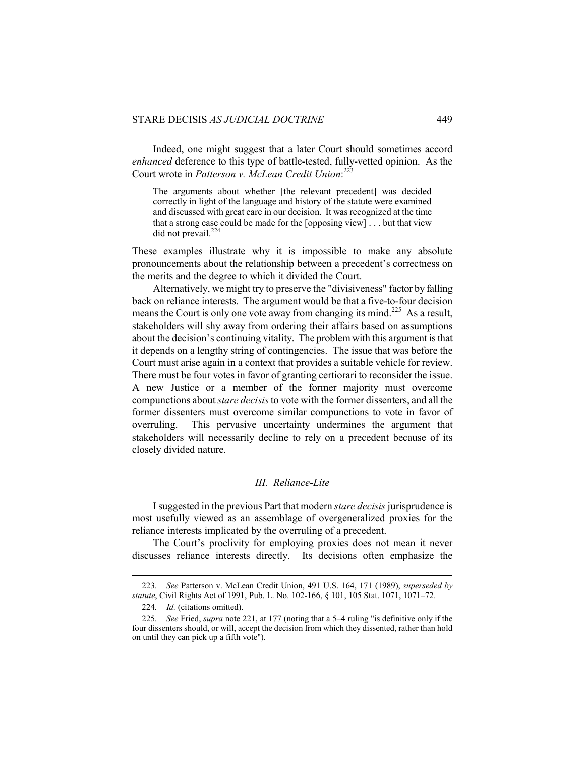Indeed, one might suggest that a later Court should sometimes accord *enhanced* deference to this type of battle-tested, fully-vetted opinion. As the Court wrote in *Patterson v. McLean Credit Union*: 223

The arguments about whether [the relevant precedent] was decided correctly in light of the language and history of the statute were examined and discussed with great care in our decision. It was recognized at the time that a strong case could be made for the [opposing view] . . . but that view did not prevail. $224$ 

These examples illustrate why it is impossible to make any absolute pronouncements about the relationship between a precedent's correctness on the merits and the degree to which it divided the Court.

Alternatively, we might try to preserve the "divisiveness" factor by falling back on reliance interests. The argument would be that a five-to-four decision means the Court is only one vote away from changing its mind.<sup>225</sup> As a result, stakeholders will shy away from ordering their affairs based on assumptions about the decision's continuing vitality. The problem with this argument is that it depends on a lengthy string of contingencies. The issue that was before the Court must arise again in a context that provides a suitable vehicle for review. There must be four votes in favor of granting certiorari to reconsider the issue. A new Justice or a member of the former majority must overcome compunctions about *stare decisis* to vote with the former dissenters, and all the former dissenters must overcome similar compunctions to vote in favor of overruling. This pervasive uncertainty undermines the argument that stakeholders will necessarily decline to rely on a precedent because of its closely divided nature.

## *III. Reliance-Lite*

I suggested in the previous Part that modern *stare decisis* jurisprudence is most usefully viewed as an assemblage of overgeneralized proxies for the reliance interests implicated by the overruling of a precedent.

The Court's proclivity for employing proxies does not mean it never discusses reliance interests directly. Its decisions often emphasize the

<sup>223</sup>*. See* Patterson v. McLean Credit Union, 491 U.S. 164, 171 (1989), *superseded by statute*, Civil Rights Act of 1991, Pub. L. No. 102-166, § 101, 105 Stat. 1071, 1071–72.

<sup>224</sup>*. Id.* (citations omitted).

<sup>225</sup>*. See* Fried, *supra* note 221, at 177 (noting that a 5–4 ruling "is definitive only if the four dissenters should, or will, accept the decision from which they dissented, rather than hold on until they can pick up a fifth vote").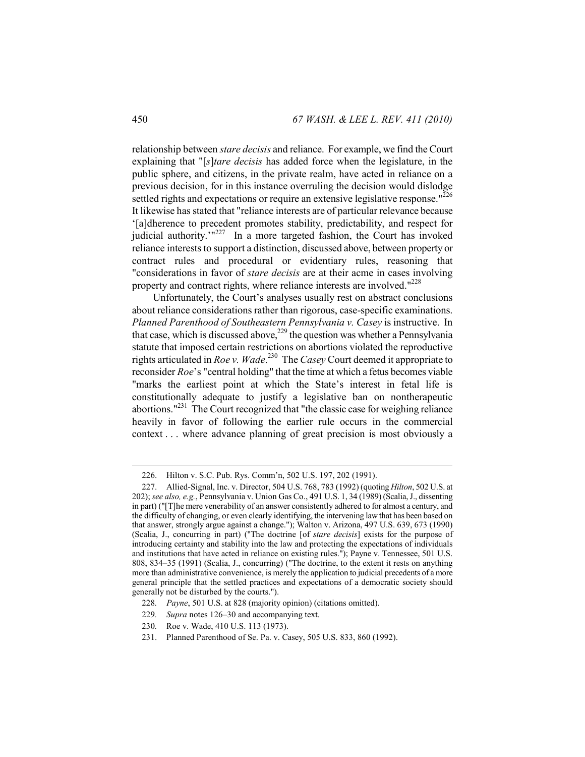relationship between *stare decisis* and reliance. For example, we find the Court explaining that "[*s*]*tare decisis* has added force when the legislature, in the public sphere, and citizens, in the private realm, have acted in reliance on a previous decision, for in this instance overruling the decision would dislodge settled rights and expectations or require an extensive legislative response."<sup>226</sup> It likewise has stated that "reliance interests are of particular relevance because '[a]dherence to precedent promotes stability, predictability, and respect for judicial authority. $1^{227}$  In a more targeted fashion, the Court has invoked reliance interests to support a distinction, discussed above, between property or contract rules and procedural or evidentiary rules, reasoning that "considerations in favor of *stare decisis* are at their acme in cases involving property and contract rights, where reliance interests are involved."<sup>228</sup>

Unfortunately, the Court's analyses usually rest on abstract conclusions about reliance considerations rather than rigorous, case-specific examinations. *Planned Parenthood of Southeastern Pennsylvania v. Casey* is instructive. In that case, which is discussed above,  $^{229}$  the question was whether a Pennsylvania statute that imposed certain restrictions on abortions violated the reproductive rights articulated in *Roe v. Wade*. 230 The *Casey* Court deemed it appropriate to reconsider *Roe*'s "central holding" that the time at which a fetus becomes viable "marks the earliest point at which the State's interest in fetal life is constitutionally adequate to justify a legislative ban on nontherapeutic abortions."231 The Court recognized that "the classic case for weighing reliance heavily in favor of following the earlier rule occurs in the commercial context . . . where advance planning of great precision is most obviously a

 <sup>226.</sup> Hilton v. S.C. Pub. Rys. Comm'n, 502 U.S. 197, 202 (1991).

 <sup>227.</sup> Allied-Signal, Inc. v. Director, 504 U.S. 768, 783 (1992) (quoting *Hilton*, 502 U.S. at 202); *see also, e.g.*, Pennsylvania v. Union Gas Co., 491 U.S. 1, 34 (1989) (Scalia, J., dissenting in part) ("[T]he mere venerability of an answer consistently adhered to for almost a century, and the difficulty of changing, or even clearly identifying, the intervening law that has been based on that answer, strongly argue against a change."); Walton v. Arizona, 497 U.S. 639, 673 (1990) (Scalia, J., concurring in part) ("The doctrine [of *stare decisis*] exists for the purpose of introducing certainty and stability into the law and protecting the expectations of individuals and institutions that have acted in reliance on existing rules."); Payne v. Tennessee, 501 U.S. 808, 834–35 (1991) (Scalia, J., concurring) ("The doctrine, to the extent it rests on anything more than administrative convenience, is merely the application to judicial precedents of a more general principle that the settled practices and expectations of a democratic society should generally not be disturbed by the courts.").

<sup>228</sup>*. Payne*, 501 U.S. at 828 (majority opinion) (citations omitted).

<sup>229</sup>*. Supra* notes 126–30 and accompanying text.

<sup>230</sup>*.* Roe v. Wade, 410 U.S. 113 (1973).

 <sup>231.</sup> Planned Parenthood of Se. Pa. v. Casey, 505 U.S. 833, 860 (1992).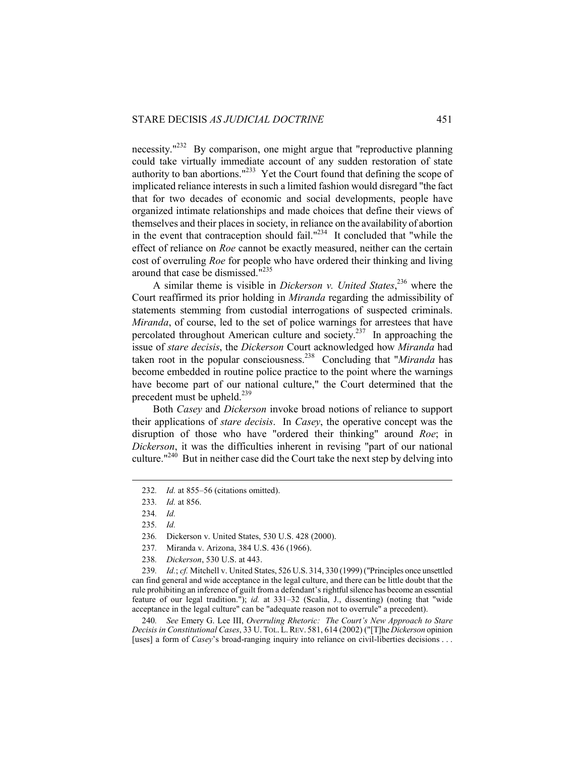necessity."<sup>232</sup> By comparison, one might argue that "reproductive planning" could take virtually immediate account of any sudden restoration of state authority to ban abortions."<sup>233</sup> Yet the Court found that defining the scope of implicated reliance interests in such a limited fashion would disregard "the fact that for two decades of economic and social developments, people have organized intimate relationships and made choices that define their views of themselves and their places in society, in reliance on the availability of abortion in the event that contraception should fail." $^{234}$  It concluded that "while the effect of reliance on *Roe* cannot be exactly measured, neither can the certain cost of overruling *Roe* for people who have ordered their thinking and living around that case be dismissed."235

A similar theme is visible in *Dickerson v. United States*, 236 where the Court reaffirmed its prior holding in *Miranda* regarding the admissibility of statements stemming from custodial interrogations of suspected criminals. *Miranda*, of course, led to the set of police warnings for arrestees that have percolated throughout American culture and society.<sup>237</sup> In approaching the issue of *stare decisis*, the *Dickerson* Court acknowledged how *Miranda* had taken root in the popular consciousness.238 Concluding that "*Miranda* has become embedded in routine police practice to the point where the warnings have become part of our national culture," the Court determined that the precedent must be upheld.<sup>239</sup>

Both *Casey* and *Dickerson* invoke broad notions of reliance to support their applications of *stare decisis*. In *Casey*, the operative concept was the disruption of those who have "ordered their thinking" around *Roe*; in *Dickerson*, it was the difficulties inherent in revising "part of our national culture."240 But in neither case did the Court take the next step by delving into

 $\overline{a}$ 

240*. See* Emery G. Lee III, *Overruling Rhetoric: The Court's New Approach to Stare Decisis in Constitutional Cases*, 33 U. TOL. L.REV. 581, 614 (2002) ("[T]he *Dickerson* opinion [uses] a form of *Casey*'s broad-ranging inquiry into reliance on civil-liberties decisions . . .

<sup>232</sup>*. Id.* at 855–56 (citations omitted).

<sup>233</sup>*. Id.* at 856.

<sup>234</sup>*. Id.*

<sup>235</sup>*. Id.*

<sup>236</sup>*.* Dickerson v. United States, 530 U.S. 428 (2000).

<sup>237</sup>*.* Miranda v. Arizona, 384 U.S. 436 (1966).

<sup>238</sup>*. Dickerson*, 530 U.S. at 443.

<sup>239</sup>*. Id.*; *cf.* Mitchell v. United States, 526 U.S. 314, 330 (1999) ("Principles once unsettled can find general and wide acceptance in the legal culture, and there can be little doubt that the rule prohibiting an inference of guilt from a defendant's rightful silence has become an essential feature of our legal tradition."); *id.* at 331–32 (Scalia, J., dissenting) (noting that "wide acceptance in the legal culture" can be "adequate reason not to overrule" a precedent).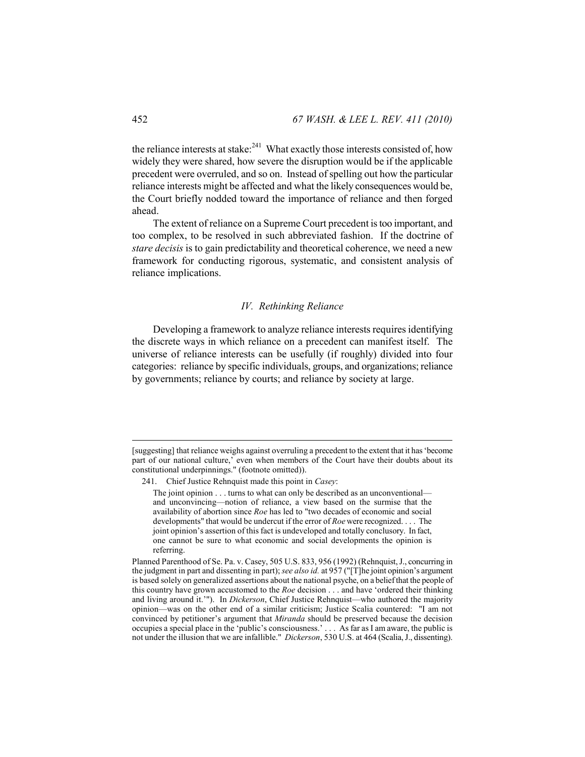the reliance interests at stake: $^{241}$  What exactly those interests consisted of, how widely they were shared, how severe the disruption would be if the applicable precedent were overruled, and so on. Instead of spelling out how the particular reliance interests might be affected and what the likely consequences would be, the Court briefly nodded toward the importance of reliance and then forged ahead.

The extent of reliance on a Supreme Court precedent is too important, and too complex, to be resolved in such abbreviated fashion. If the doctrine of *stare decisis* is to gain predictability and theoretical coherence, we need a new framework for conducting rigorous, systematic, and consistent analysis of reliance implications.

## *IV. Rethinking Reliance*

Developing a framework to analyze reliance interests requires identifying the discrete ways in which reliance on a precedent can manifest itself. The universe of reliance interests can be usefully (if roughly) divided into four categories: reliance by specific individuals, groups, and organizations; reliance by governments; reliance by courts; and reliance by society at large.

<sup>[</sup>suggesting] that reliance weighs against overruling a precedent to the extent that it has 'become part of our national culture,' even when members of the Court have their doubts about its constitutional underpinnings." (footnote omitted)).

 <sup>241.</sup> Chief Justice Rehnquist made this point in *Casey*:

The joint opinion . . . turns to what can only be described as an unconventional and unconvincing—notion of reliance, a view based on the surmise that the availability of abortion since *Roe* has led to "two decades of economic and social developments" that would be undercut if the error of *Roe* were recognized. . . . The joint opinion's assertion of this fact is undeveloped and totally conclusory. In fact, one cannot be sure to what economic and social developments the opinion is referring.

Planned Parenthood of Se. Pa. v. Casey, 505 U.S. 833, 956 (1992) (Rehnquist, J., concurring in the judgment in part and dissenting in part); *see also id.* at 957 ("[T]he joint opinion's argument is based solely on generalized assertions about the national psyche, on a belief that the people of this country have grown accustomed to the *Roe* decision . . . and have 'ordered their thinking and living around it.'"). In *Dickerson*, Chief Justice Rehnquist—who authored the majority opinion—was on the other end of a similar criticism; Justice Scalia countered: "I am not convinced by petitioner's argument that *Miranda* should be preserved because the decision occupies a special place in the 'public's consciousness.' . . . As far as I am aware, the public is not under the illusion that we are infallible." *Dickerson*, 530 U.S. at 464 (Scalia, J., dissenting).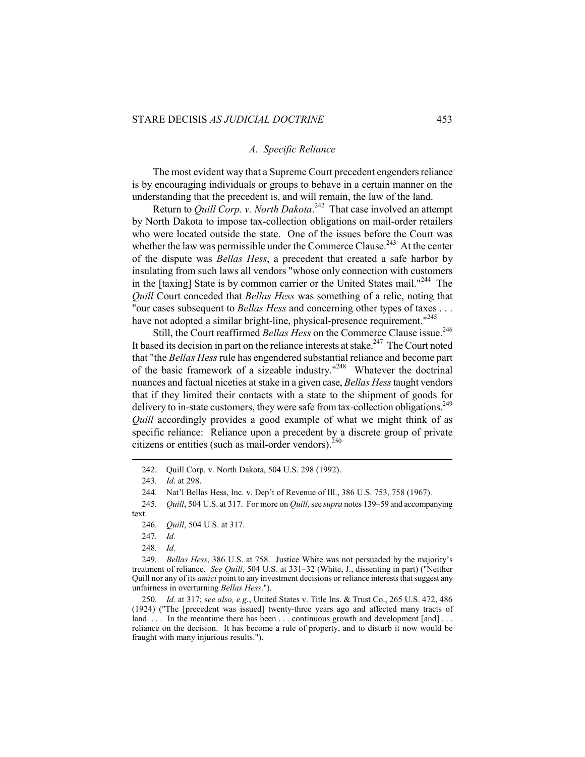## *A. Specific Reliance*

The most evident way that a Supreme Court precedent engenders reliance is by encouraging individuals or groups to behave in a certain manner on the understanding that the precedent is, and will remain, the law of the land.

Return to *Quill Corp. v. North Dakota*. 242 That case involved an attempt by North Dakota to impose tax-collection obligations on mail-order retailers who were located outside the state. One of the issues before the Court was whether the law was permissible under the Commerce Clause.<sup>243</sup> At the center of the dispute was *Bellas Hess*, a precedent that created a safe harbor by insulating from such laws all vendors "whose only connection with customers in the [taxing] State is by common carrier or the United States mail."<sup>244</sup> The *Quill* Court conceded that *Bellas Hess* was something of a relic, noting that "our cases subsequent to *Bellas Hess* and concerning other types of taxes . . . have not adopted a similar bright-line, physical-presence requirement."<sup>245</sup>

Still, the Court reaffirmed *Bellas Hess* on the Commerce Clause issue.<sup>246</sup> It based its decision in part on the reliance interests at stake.<sup>247</sup> The Court noted that "the *Bellas Hess* rule has engendered substantial reliance and become part of the basic framework of a sizeable industry."248 Whatever the doctrinal nuances and factual niceties at stake in a given case, *Bellas Hess* taught vendors that if they limited their contacts with a state to the shipment of goods for delivery to in-state customers, they were safe from tax-collection obligations.<sup>249</sup> *Quill* accordingly provides a good example of what we might think of as specific reliance: Reliance upon a precedent by a discrete group of private citizens or entities (such as mail-order vendors). $^{250}$ 

 $\overline{a}$ 

249*. Bellas Hess*, 386 U.S. at 758. Justice White was not persuaded by the majority's treatment of reliance. *See Quill*, 504 U.S. at 331–32 (White, J., dissenting in part) ("Neither Quill nor any of its *amici* point to any investment decisions or reliance interests that suggest any unfairness in overturning *Bellas Hess*.").

250*. Id.* at 317; s*ee also, e.g.*, United States v. Title Ins. & Trust Co., 265 U.S. 472, 486 (1924) ("The [precedent was issued] twenty-three years ago and affected many tracts of land.  $\ldots$  In the meantime there has been  $\ldots$  continuous growth and development [and]  $\ldots$ reliance on the decision. It has become a rule of property, and to disturb it now would be fraught with many injurious results.").

 <sup>242.</sup> Quill Corp. v. North Dakota, 504 U.S. 298 (1992).

<sup>243</sup>*. Id*. at 298.

 <sup>244.</sup> Nat'l Bellas Hess, Inc. v. Dep't of Revenue of Ill., 386 U.S. 753, 758 (1967).

<sup>245</sup>*. Quill*, 504 U.S. at 317. For more on *Quill*, see *supra* notes 139–59 and accompanying text.

<sup>246</sup>*. Quill*, 504 U.S. at 317.

<sup>247</sup>*. Id.*

<sup>248</sup>*. Id.*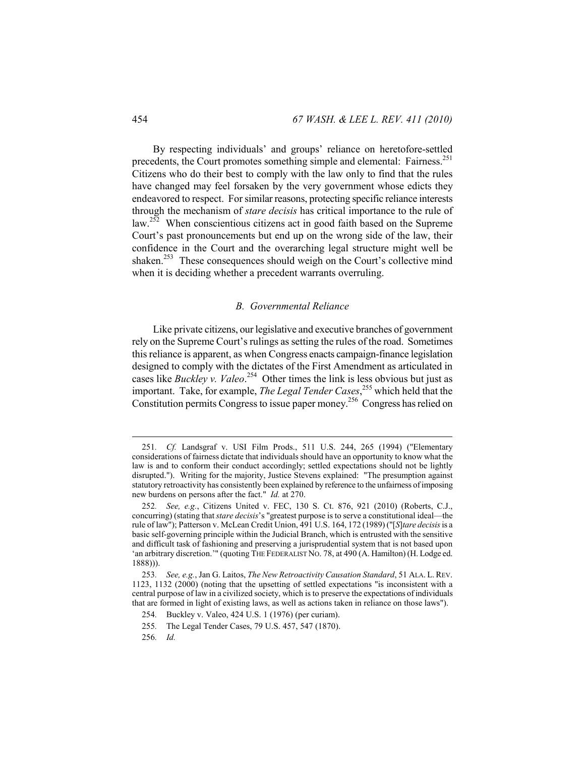By respecting individuals' and groups' reliance on heretofore-settled precedents, the Court promotes something simple and elemental: Fairness.<sup>251</sup> Citizens who do their best to comply with the law only to find that the rules have changed may feel forsaken by the very government whose edicts they endeavored to respect. For similar reasons, protecting specific reliance interests through the mechanism of *stare decisis* has critical importance to the rule of law.<sup>252</sup> When conscientious citizens act in good faith based on the Supreme Court's past pronouncements but end up on the wrong side of the law, their confidence in the Court and the overarching legal structure might well be shaken.<sup>253</sup> These consequences should weigh on the Court's collective mind when it is deciding whether a precedent warrants overruling.

## *B. Governmental Reliance*

Like private citizens, our legislative and executive branches of government rely on the Supreme Court's rulings as setting the rules of the road. Sometimes this reliance is apparent, as when Congress enacts campaign-finance legislation designed to comply with the dictates of the First Amendment as articulated in cases like *Buckley v. Valeo*. 254 Other times the link is less obvious but just as important. Take, for example, *The Legal Tender Cases*, 255 which held that the Constitution permits Congress to issue paper money.256 Congress has relied on

<sup>251</sup>*. Cf.* Landsgraf v. USI Film Prods., 511 U.S. 244, 265 (1994) ("Elementary considerations of fairness dictate that individuals should have an opportunity to know what the law is and to conform their conduct accordingly; settled expectations should not be lightly disrupted."). Writing for the majority, Justice Stevens explained: "The presumption against statutory retroactivity has consistently been explained by reference to the unfairness of imposing new burdens on persons after the fact." *Id.* at 270.

<sup>252</sup>*. See, e.g.*, Citizens United v. FEC, 130 S. Ct. 876, 921 (2010) (Roberts, C.J., concurring) (stating that *stare decisis*'s "greatest purpose is to serve a constitutional ideal—the rule of law"); Patterson v. McLean Credit Union, 491 U.S. 164, 172 (1989) ("[*S*]*tare decisis* is a basic self-governing principle within the Judicial Branch, which is entrusted with the sensitive and difficult task of fashioning and preserving a jurisprudential system that is not based upon 'an arbitrary discretion.'" (quoting THE FEDERALIST NO. 78, at 490 (A. Hamilton) (H. Lodge ed. 1888))).

<sup>253</sup>*. See, e.g.*, Jan G. Laitos, *The New Retroactivity Causation Standard*, 51 ALA. L.REV. 1123, 1132 (2000) (noting that the upsetting of settled expectations "is inconsistent with a central purpose of law in a civilized society, which is to preserve the expectations of individuals that are formed in light of existing laws, as well as actions taken in reliance on those laws").

<sup>254</sup>*.* Buckley v. Valeo, 424 U.S. 1 (1976) (per curiam).

<sup>255</sup>*.* The Legal Tender Cases, 79 U.S. 457, 547 (1870).

<sup>256</sup>*. Id.*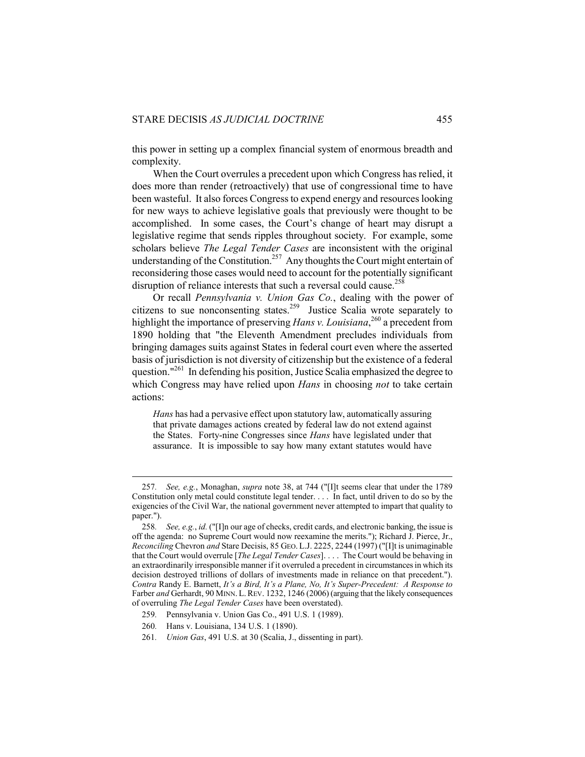this power in setting up a complex financial system of enormous breadth and complexity.

When the Court overrules a precedent upon which Congress has relied, it does more than render (retroactively) that use of congressional time to have been wasteful. It also forces Congress to expend energy and resources looking for new ways to achieve legislative goals that previously were thought to be accomplished. In some cases, the Court's change of heart may disrupt a legislative regime that sends ripples throughout society. For example, some scholars believe *The Legal Tender Cases* are inconsistent with the original understanding of the Constitution.<sup>257</sup> Any thoughts the Court might entertain of reconsidering those cases would need to account for the potentially significant disruption of reliance interests that such a reversal could cause.<sup>258</sup>

Or recall *Pennsylvania v. Union Gas Co.*, dealing with the power of citizens to sue nonconsenting states.<sup>259</sup> Justice Scalia wrote separately to highlight the importance of preserving *Hans v. Louisiana*, 260 a precedent from 1890 holding that "the Eleventh Amendment precludes individuals from bringing damages suits against States in federal court even where the asserted basis of jurisdiction is not diversity of citizenship but the existence of a federal question."<sup>261</sup> In defending his position, Justice Scalia emphasized the degree to which Congress may have relied upon *Hans* in choosing *not* to take certain actions:

*Hans* has had a pervasive effect upon statutory law, automatically assuring that private damages actions created by federal law do not extend against the States. Forty-nine Congresses since *Hans* have legislated under that assurance. It is impossible to say how many extant statutes would have

<sup>257</sup>*. See, e.g.*, Monaghan, *supra* note 38, at 744 ("[I]t seems clear that under the 1789 Constitution only metal could constitute legal tender. . . . In fact, until driven to do so by the exigencies of the Civil War, the national government never attempted to impart that quality to paper.").

<sup>258</sup>*. See, e.g.*, *id.* ("[I]n our age of checks, credit cards, and electronic banking, the issue is off the agenda: no Supreme Court would now reexamine the merits."); Richard J. Pierce, Jr., *Reconciling* Chevron *and* Stare Decisis, 85 GEO. L.J. 2225, 2244 (1997) ("[I]t is unimaginable that the Court would overrule [*The Legal Tender Cases*]. . . . The Court would be behaving in an extraordinarily irresponsible manner if it overruled a precedent in circumstances in which its decision destroyed trillions of dollars of investments made in reliance on that precedent."). *Contra* Randy E. Barnett, *It's a Bird, It's a Plane, No, It's Super-Precedent: A Response to*  Farber *and* Gerhardt, 90 MINN. L. REV. 1232, 1246 (2006) (arguing that the likely consequences of overruling *The Legal Tender Cases* have been overstated).

<sup>259</sup>*.* Pennsylvania v. Union Gas Co., 491 U.S. 1 (1989).

<sup>260</sup>*.* Hans v. Louisiana, 134 U.S. 1 (1890).

<sup>261</sup>*. Union Gas*, 491 U.S. at 30 (Scalia, J., dissenting in part).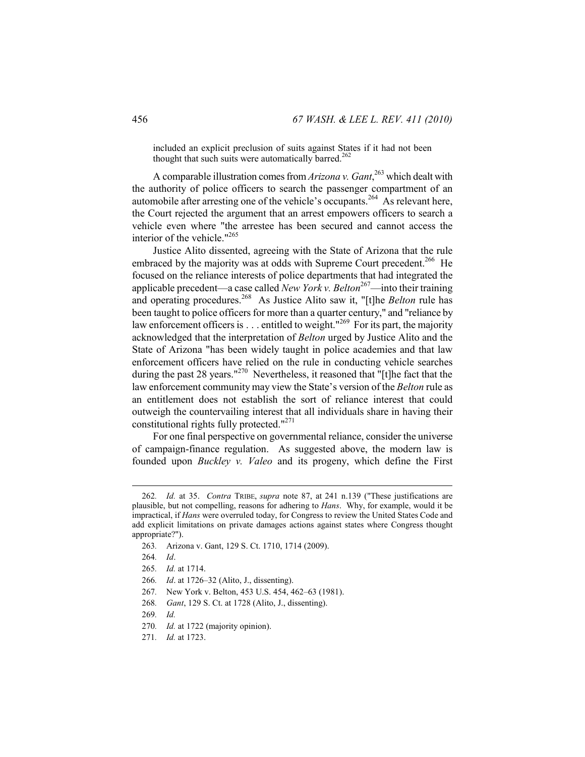included an explicit preclusion of suits against States if it had not been thought that such suits were automatically barred.<sup>26</sup>

A comparable illustration comes from *Arizona v. Gant*, 263 which dealt with the authority of police officers to search the passenger compartment of an automobile after arresting one of the vehicle's occupants.<sup>264</sup> As relevant here, the Court rejected the argument that an arrest empowers officers to search a vehicle even where "the arrestee has been secured and cannot access the interior of the vehicle."265

Justice Alito dissented, agreeing with the State of Arizona that the rule embraced by the majority was at odds with Supreme Court precedent.<sup>266</sup> He focused on the reliance interests of police departments that had integrated the applicable precedent—a case called *New York v. Belton*267—into their training and operating procedures.<sup>268</sup> As Justice Alito saw it, "[t]he *Belton* rule has been taught to police officers for more than a quarter century," and "reliance by law enforcement officers is  $\ldots$  entitled to weight."<sup>269</sup> For its part, the majority acknowledged that the interpretation of *Belton* urged by Justice Alito and the State of Arizona "has been widely taught in police academies and that law enforcement officers have relied on the rule in conducting vehicle searches during the past 28 years."<sup>270</sup> Nevertheless, it reasoned that "[t]he fact that the law enforcement community may view the State's version of the *Belton* rule as an entitlement does not establish the sort of reliance interest that could outweigh the countervailing interest that all individuals share in having their constitutional rights fully protected."271

For one final perspective on governmental reliance, consider the universe of campaign-finance regulation. As suggested above, the modern law is founded upon *Buckley v. Valeo* and its progeny, which define the First

<sup>262</sup>*. Id.* at 35. *Contra* TRIBE, *supra* note 87, at 241 n.139 ("These justifications are plausible, but not compelling, reasons for adhering to *Hans*. Why, for example, would it be impractical, if *Hans* were overruled today, for Congress to review the United States Code and add explicit limitations on private damages actions against states where Congress thought appropriate?").

<sup>263</sup>*.* Arizona v. Gant, 129 S. Ct. 1710, 1714 (2009).

<sup>264</sup>*. Id*.

<sup>265</sup>*. Id.* at 1714.

<sup>266</sup>*. Id*. at 1726–32 (Alito, J., dissenting).

<sup>267</sup>*.* New York v. Belton, 453 U.S. 454, 462–63 (1981).

<sup>268</sup>*. Gant*, 129 S. Ct. at 1728 (Alito, J., dissenting).

<sup>269</sup>*. Id.*

<sup>270</sup>*. Id.* at 1722 (majority opinion).

<sup>271</sup>*. Id.* at 1723.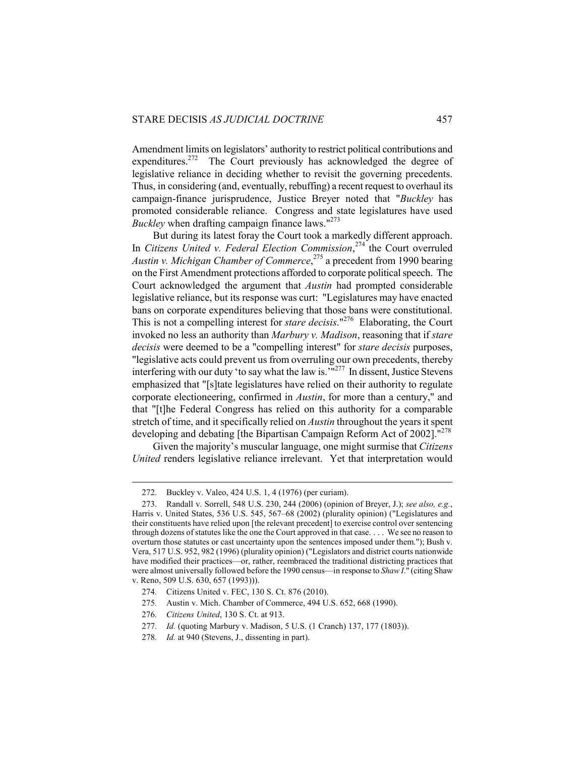Amendment limits on legislators' authority to restrict political contributions and expenditures.<sup>272</sup> The Court previously has acknowledged the degree of legislative reliance in deciding whether to revisit the governing precedents. Thus, in considering (and, eventually, rebuffing) a recent request to overhaul its campaign-finance jurisprudence, Justice Breyer noted that "*Buckley* has promoted considerable reliance. Congress and state legislatures have used *Buckley* when drafting campaign finance laws."<sup>273</sup>

But during its latest foray the Court took a markedly different approach. In *Citizens United v. Federal Election Commission*, 274 the Court overruled *Austin v. Michigan Chamber of Commerce*, 275 a precedent from 1990 bearing on the First Amendment protections afforded to corporate political speech. The Court acknowledged the argument that *Austin* had prompted considerable legislative reliance, but its response was curt: "Legislatures may have enacted bans on corporate expenditures believing that those bans were constitutional. This is not a compelling interest for *stare decisis*."276 Elaborating, the Court invoked no less an authority than *Marbury v. Madison*, reasoning that if *stare decisis* were deemed to be a "compelling interest" for *stare decisis* purposes, "legislative acts could prevent us from overruling our own precedents, thereby interfering with our duty 'to say what the law is.<sup>'n277</sup> In dissent, Justice Stevens emphasized that "[s]tate legislatures have relied on their authority to regulate corporate electioneering, confirmed in *Austin*, for more than a century," and that "[t]he Federal Congress has relied on this authority for a comparable stretch of time, and it specifically relied on *Austin* throughout the years it spent developing and debating [the Bipartisan Campaign Reform Act of 2002].<sup>"278</sup>

Given the majority's muscular language, one might surmise that *Citizens United* renders legislative reliance irrelevant. Yet that interpretation would

<sup>272</sup>*.* Buckley v. Valeo, 424 U.S. 1, 4 (1976) (per curiam).

 <sup>273.</sup> Randall v. Sorrell, 548 U.S. 230, 244 (2006) (opinion of Breyer, J.); *see also, e.g.*, Harris v. United States, 536 U.S. 545, 567–68 (2002) (plurality opinion) ("Legislatures and their constituents have relied upon [the relevant precedent] to exercise control over sentencing through dozens of statutes like the one the Court approved in that case. . . . We see no reason to overturn those statutes or cast uncertainty upon the sentences imposed under them."); Bush v. Vera, 517 U.S. 952, 982 (1996) (plurality opinion) ("Legislators and district courts nationwide have modified their practices—or, rather, reembraced the traditional districting practices that were almost universally followed before the 1990 census—in response to *Shaw I*." (citing Shaw v. Reno, 509 U.S. 630, 657 (1993))).

<sup>274</sup>*.* Citizens United v. FEC, 130 S. Ct. 876 (2010).

<sup>275</sup>*.* Austin v. Mich. Chamber of Commerce, 494 U.S. 652, 668 (1990).

<sup>276</sup>*. Citizens United*, 130 S. Ct. at 913.

<sup>277</sup>*. Id.* (quoting Marbury v. Madison, 5 U.S. (1 Cranch) 137, 177 (1803)).

<sup>278</sup>*. Id.* at 940 (Stevens, J., dissenting in part).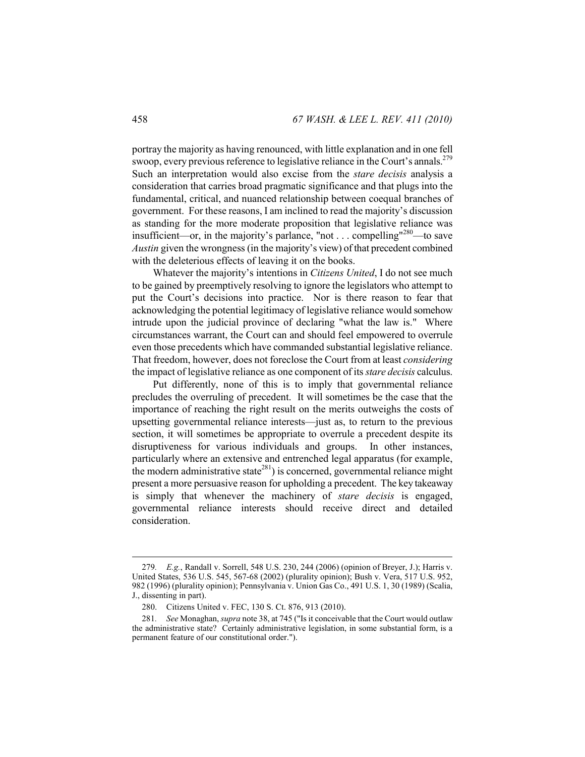portray the majority as having renounced, with little explanation and in one fell swoop, every previous reference to legislative reliance in the Court's annals.<sup>279</sup> Such an interpretation would also excise from the *stare decisis* analysis a consideration that carries broad pragmatic significance and that plugs into the fundamental, critical, and nuanced relationship between coequal branches of government. For these reasons, I am inclined to read the majority's discussion as standing for the more moderate proposition that legislative reliance was insufficient—or, in the majority's parlance, "not . . . compelling"280—to save *Austin* given the wrongness (in the majority's view) of that precedent combined with the deleterious effects of leaving it on the books.

Whatever the majority's intentions in *Citizens United*, I do not see much to be gained by preemptively resolving to ignore the legislators who attempt to put the Court's decisions into practice. Nor is there reason to fear that acknowledging the potential legitimacy of legislative reliance would somehow intrude upon the judicial province of declaring "what the law is." Where circumstances warrant, the Court can and should feel empowered to overrule even those precedents which have commanded substantial legislative reliance. That freedom, however, does not foreclose the Court from at least *considering*  the impact of legislative reliance as one component of its *stare decisis* calculus.

Put differently, none of this is to imply that governmental reliance precludes the overruling of precedent. It will sometimes be the case that the importance of reaching the right result on the merits outweighs the costs of upsetting governmental reliance interests—just as, to return to the previous section, it will sometimes be appropriate to overrule a precedent despite its disruptiveness for various individuals and groups. In other instances, particularly where an extensive and entrenched legal apparatus (for example, the modern administrative state<sup>281</sup>) is concerned, governmental reliance might present a more persuasive reason for upholding a precedent. The key takeaway is simply that whenever the machinery of *stare decisis* is engaged, governmental reliance interests should receive direct and detailed consideration.

<sup>279</sup>*. E.g.*, Randall v. Sorrell, 548 U.S. 230, 244 (2006) (opinion of Breyer, J.); Harris v. United States, 536 U.S. 545, 567-68 (2002) (plurality opinion); Bush v. Vera, 517 U.S. 952, 982 (1996) (plurality opinion); Pennsylvania v. Union Gas Co., 491 U.S. 1, 30 (1989) (Scalia, J., dissenting in part).

 <sup>280.</sup> Citizens United v. FEC, 130 S. Ct. 876, 913 (2010).

<sup>281</sup>*. See* Monaghan, *supra* note 38, at 745 ("Is it conceivable that the Court would outlaw the administrative state? Certainly administrative legislation, in some substantial form, is a permanent feature of our constitutional order.").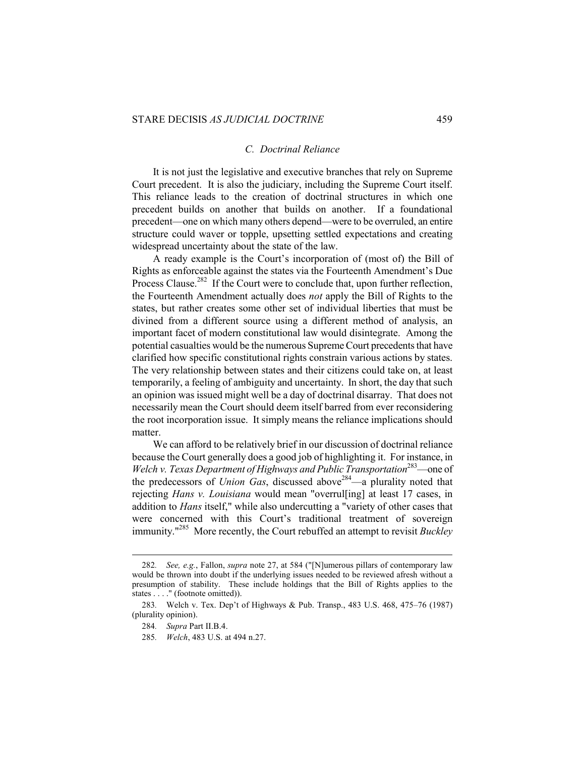#### *C. Doctrinal Reliance*

It is not just the legislative and executive branches that rely on Supreme Court precedent. It is also the judiciary, including the Supreme Court itself. This reliance leads to the creation of doctrinal structures in which one precedent builds on another that builds on another. If a foundational precedent—one on which many others depend—were to be overruled, an entire structure could waver or topple, upsetting settled expectations and creating widespread uncertainty about the state of the law.

A ready example is the Court's incorporation of (most of) the Bill of Rights as enforceable against the states via the Fourteenth Amendment's Due Process Clause.<sup>282</sup> If the Court were to conclude that, upon further reflection, the Fourteenth Amendment actually does *not* apply the Bill of Rights to the states, but rather creates some other set of individual liberties that must be divined from a different source using a different method of analysis, an important facet of modern constitutional law would disintegrate. Among the potential casualties would be the numerous Supreme Court precedents that have clarified how specific constitutional rights constrain various actions by states. The very relationship between states and their citizens could take on, at least temporarily, a feeling of ambiguity and uncertainty. In short, the day that such an opinion was issued might well be a day of doctrinal disarray. That does not necessarily mean the Court should deem itself barred from ever reconsidering the root incorporation issue. It simply means the reliance implications should matter.

We can afford to be relatively brief in our discussion of doctrinal reliance because the Court generally does a good job of highlighting it. For instance, in *Welch v. Texas Department of Highways and Public Transportation*<sup>283</sup>—one of the predecessors of *Union Gas*, discussed above<sup>284</sup>—a plurality noted that rejecting *Hans v. Louisiana* would mean "overrul[ing] at least 17 cases, in addition to *Hans* itself," while also undercutting a "variety of other cases that were concerned with this Court's traditional treatment of sovereign immunity."285 More recently, the Court rebuffed an attempt to revisit *Buckley* 

<sup>282</sup>*. See, e.g.*, Fallon, *supra* note 27, at 584 ("[N]umerous pillars of contemporary law would be thrown into doubt if the underlying issues needed to be reviewed afresh without a presumption of stability. These include holdings that the Bill of Rights applies to the states . . . . " (footnote omitted)).

<sup>283</sup>*.* Welch v. Tex. Dep't of Highways & Pub. Transp., 483 U.S. 468, 475–76 (1987) (plurality opinion).

<sup>284</sup>*. Supra* Part II.B.4.

<sup>285</sup>*. Welch*, 483 U.S. at 494 n.27.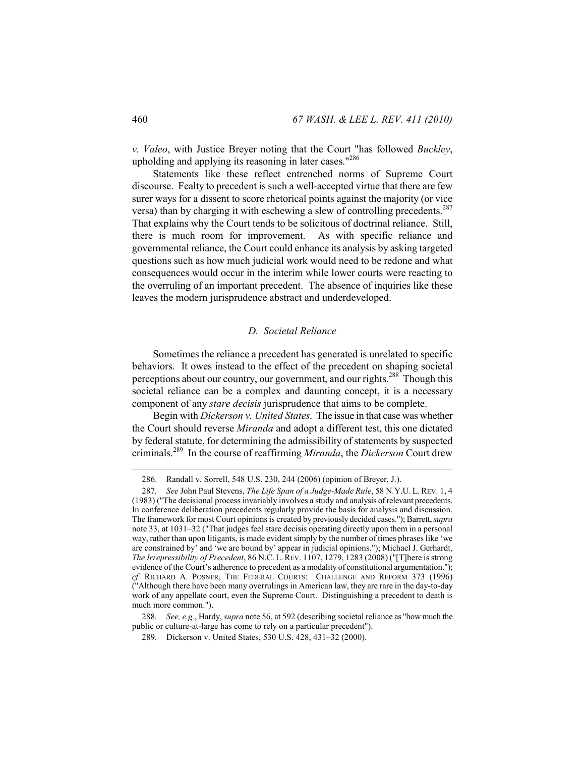*v. Valeo*, with Justice Breyer noting that the Court "has followed *Buckley*, upholding and applying its reasoning in later cases."<sup>286</sup>

Statements like these reflect entrenched norms of Supreme Court discourse. Fealty to precedent is such a well-accepted virtue that there are few surer ways for a dissent to score rhetorical points against the majority (or vice versa) than by charging it with eschewing a slew of controlling precedents.<sup>287</sup> That explains why the Court tends to be solicitous of doctrinal reliance. Still, there is much room for improvement. As with specific reliance and governmental reliance, the Court could enhance its analysis by asking targeted questions such as how much judicial work would need to be redone and what consequences would occur in the interim while lower courts were reacting to the overruling of an important precedent. The absence of inquiries like these leaves the modern jurisprudence abstract and underdeveloped.

## *D. Societal Reliance*

Sometimes the reliance a precedent has generated is unrelated to specific behaviors. It owes instead to the effect of the precedent on shaping societal perceptions about our country, our government, and our rights.<sup>288</sup> Though this societal reliance can be a complex and daunting concept, it is a necessary component of any *stare decisis* jurisprudence that aims to be complete.

Begin with *Dickerson v. United States*. The issue in that case was whether the Court should reverse *Miranda* and adopt a different test, this one dictated by federal statute, for determining the admissibility of statements by suspected criminals.289 In the course of reaffirming *Miranda*, the *Dickerson* Court drew

 <sup>286.</sup> Randall v. Sorrell, 548 U.S. 230, 244 (2006) (opinion of Breyer, J.).

<sup>287</sup>*. See* John Paul Stevens, *The Life Span of a Judge-Made Rule*, 58 N.Y.U. L. REV. 1, 4 (1983) ("The decisional process invariably involves a study and analysis of relevant precedents. In conference deliberation precedents regularly provide the basis for analysis and discussion. The framework for most Court opinions is created by previously decided cases."); Barrett, *supra*  note 33, at 1031–32 ("That judges feel stare decisis operating directly upon them in a personal way, rather than upon litigants, is made evident simply by the number of times phrases like 'we are constrained by' and 'we are bound by' appear in judicial opinions."); Michael J. Gerhardt, *The Irrepressibility of Precedent*, 86 N.C. L.REV. 1107, 1279, 1283 (2008) ("[T]here is strong evidence of the Court's adherence to precedent as a modality of constitutional argumentation."); *cf.* RICHARD A. POSNER, THE FEDERAL COURTS: CHALLENGE AND REFORM 373 (1996) ("Although there have been many overrulings in American law, they are rare in the day-to-day work of any appellate court, even the Supreme Court. Distinguishing a precedent to death is much more common.").

<sup>288</sup>*. See, e.g.*, Hardy, *supra* note 56, at 592 (describing societal reliance as "how much the public or culture-at-large has come to rely on a particular precedent").

<sup>289</sup>*.* Dickerson v. United States, 530 U.S. 428, 431–32 (2000).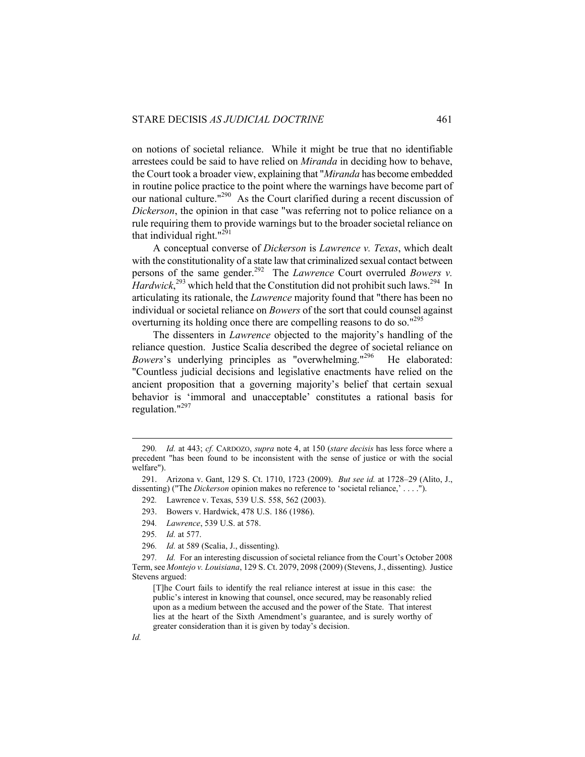on notions of societal reliance. While it might be true that no identifiable arrestees could be said to have relied on *Miranda* in deciding how to behave, the Court took a broader view, explaining that "*Miranda* has become embedded in routine police practice to the point where the warnings have become part of our national culture."290 As the Court clarified during a recent discussion of *Dickerson*, the opinion in that case "was referring not to police reliance on a rule requiring them to provide warnings but to the broader societal reliance on that individual right. $"^{291}$ 

A conceptual converse of *Dickerson* is *Lawrence v. Texas*, which dealt with the constitutionality of a state law that criminalized sexual contact between persons of the same gender.292 The *Lawrence* Court overruled *Bowers v. Hardwick*<sup>293</sup>, which held that the Constitution did not prohibit such laws.<sup>294</sup> In articulating its rationale, the *Lawrence* majority found that "there has been no individual or societal reliance on *Bowers* of the sort that could counsel against overturning its holding once there are compelling reasons to do so."<sup>295</sup>

The dissenters in *Lawrence* objected to the majority's handling of the reliance question. Justice Scalia described the degree of societal reliance on *Bowers*'s underlying principles as "overwhelming."<sup>296</sup> He elaborated: "Countless judicial decisions and legislative enactments have relied on the ancient proposition that a governing majority's belief that certain sexual behavior is 'immoral and unacceptable' constitutes a rational basis for regulation."297

- 294*. Lawrence*, 539 U.S. at 578.
- 295*. Id.* at 577.
- 296*. Id.* at 589 (Scalia, J., dissenting).

<sup>290</sup>*. Id.* at 443; *cf.* CARDOZO, *supra* note 4, at 150 (*stare decisis* has less force where a precedent "has been found to be inconsistent with the sense of justice or with the social welfare").

 <sup>291.</sup> Arizona v. Gant, 129 S. Ct. 1710, 1723 (2009). *But see id.* at 1728–29 (Alito, J., dissenting) ("The *Dickerson* opinion makes no reference to 'societal reliance,' . . . .").

<sup>292</sup>*.* Lawrence v. Texas, 539 U.S. 558, 562 (2003).

 <sup>293.</sup> Bowers v. Hardwick, 478 U.S. 186 (1986).

<sup>297</sup>*. Id.* For an interesting discussion of societal reliance from the Court's October 2008 Term, see *Montejo v. Louisiana*, 129 S. Ct. 2079, 2098 (2009) (Stevens, J., dissenting). Justice Stevens argued:

<sup>[</sup>T]he Court fails to identify the real reliance interest at issue in this case: the public's interest in knowing that counsel, once secured, may be reasonably relied upon as a medium between the accused and the power of the State. That interest lies at the heart of the Sixth Amendment's guarantee, and is surely worthy of greater consideration than it is given by today's decision.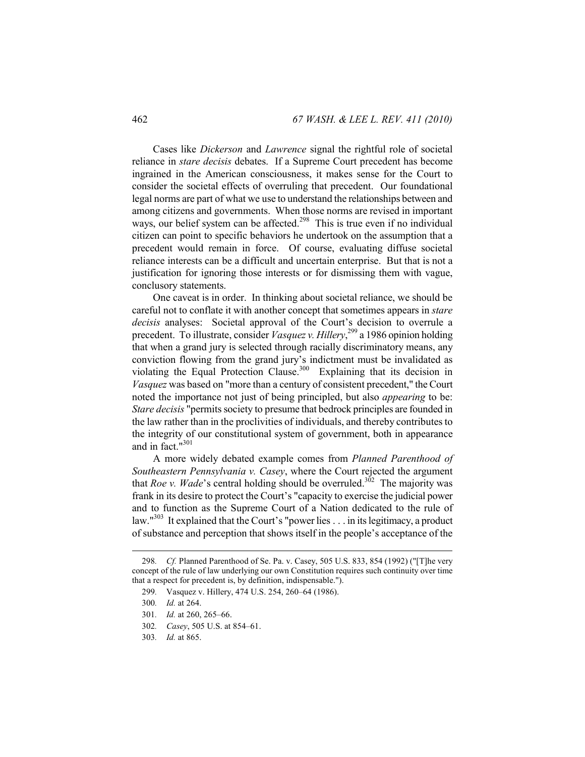Cases like *Dickerson* and *Lawrence* signal the rightful role of societal reliance in *stare decisis* debates. If a Supreme Court precedent has become ingrained in the American consciousness, it makes sense for the Court to consider the societal effects of overruling that precedent. Our foundational legal norms are part of what we use to understand the relationships between and among citizens and governments. When those norms are revised in important ways, our belief system can be affected.<sup>298</sup> This is true even if no individual citizen can point to specific behaviors he undertook on the assumption that a precedent would remain in force. Of course, evaluating diffuse societal reliance interests can be a difficult and uncertain enterprise. But that is not a justification for ignoring those interests or for dismissing them with vague, conclusory statements.

One caveat is in order. In thinking about societal reliance, we should be careful not to conflate it with another concept that sometimes appears in *stare decisis* analyses: Societal approval of the Court's decision to overrule a precedent. To illustrate, consider *Vasquez v. Hillery*, 299 a 1986 opinion holding that when a grand jury is selected through racially discriminatory means, any conviction flowing from the grand jury's indictment must be invalidated as violating the Equal Protection Clause.<sup>300</sup> Explaining that its decision in *Vasquez* was based on "more than a century of consistent precedent," the Court noted the importance not just of being principled, but also *appearing* to be: *Stare decisis* "permits society to presume that bedrock principles are founded in the law rather than in the proclivities of individuals, and thereby contributes to the integrity of our constitutional system of government, both in appearance and in fact. $1301$ 

A more widely debated example comes from *Planned Parenthood of Southeastern Pennsylvania v. Casey*, where the Court rejected the argument that *Roe v. Wade*'s central holding should be overruled.<sup>302</sup> The majority was frank in its desire to protect the Court's "capacity to exercise the judicial power and to function as the Supreme Court of a Nation dedicated to the rule of law."<sup>303</sup> It explained that the Court's "power lies . . . in its legitimacy, a product of substance and perception that shows itself in the people's acceptance of the

<sup>298</sup>*. Cf.* Planned Parenthood of Se. Pa. v. Casey, 505 U.S. 833, 854 (1992) ("[T]he very concept of the rule of law underlying our own Constitution requires such continuity over time that a respect for precedent is, by definition, indispensable.").

<sup>299</sup>*.* Vasquez v. Hillery, 474 U.S. 254, 260–64 (1986).

<sup>300</sup>*. Id.* at 264.

<sup>301</sup>*. Id.* at 260, 265–66.

<sup>302</sup>*. Casey*, 505 U.S. at 854–61.

<sup>303</sup>*. Id.* at 865.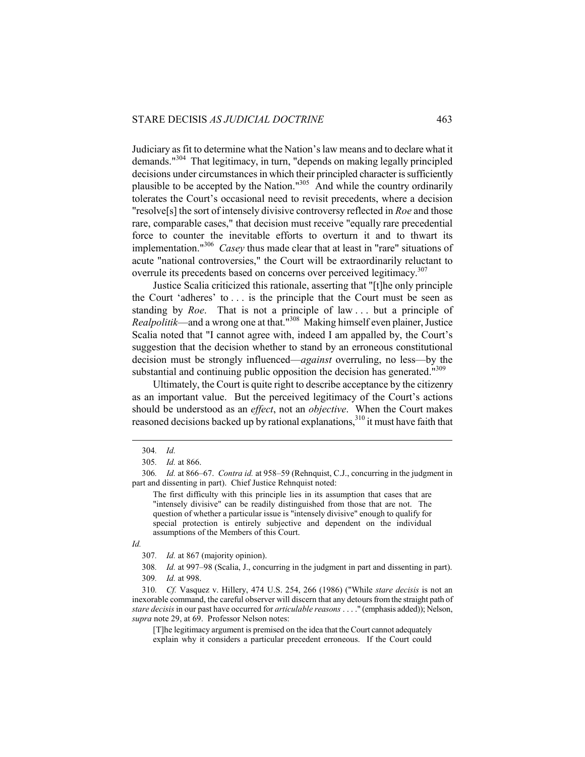Judiciary as fit to determine what the Nation's law means and to declare what it demands."304 That legitimacy, in turn, "depends on making legally principled decisions under circumstances in which their principled character is sufficiently plausible to be accepted by the Nation." $305$  And while the country ordinarily tolerates the Court's occasional need to revisit precedents, where a decision "resolve[s] the sort of intensely divisive controversy reflected in *Roe* and those rare, comparable cases," that decision must receive "equally rare precedential force to counter the inevitable efforts to overturn it and to thwart its implementation."306 *Casey* thus made clear that at least in "rare" situations of acute "national controversies," the Court will be extraordinarily reluctant to overrule its precedents based on concerns over perceived legitimacy.<sup>307</sup>

Justice Scalia criticized this rationale, asserting that "[t]he only principle the Court 'adheres' to . . . is the principle that the Court must be seen as standing by *Roe*. That is not a principle of law . . . but a principle of *Realpolitik*—and a wrong one at that."308 Making himself even plainer, Justice Scalia noted that "I cannot agree with, indeed I am appalled by, the Court's suggestion that the decision whether to stand by an erroneous constitutional decision must be strongly influenced—*against* overruling, no less—by the substantial and continuing public opposition the decision has generated.<sup>"309</sup>

Ultimately, the Court is quite right to describe acceptance by the citizenry as an important value. But the perceived legitimacy of the Court's actions should be understood as an *effect*, not an *objective*. When the Court makes reasoned decisions backed up by rational explanations,<sup>310</sup> it must have faith that

The first difficulty with this principle lies in its assumption that cases that are "intensely divisive" can be readily distinguished from those that are not. The question of whether a particular issue is "intensely divisive" enough to qualify for special protection is entirely subjective and dependent on the individual assumptions of the Members of this Court.

 $\overline{a}$ 

309*. Id.* at 998.

310*. Cf.* Vasquez v. Hillery, 474 U.S. 254, 266 (1986) ("While *stare decisis* is not an inexorable command, the careful observer will discern that any detours from the straight path of *stare decisis* in our past have occurred for *articulable reasons* . . . ." (emphasis added)); Nelson, *supra* note 29, at 69. Professor Nelson notes:

[T]he legitimacy argument is premised on the idea that the Court cannot adequately explain why it considers a particular precedent erroneous. If the Court could

<sup>304</sup>*. Id.*

<sup>305</sup>*. Id.* at 866.

<sup>306</sup>*. Id.* at 866–67. *Contra id.* at 958–59 (Rehnquist, C.J., concurring in the judgment in part and dissenting in part). Chief Justice Rehnquist noted:

*Id.*

<sup>307</sup>*. Id.* at 867 (majority opinion).

<sup>308</sup>*. Id.* at 997–98 (Scalia, J., concurring in the judgment in part and dissenting in part).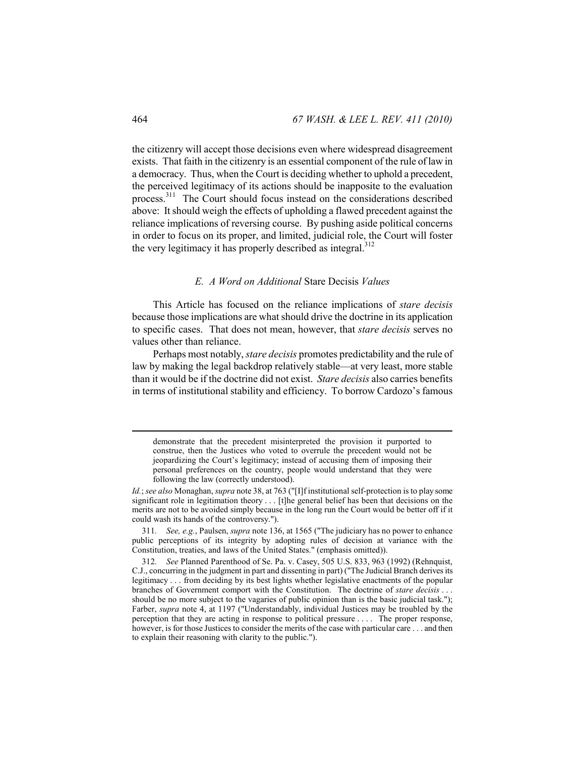the citizenry will accept those decisions even where widespread disagreement exists. That faith in the citizenry is an essential component of the rule of law in a democracy. Thus, when the Court is deciding whether to uphold a precedent, the perceived legitimacy of its actions should be inapposite to the evaluation process.311 The Court should focus instead on the considerations described above: It should weigh the effects of upholding a flawed precedent against the reliance implications of reversing course. By pushing aside political concerns in order to focus on its proper, and limited, judicial role, the Court will foster the very legitimacy it has properly described as integral.<sup>312</sup>

## *E. A Word on Additional* Stare Decisis *Values*

This Article has focused on the reliance implications of *stare decisis*  because those implications are what should drive the doctrine in its application to specific cases. That does not mean, however, that *stare decisis* serves no values other than reliance.

Perhaps most notably, *stare decisis* promotes predictability and the rule of law by making the legal backdrop relatively stable—at very least, more stable than it would be if the doctrine did not exist. *Stare decisis* also carries benefits in terms of institutional stability and efficiency. To borrow Cardozo's famous

311*. See, e.g.*, Paulsen, *supra* note 136, at 1565 ("The judiciary has no power to enhance public perceptions of its integrity by adopting rules of decision at variance with the Constitution, treaties, and laws of the United States." (emphasis omitted)).

demonstrate that the precedent misinterpreted the provision it purported to construe, then the Justices who voted to overrule the precedent would not be jeopardizing the Court's legitimacy; instead of accusing them of imposing their personal preferences on the country, people would understand that they were following the law (correctly understood).

*Id.*; *see also* Monaghan, *supra* note 38, at 763 ("[I]f institutional self-protection is to play some significant role in legitimation theory . . . [t]he general belief has been that decisions on the merits are not to be avoided simply because in the long run the Court would be better off if it could wash its hands of the controversy.").

<sup>312</sup>*. See* Planned Parenthood of Se. Pa. v. Casey, 505 U.S. 833, 963 (1992) (Rehnquist, C.J., concurring in the judgment in part and dissenting in part) ("The Judicial Branch derives its legitimacy . . . from deciding by its best lights whether legislative enactments of the popular branches of Government comport with the Constitution. The doctrine of *stare decisis* . . . should be no more subject to the vagaries of public opinion than is the basic judicial task."); Farber, *supra* note 4, at 1197 ("Understandably, individual Justices may be troubled by the perception that they are acting in response to political pressure . . . . The proper response, however, is for those Justices to consider the merits of the case with particular care . . . and then to explain their reasoning with clarity to the public.").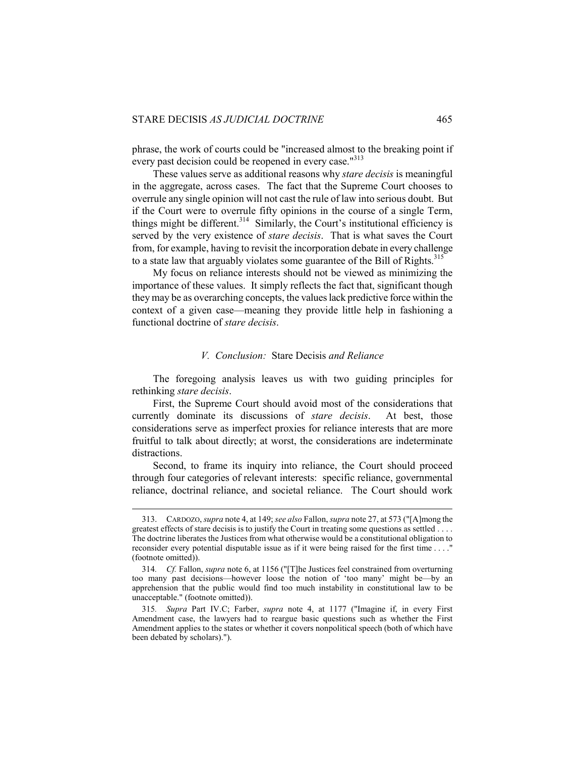phrase, the work of courts could be "increased almost to the breaking point if every past decision could be reopened in every case."<sup>313</sup>

These values serve as additional reasons why *stare decisis* is meaningful in the aggregate, across cases. The fact that the Supreme Court chooses to overrule any single opinion will not cast the rule of law into serious doubt. But if the Court were to overrule fifty opinions in the course of a single Term, things might be different.<sup>314</sup> Similarly, the Court's institutional efficiency is served by the very existence of *stare decisis*. That is what saves the Court from, for example, having to revisit the incorporation debate in every challenge to a state law that arguably violates some guarantee of the Bill of Rights.<sup>315</sup>

My focus on reliance interests should not be viewed as minimizing the importance of these values. It simply reflects the fact that, significant though they may be as overarching concepts, the values lack predictive force within the context of a given case—meaning they provide little help in fashioning a functional doctrine of *stare decisis*.

#### *V. Conclusion:* Stare Decisis *and Reliance*

The foregoing analysis leaves us with two guiding principles for rethinking *stare decisis*.

First, the Supreme Court should avoid most of the considerations that currently dominate its discussions of *stare decisis*. At best, those considerations serve as imperfect proxies for reliance interests that are more fruitful to talk about directly; at worst, the considerations are indeterminate distractions.

Second, to frame its inquiry into reliance, the Court should proceed through four categories of relevant interests: specific reliance, governmental reliance, doctrinal reliance, and societal reliance. The Court should work

 <sup>313.</sup> CARDOZO, *supra* note 4, at 149; *see also* Fallon, *supra* note 27, at 573 ("[A]mong the greatest effects of stare decisis is to justify the Court in treating some questions as settled . . . . The doctrine liberates the Justices from what otherwise would be a constitutional obligation to reconsider every potential disputable issue as if it were being raised for the first time . . . ." (footnote omitted)).

<sup>314</sup>*. Cf.* Fallon, *supra* note 6, at 1156 ("[T]he Justices feel constrained from overturning too many past decisions—however loose the notion of 'too many' might be—by an apprehension that the public would find too much instability in constitutional law to be unacceptable." (footnote omitted)).

<sup>315</sup>*. Supra* Part IV.C; Farber, *supra* note 4, at 1177 ("Imagine if, in every First Amendment case, the lawyers had to reargue basic questions such as whether the First Amendment applies to the states or whether it covers nonpolitical speech (both of which have been debated by scholars).").